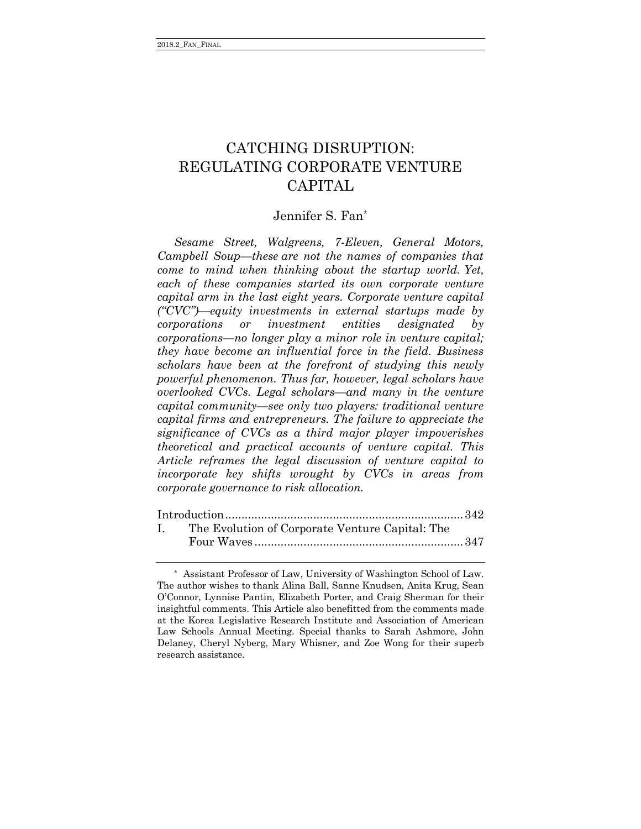# CATCHING DISRUPTION: REGULATING CORPORATE VENTURE CAPITAL

# Jennifer S. Fan\*

*Sesame Street, Walgreens, 7-Eleven, General Motors, Campbell Soup—these are not the names of companies that come to mind when thinking about the startup world. Yet, each of these companies started its own corporate venture capital arm in the last eight years. Corporate venture capital ("CVC")—equity investments in external startups made by corporations or investment entities designated by corporations—no longer play a minor role in venture capital; they have become an influential force in the field. Business scholars have been at the forefront of studying this newly powerful phenomenon. Thus far, however, legal scholars have overlooked CVCs. Legal scholars—and many in the venture capital community—see only two players: traditional venture capital firms and entrepreneurs. The failure to appreciate the significance of CVCs as a third major player impoverishes theoretical and practical accounts of venture capital. This Article reframes the legal discussion of venture capital to incorporate key shifts wrought by CVCs in areas from corporate governance to risk allocation.*

| $\mathbf{L}$ | The Evolution of Corporate Venture Capital: The |  |
|--------------|-------------------------------------------------|--|
|              |                                                 |  |

<sup>\*</sup> Assistant Professor of Law, University of Washington School of Law. The author wishes to thank Alina Ball, Sanne Knudsen, Anita Krug, Sean O'Connor, Lynnise Pantin, Elizabeth Porter, and Craig Sherman for their insightful comments. This Article also benefitted from the comments made at the Korea Legislative Research Institute and Association of American Law Schools Annual Meeting. Special thanks to Sarah Ashmore, John Delaney, Cheryl Nyberg, Mary Whisner, and Zoe Wong for their superb research assistance.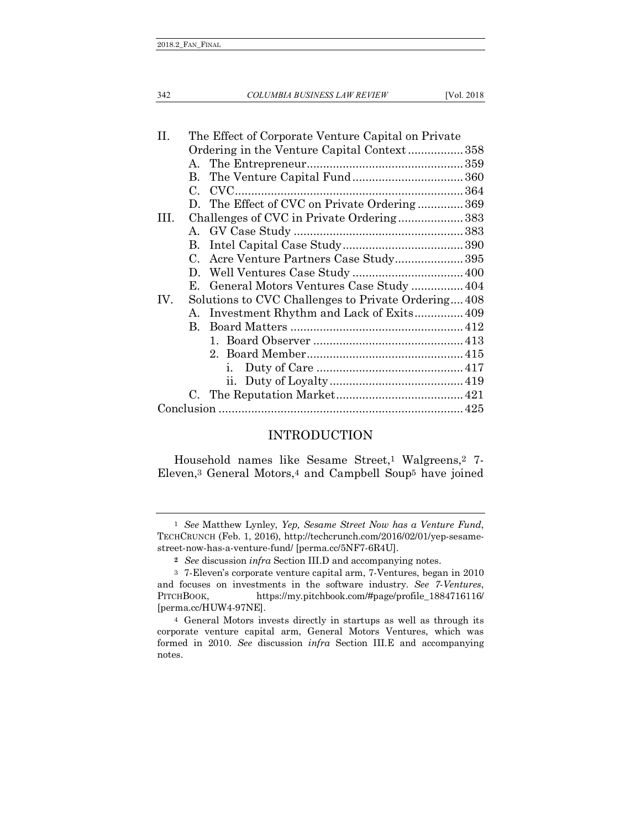342 *COLUMBIA BUSINESS LAW REVIEW* [Vol. 2018

| H.   |             | The Effect of Corporate Venture Capital on Private |  |
|------|-------------|----------------------------------------------------|--|
|      |             | Ordering in the Venture Capital Context358         |  |
|      | A.          |                                                    |  |
|      | $B_{-}$     |                                                    |  |
|      | $C_{\cdot}$ |                                                    |  |
|      |             | D. The Effect of CVC on Private Ordering369        |  |
| III. |             | Challenges of CVC in Private Ordering383           |  |
|      |             |                                                    |  |
|      | $\bf{B}$    |                                                    |  |
|      | C.          | Acre Venture Partners Case Study395                |  |
|      |             |                                                    |  |
|      | Е.          | General Motors Ventures Case Study  404            |  |
| IV.  |             | Solutions to CVC Challenges to Private Ordering408 |  |
|      | A           | Investment Rhythm and Lack of Exits 409            |  |
|      | B.          |                                                    |  |
|      |             |                                                    |  |
|      |             |                                                    |  |
|      |             | i.                                                 |  |
|      |             |                                                    |  |
|      |             |                                                    |  |
|      |             |                                                    |  |

## <span id="page-1-0"></span>INTRODUCTION

Household names like Sesame Street,1 Walgreens,2 7- Eleven,3 General Motors,4 and Campbell Soup5 have joined

<sup>1</sup> *See* Matthew Lynley, *Yep, Sesame Street Now has a Venture Fund*, TECHCRUNCH (Feb. 1, 2016), http://techcrunch.com/2016/02/01/yep-sesamestreet-now-has-a-venture-fund/ [perma.cc/5NF7-6R4U].

**<sup>2</sup>** *See* discussion *infra* Section III.D and accompanying notes.

<sup>3</sup> 7-Eleven's corporate venture capital arm, 7-Ventures, began in 2010 and focuses on investments in the software industry. *See 7-Ventures*, PITCHBOOK, https://my.pitchbook.com/#page/profile\_1884716116/ [perma.cc/HUW4-97NE].

<sup>4</sup> General Motors invests directly in startups as well as through its corporate venture capital arm, General Motors Ventures, which was formed in 2010. *See* discussion *infra* Section III.E and accompanying notes.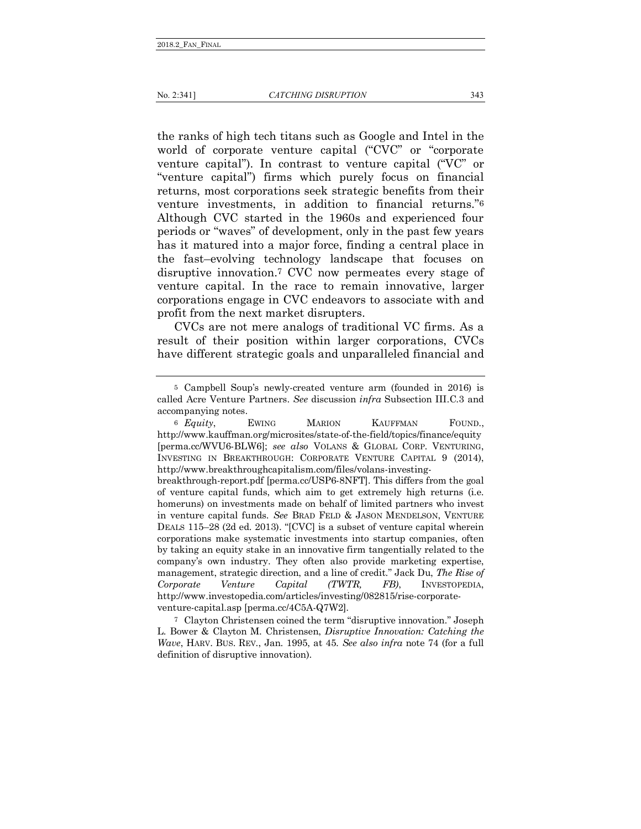the ranks of high tech titans such as Google and Intel in the world of corporate venture capital ("CVC" or "corporate venture capital"). In contrast to venture capital ("VC" or "venture capital") firms which purely focus on financial returns, most corporations seek strategic benefits from their venture investments, in addition to financial returns."6 Although CVC started in the 1960s and experienced four periods or "waves" of development, only in the past few years has it matured into a major force, finding a central place in the fast–evolving technology landscape that focuses on disruptive innovation.7 CVC now permeates every stage of venture capital. In the race to remain innovative, larger corporations engage in CVC endeavors to associate with and profit from the next market disrupters.

CVCs are not mere analogs of traditional VC firms. As a result of their position within larger corporations, CVCs have different strategic goals and unparalleled financial and

7 Clayton Christensen coined the term "disruptive innovation." Joseph L. Bower & Clayton M. Christensen, *Disruptive Innovation: Catching the Wave*, HARV. BUS. REV., Jan. 1995, at 45. *See also infra* note 74 (for a full definition of disruptive innovation).

<sup>5</sup> Campbell Soup's newly-created venture arm (founded in 2016) is called Acre Venture Partners. *See* discussion *infra* Subsection III.C.3 and accompanying notes.

<sup>6</sup> *Equity*, EWING MARION KAUFFMAN FOUND., http://www.kauffman.org/microsites/state-of-the-field/topics/finance/equity [perma.cc/WVU6-BLW6]; *see also* VOLANS & GLOBAL CORP. VENTURING, INVESTING IN BREAKTHROUGH: CORPORATE VENTURE CAPITAL 9 (2014), http://www.breakthroughcapitalism.com/files/volans-investing-

breakthrough-report.pdf [perma.cc/USP6-8NFT]. This differs from the goal of venture capital funds, which aim to get extremely high returns (i.e. homeruns) on investments made on behalf of limited partners who invest in venture capital funds. *See* BRAD FELD & JASON MENDELSON, VENTURE DEALS 115–28 (2d ed. 2013). "[CVC] is a subset of venture capital wherein corporations make systematic investments into startup companies, often by taking an equity stake in an innovative firm tangentially related to the company's own industry. They often also provide marketing expertise, management, strategic direction, and a line of credit." Jack Du, *The Rise of Corporate Venture Capital (TWTR, FB)*, INVESTOPEDIA, http://www.investopedia.com/articles/investing/082815/rise-corporateventure-capital.asp [perma.cc/4C5A-Q7W2].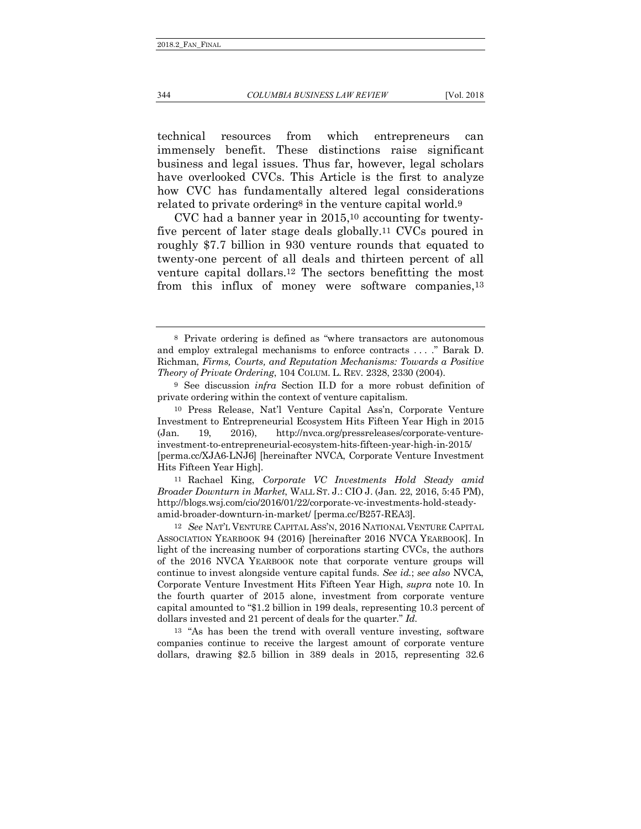technical resources from which entrepreneurs can immensely benefit. These distinctions raise significant business and legal issues. Thus far, however, legal scholars have overlooked CVCs. This Article is the first to analyze how CVC has fundamentally altered legal considerations related to private ordering<sup>8</sup> in the venture capital world.<sup>9</sup>

CVC had a banner year in 2015,10 accounting for twentyfive percent of later stage deals globally.11 CVCs poured in roughly \$7.7 billion in 930 venture rounds that equated to twenty-one percent of all deals and thirteen percent of all venture capital dollars.12 The sectors benefitting the most from this influx of money were software companies,13

11 Rachael King, *Corporate VC Investments Hold Steady amid Broader Downturn in Market*, WALL ST. J.: CIO J. (Jan. 22, 2016, 5:45 PM), http://blogs.wsj.com/cio/2016/01/22/corporate-vc-investments-hold-steadyamid-broader-downturn-in-market/ [perma.cc/B257-REA3].

12 *See* NAT'L VENTURE CAPITAL ASS'N, 2016 NATIONAL VENTURE CAPITAL ASSOCIATION YEARBOOK 94 (2016) [hereinafter 2016 NVCA YEARBOOK]. In light of the increasing number of corporations starting CVCs, the authors of the 2016 NVCA YEARBOOK note that corporate venture groups will continue to invest alongside venture capital funds. *See id.*; *see also* NVCA, Corporate Venture Investment Hits Fifteen Year High, *supra* note 10. In the fourth quarter of 2015 alone, investment from corporate venture capital amounted to "\$1.2 billion in 199 deals, representing 10.3 percent of dollars invested and 21 percent of deals for the quarter." *Id.*

13 "As has been the trend with overall venture investing, software companies continue to receive the largest amount of corporate venture dollars, drawing \$2.5 billion in 389 deals in 2015, representing 32.6

<sup>8</sup> Private ordering is defined as "where transactors are autonomous and employ extralegal mechanisms to enforce contracts . . . ." Barak D. Richman, *Firms, Courts, and Reputation Mechanisms: Towards a Positive Theory of Private Ordering*, 104 COLUM. L. REV. 2328, 2330 (2004).

<sup>9</sup> See discussion *infra* Section II.D for a more robust definition of private ordering within the context of venture capitalism.

<sup>10</sup> Press Release, Nat'l Venture Capital Ass'n, Corporate Venture Investment to Entrepreneurial Ecosystem Hits Fifteen Year High in 2015 (Jan. 19, 2016), http://nvca.org/pressreleases/corporate-ventureinvestment-to-entrepreneurial-ecosystem-hits-fifteen-year-high-in-2015/ [perma.cc/XJA6-LNJ6] [hereinafter NVCA, Corporate Venture Investment Hits Fifteen Year High].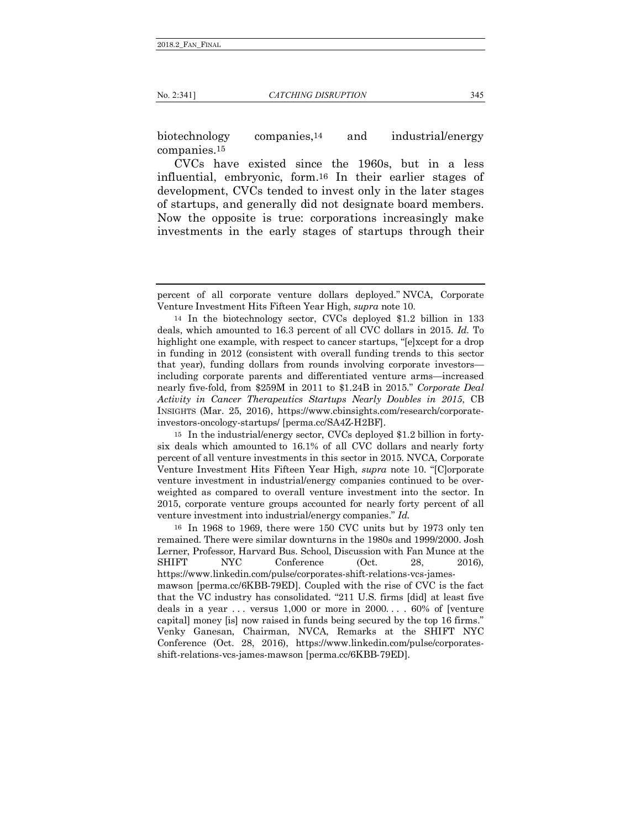biotechnology companies,14 and industrial/energy companies.15

CVCs have existed since the 1960s, but in a less influential, embryonic, form.16 In their earlier stages of development, CVCs tended to invest only in the later stages of startups, and generally did not designate board members. Now the opposite is true: corporations increasingly make investments in the early stages of startups through their

15 In the industrial/energy sector, CVCs deployed \$1.2 billion in fortysix deals which amounted to 16.1% of all CVC dollars and nearly forty percent of all venture investments in this sector in 2015. NVCA, Corporate Venture Investment Hits Fifteen Year High, *supra* note 10. "[C]orporate venture investment in industrial/energy companies continued to be overweighted as compared to overall venture investment into the sector. In 2015, corporate venture groups accounted for nearly forty percent of all venture investment into industrial/energy companies." *Id.*

16 In 1968 to 1969, there were 150 CVC units but by 1973 only ten remained. There were similar downturns in the 1980s and 1999/2000. Josh Lerner, Professor, Harvard Bus. School, Discussion with Fan Munce at the SHIFT NYC Conference (Oct. 28, 2016), https://www.linkedin.com/pulse/corporates-shift-relations-vcs-jamesmawson [perma.cc/6KBB-79ED]. Coupled with the rise of CVC is the fact that the VC industry has consolidated. "211 U.S. firms [did] at least five deals in a year . . . versus 1,000 or more in 2000. . . . 60% of [venture capital] money [is] now raised in funds being secured by the top 16 firms." Venky Ganesan, Chairman, NVCA, Remarks at the SHIFT NYC Conference (Oct. 28, 2016), https://www.linkedin.com/pulse/corporatesshift-relations-vcs-james-mawson [perma.cc/6KBB-79ED].

percent of all corporate venture dollars deployed." NVCA, Corporate Venture Investment Hits Fifteen Year High, *supra* note 10.

<sup>14</sup> In the biotechnology sector, CVCs deployed \$1.2 billion in 133 deals, which amounted to 16.3 percent of all CVC dollars in 2015. *Id.* To highlight one example, with respect to cancer startups, "[e]xcept for a drop in funding in 2012 (consistent with overall funding trends to this sector that year), funding dollars from rounds involving corporate investors including corporate parents and differentiated venture arms—increased nearly five-fold, from \$259M in 2011 to \$1.24B in 2015." *Corporate Deal Activity in Cancer Therapeutics Startups Nearly Doubles in 2015*, CB INSIGHTS (Mar. 25, 2016), https://www.cbinsights.com/research/corporateinvestors-oncology-startups/ [perma.cc/SA4Z-H2BF].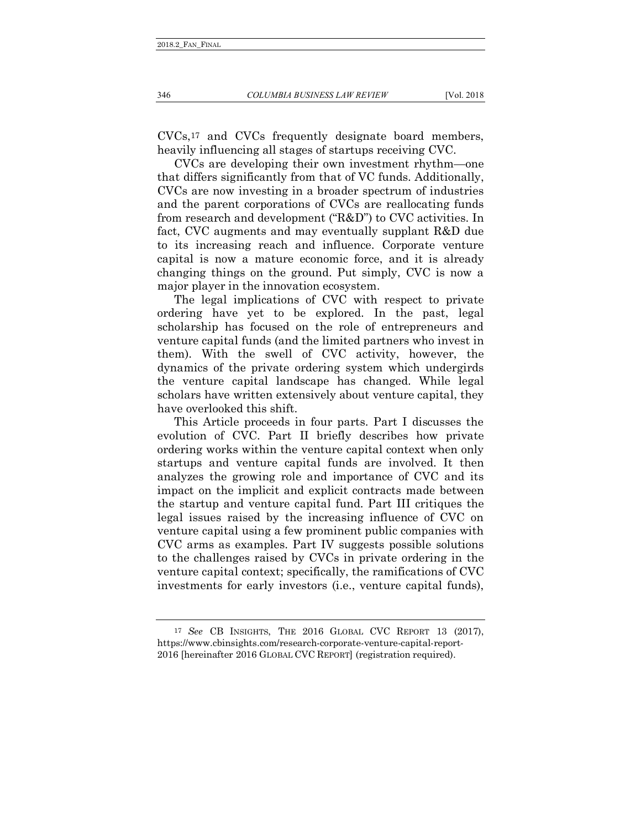CVCs,17 and CVCs frequently designate board members, heavily influencing all stages of startups receiving CVC.

CVCs are developing their own investment rhythm—one that differs significantly from that of VC funds. Additionally, CVCs are now investing in a broader spectrum of industries and the parent corporations of CVCs are reallocating funds from research and development ("R&D") to CVC activities. In fact, CVC augments and may eventually supplant R&D due to its increasing reach and influence. Corporate venture capital is now a mature economic force, and it is already changing things on the ground. Put simply, CVC is now a major player in the innovation ecosystem.

The legal implications of CVC with respect to private ordering have yet to be explored. In the past, legal scholarship has focused on the role of entrepreneurs and venture capital funds (and the limited partners who invest in them). With the swell of CVC activity, however, the dynamics of the private ordering system which undergirds the venture capital landscape has changed. While legal scholars have written extensively about venture capital, they have overlooked this shift.

This Article proceeds in four parts. Part I discusses the evolution of CVC. Part II briefly describes how private ordering works within the venture capital context when only startups and venture capital funds are involved. It then analyzes the growing role and importance of CVC and its impact on the implicit and explicit contracts made between the startup and venture capital fund. Part III critiques the legal issues raised by the increasing influence of CVC on venture capital using a few prominent public companies with CVC arms as examples. Part IV suggests possible solutions to the challenges raised by CVCs in private ordering in the venture capital context; specifically, the ramifications of CVC investments for early investors (i.e., venture capital funds),

<sup>17</sup> *See* CB INSIGHTS, THE 2016 GLOBAL CVC REPORT 13 (2017), https://www.cbinsights.com/research-corporate-venture-capital-report-2016 [hereinafter 2016 GLOBAL CVC REPORT] (registration required).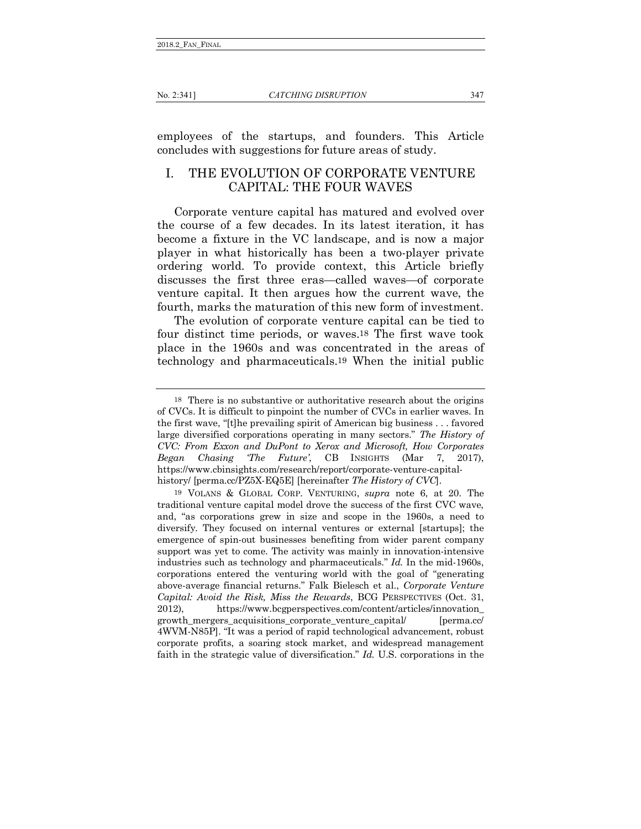employees of the startups, and founders. This Article concludes with suggestions for future areas of study.

## <span id="page-6-0"></span>I. THE EVOLUTION OF CORPORATE VENTURE CAPITAL: THE FOUR WAVES

Corporate venture capital has matured and evolved over the course of a few decades. In its latest iteration, it has become a fixture in the VC landscape, and is now a major player in what historically has been a two-player private ordering world. To provide context, this Article briefly discusses the first three eras—called waves—of corporate venture capital. It then argues how the current wave, the fourth, marks the maturation of this new form of investment.

The evolution of corporate venture capital can be tied to four distinct time periods, or waves.18 The first wave took place in the 1960s and was concentrated in the areas of technology and pharmaceuticals.19 When the initial public

<sup>18</sup> There is no substantive or authoritative research about the origins of CVCs. It is difficult to pinpoint the number of CVCs in earlier waves. In the first wave, "[t]he prevailing spirit of American big business . . . favored large diversified corporations operating in many sectors." *The History of CVC: From Exxon and DuPont to Xerox and Microsoft, How Corporates Began Chasing 'The Future'*, CB INSIGHTS (Mar 7, 2017), https://www.cbinsights.com/research/report/corporate-venture-capitalhistory/ [perma.cc/PZ5X-EQ5E] [hereinafter *The History of CVC*].

<sup>19</sup> VOLANS & GLOBAL CORP. VENTURING, *supra* note 6, at 20. The traditional venture capital model drove the success of the first CVC wave, and, "as corporations grew in size and scope in the 1960s, a need to diversify. They focused on internal ventures or external [startups]; the emergence of spin-out businesses benefiting from wider parent company support was yet to come. The activity was mainly in innovation-intensive industries such as technology and pharmaceuticals." *Id.* In the mid-1960s, corporations entered the venturing world with the goal of "generating above-average financial returns." Falk Bielesch et al., *Corporate Venture Capital: Avoid the Risk, Miss the Rewards*, BCG PERSPECTIVES (Oct. 31, 2012), https://www.bcgperspectives.com/content/articles/innovation\_ growth\_mergers\_acquisitions\_corporate\_venture\_capital/ [perma.cc/ 4WVM-N85P]. "It was a period of rapid technological advancement, robust corporate profits, a soaring stock market, and widespread management faith in the strategic value of diversification." *Id.* U.S. corporations in the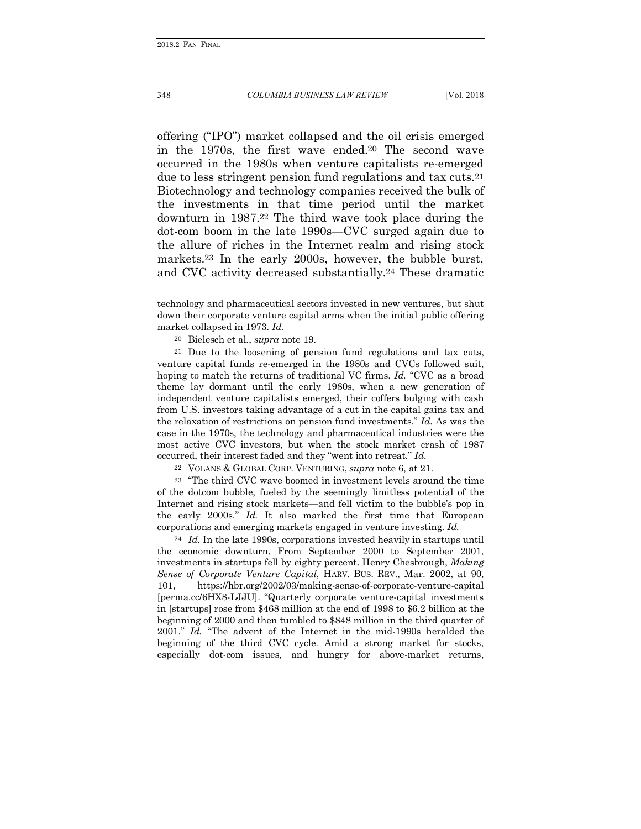offering ("IPO") market collapsed and the oil crisis emerged in the 1970s, the first wave ended.20 The second wave occurred in the 1980s when venture capitalists re-emerged due to less stringent pension fund regulations and tax cuts.21 Biotechnology and technology companies received the bulk of the investments in that time period until the market downturn in 1987.22 The third wave took place during the dot-com boom in the late 1990s*—*CVC surged again due to the allure of riches in the Internet realm and rising stock markets.23 In the early 2000s, however, the bubble burst, and CVC activity decreased substantially.24 These dramatic

20 Bielesch et al., *supra* note 19.

21 Due to the loosening of pension fund regulations and tax cuts, venture capital funds re-emerged in the 1980s and CVCs followed suit, hoping to match the returns of traditional VC firms. *Id.* "CVC as a broad theme lay dormant until the early 1980s, when a new generation of independent venture capitalists emerged, their coffers bulging with cash from U.S. investors taking advantage of a cut in the capital gains tax and the relaxation of restrictions on pension fund investments." *Id.* As was the case in the 1970s, the technology and pharmaceutical industries were the most active CVC investors, but when the stock market crash of 1987 occurred, their interest faded and they "went into retreat." *Id.*

22 VOLANS & GLOBAL CORP. VENTURING, *supra* note 6, at 21.

23 "The third CVC wave boomed in investment levels around the time of the dotcom bubble, fueled by the seemingly limitless potential of the Internet and rising stock markets—and fell victim to the bubble's pop in the early 2000s." *Id.* It also marked the first time that European corporations and emerging markets engaged in venture investing. *Id.*

24 *Id.* In the late 1990s, corporations invested heavily in startups until the economic downturn. From September 2000 to September 2001, investments in startups fell by eighty percent. Henry Chesbrough, *Making Sense of Corporate Venture Capital*, HARV. BUS. REV., Mar. 2002, at 90, 101, https://hbr.org/2002/03/making-sense-of-corporate-venture-capital [perma.cc/6HX8-LJJU]. "Quarterly corporate venture-capital investments in [startups] rose from \$468 million at the end of 1998 to \$6.2 billion at the beginning of 2000 and then tumbled to \$848 million in the third quarter of 2001." *Id.* "The advent of the Internet in the mid-1990s heralded the beginning of the third CVC cycle. Amid a strong market for stocks, especially dot-com issues, and hungry for above-market returns,

technology and pharmaceutical sectors invested in new ventures, but shut down their corporate venture capital arms when the initial public offering market collapsed in 1973. *Id.*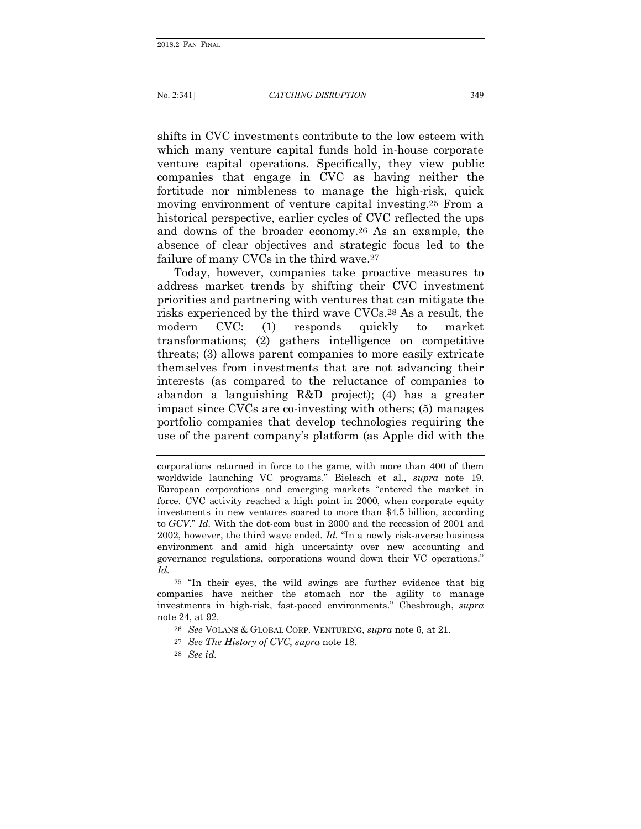shifts in CVC investments contribute to the low esteem with which many venture capital funds hold in-house corporate venture capital operations. Specifically, they view public companies that engage in CVC as having neither the fortitude nor nimbleness to manage the high-risk, quick moving environment of venture capital investing.25 From a historical perspective, earlier cycles of CVC reflected the ups and downs of the broader economy.26 As an example, the absence of clear objectives and strategic focus led to the failure of many CVCs in the third wave.27

Today, however, companies take proactive measures to address market trends by shifting their CVC investment priorities and partnering with ventures that can mitigate the risks experienced by the third wave CVCs.28 As a result, the modern CVC: (1) responds quickly to market transformations; (2) gathers intelligence on competitive threats; (3) allows parent companies to more easily extricate themselves from investments that are not advancing their interests (as compared to the reluctance of companies to abandon a languishing R&D project); (4) has a greater impact since CVCs are co-investing with others; (5) manages portfolio companies that develop technologies requiring the use of the parent company's platform (as Apple did with the

corporations returned in force to the game, with more than 400 of them worldwide launching VC programs." Bielesch et al., *supra* note 19. European corporations and emerging markets "entered the market in force. CVC activity reached a high point in 2000, when corporate equity investments in new ventures soared to more than \$4.5 billion, according to *GCV*." *Id.* With the dot-com bust in 2000 and the recession of 2001 and 2002, however, the third wave ended. *Id.* "In a newly risk-averse business environment and amid high uncertainty over new accounting and governance regulations, corporations wound down their VC operations." *Id.*

<sup>25</sup> "In their eyes, the wild swings are further evidence that big companies have neither the stomach nor the agility to manage investments in high-risk, fast-paced environments." Chesbrough, *supra*  note 24, at 92.

<sup>26</sup> *See* VOLANS & GLOBAL CORP. VENTURING, *supra* note 6, at 21.

<sup>27</sup> *See The History of CVC*, *supra* note 18.

<sup>28</sup> *See id.*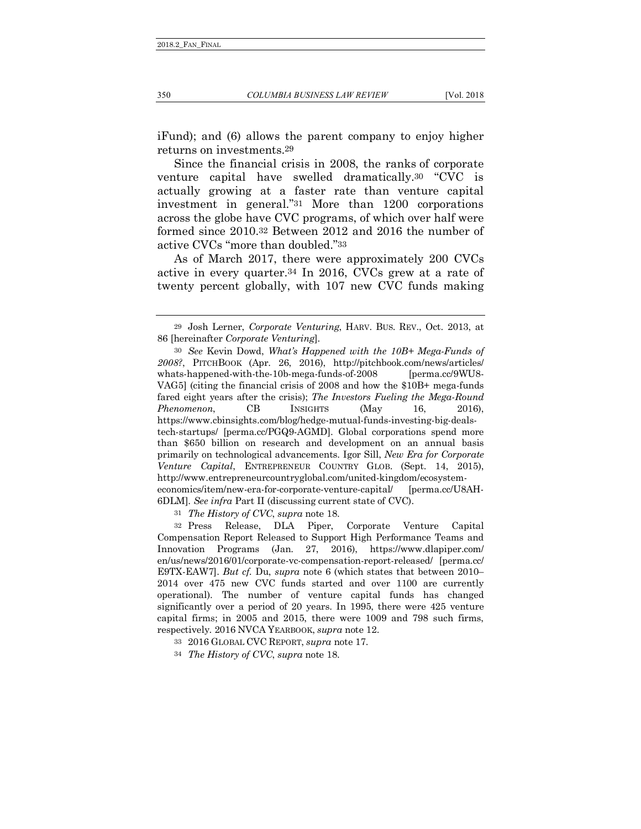iFund); and (6) allows the parent company to enjoy higher returns on investments.29

Since the financial crisis in 2008, the ranks of corporate venture capital have swelled dramatically.30 "CVC is actually growing at a faster rate than venture capital investment in general."31 More than 1200 corporations across the globe have CVC programs, of which over half were formed since 2010.32 Between 2012 and 2016 the number of active CVCs "more than doubled."33

As of March 2017, there were approximately 200 CVCs active in every quarter.34 In 2016, CVCs grew at a rate of twenty percent globally, with 107 new CVC funds making

31 *The History of CVC*, *supra* note 18.

32 Press Release, DLA Piper, Corporate Venture Capital Compensation Report Released to Support High Performance Teams and Innovation Programs (Jan. 27, 2016), https://www.dlapiper.com/ en/us/news/2016/01/corporate-vc-compensation-report-released/ [perma.cc/ E9TX-EAW7]. *But cf.* Du, *supra* note 6 (which states that between 2010– 2014 over 475 new CVC funds started and over 1100 are currently operational). The number of venture capital funds has changed significantly over a period of 20 years. In 1995, there were 425 venture capital firms; in 2005 and 2015, there were 1009 and 798 such firms, respectively. 2016 NVCA YEARBOOK, *supra* note 12.

33 2016 GLOBAL CVC REPORT, *supra* note 17.

34 *The History of CVC*, *supra* note 18.

<sup>29</sup> Josh Lerner, *Corporate Venturing*, HARV. BUS. REV., Oct. 2013, at 86 [hereinafter *Corporate Venturing*].

<sup>30</sup> *See* Kevin Dowd, *What's Happened with the 10B+ Mega-Funds of 2008?*, PITCHBOOK (Apr. 26, 2016), http://pitchbook.com/news/articles/ whats-happened-with-the-10b-mega-funds-of-2008 [perma.cc/9WU8-VAG5] (citing the financial crisis of 2008 and how the \$10B+ mega-funds fared eight years after the crisis); *The Investors Fueling the Mega-Round Phenomenon*, CB INSIGHTS (May 16, 2016), https://www.cbinsights.com/blog/hedge-mutual-funds-investing-big-dealstech-startups/ [perma.cc/PGQ9-AGMD]. Global corporations spend more than \$650 billion on research and development on an annual basis primarily on technological advancements. Igor Sill, *New Era for Corporate Venture Capital*, ENTREPRENEUR COUNTRY GLOB. (Sept. 14, 2015), http://www.entrepreneurcountryglobal.com/united-kingdom/ecosystemeconomics/item/new-era-for-corporate-venture-capital/ [perma.cc/U8AH-6DLM]. *See infra* Part II (discussing current state of CVC).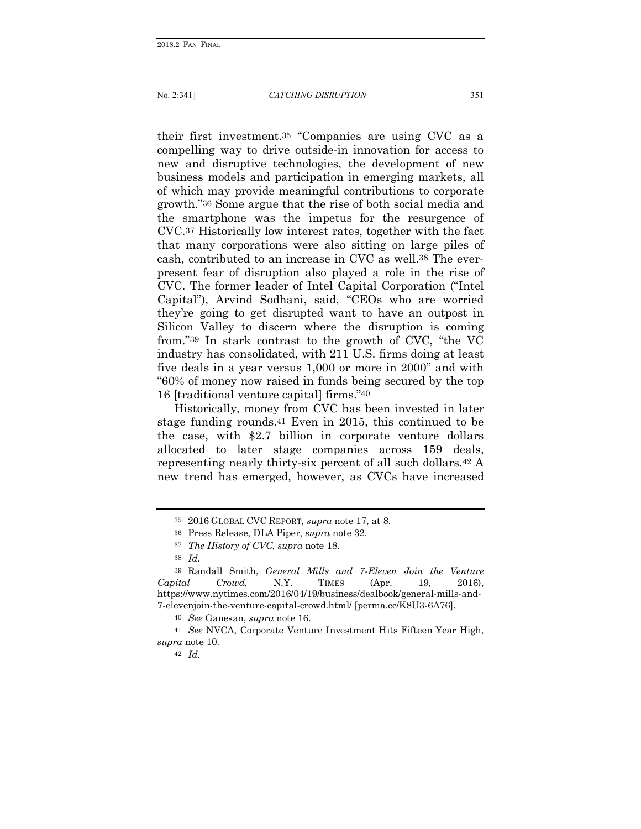their first investment.35 "Companies are using CVC as a compelling way to drive outside-in innovation for access to new and disruptive technologies, the development of new business models and participation in emerging markets, all of which may provide meaningful contributions to corporate growth."36 Some argue that the rise of both social media and the smartphone was the impetus for the resurgence of CVC.37 Historically low interest rates, together with the fact that many corporations were also sitting on large piles of cash, contributed to an increase in CVC as well.38 The everpresent fear of disruption also played a role in the rise of CVC. The former leader of Intel Capital Corporation ("Intel Capital"), Arvind Sodhani, said, "CEOs who are worried they're going to get disrupted want to have an outpost in Silicon Valley to discern where the disruption is coming from."39 In stark contrast to the growth of CVC, "the VC industry has consolidated, with 211 U.S. firms doing at least five deals in a year versus 1,000 or more in 2000" and with "60% of money now raised in funds being secured by the top 16 [traditional venture capital] firms."40

Historically, money from CVC has been invested in later stage funding rounds.41 Even in 2015, this continued to be the case, with \$2.7 billion in corporate venture dollars allocated to later stage companies across 159 deals, representing nearly thirty-six percent of all such dollars.42 A new trend has emerged, however, as CVCs have increased

40 *See* Ganesan, *supra* note 16.

41 *See* NVCA, Corporate Venture Investment Hits Fifteen Year High, *supra* note 10.

42 *Id.*

<sup>35</sup> 2016 GLOBAL CVC REPORT, *supra* note 17, at 8.

<sup>36</sup> Press Release, DLA Piper, *supra* note 32.

<sup>37</sup> *The History of CVC*, *supra* note 18.

<sup>38</sup> *Id.*

<sup>39</sup> Randall Smith, *General Mills and 7-Eleven Join the Venture Capital Crowd*, N.Y. TIMES (Apr. 19, 2016), https://www.nytimes.com/2016/04/19/business/dealbook/general-mills-and-7-elevenjoin-the-venture-capital-crowd.html/ [perma.cc/K8U3-6A76].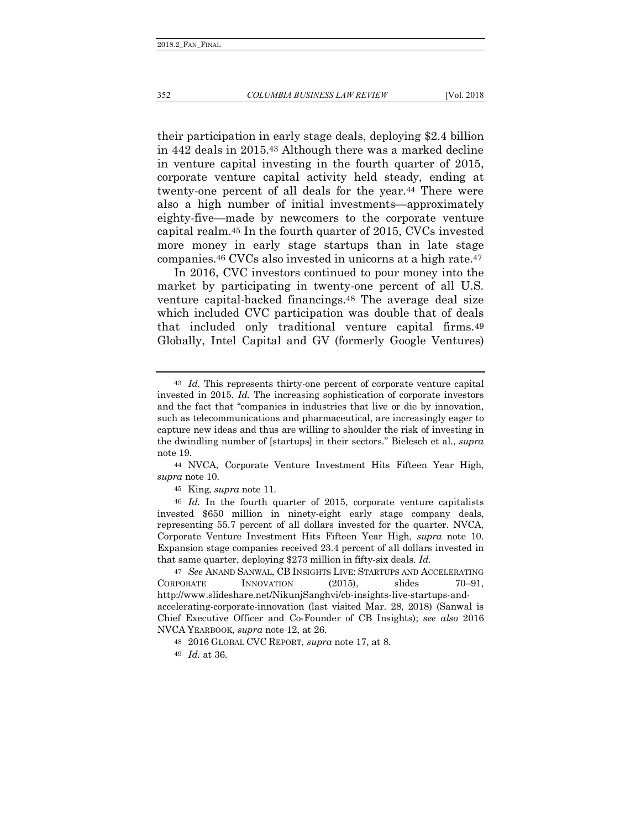their participation in early stage deals, deploying \$2.4 billion in 442 deals in 2015.43 Although there was a marked decline in venture capital investing in the fourth quarter of 2015, corporate venture capital activity held steady, ending at twenty-one percent of all deals for the year.44 There were also a high number of initial investments—approximately eighty-five—made by newcomers to the corporate venture capital realm.45 In the fourth quarter of 2015, CVCs invested more money in early stage startups than in late stage companies.46 CVCs also invested in unicorns at a high rate.47

In 2016, CVC investors continued to pour money into the market by participating in twenty-one percent of all U.S. venture capital-backed financings.48 The average deal size which included CVC participation was double that of deals that included only traditional venture capital firms.49 Globally, Intel Capital and GV (formerly Google Ventures)

45 King, *supra* note 11.

46 *Id.* In the fourth quarter of 2015, corporate venture capitalists invested \$650 million in ninety-eight early stage company deals, representing 55.7 percent of all dollars invested for the quarter. NVCA, Corporate Venture Investment Hits Fifteen Year High, *supra* note 10. Expansion stage companies received 23.4 percent of all dollars invested in that same quarter, deploying \$273 million in fifty-six deals. *Id.*

47 *See* ANAND SANWAL, CB INSIGHTS LIVE: STARTUPS AND ACCELERATING CORPORATE INNOVATION (2015), slides 70–91, http://www.slideshare.net/NikunjSanghvi/cb-insights-live-startups-andaccelerating-corporate-innovation (last visited Mar. 28, 2018) (Sanwal is Chief Executive Officer and Co-Founder of CB Insights); *see also* 2016 NVCA YEARBOOK, *supra* note 12, at 26.

48 2016 GLOBAL CVC REPORT, *supra* note 17, at 8.

<sup>43</sup> *Id.* This represents thirty-one percent of corporate venture capital invested in 2015. *Id.* The increasing sophistication of corporate investors and the fact that "companies in industries that live or die by innovation, such as telecommunications and pharmaceutical, are increasingly eager to capture new ideas and thus are willing to shoulder the risk of investing in the dwindling number of [startups] in their sectors." Bielesch et al., *supra*  note 19.

<sup>44</sup> NVCA, Corporate Venture Investment Hits Fifteen Year High, *supra* note 10.

<sup>49</sup> *Id.* at 36.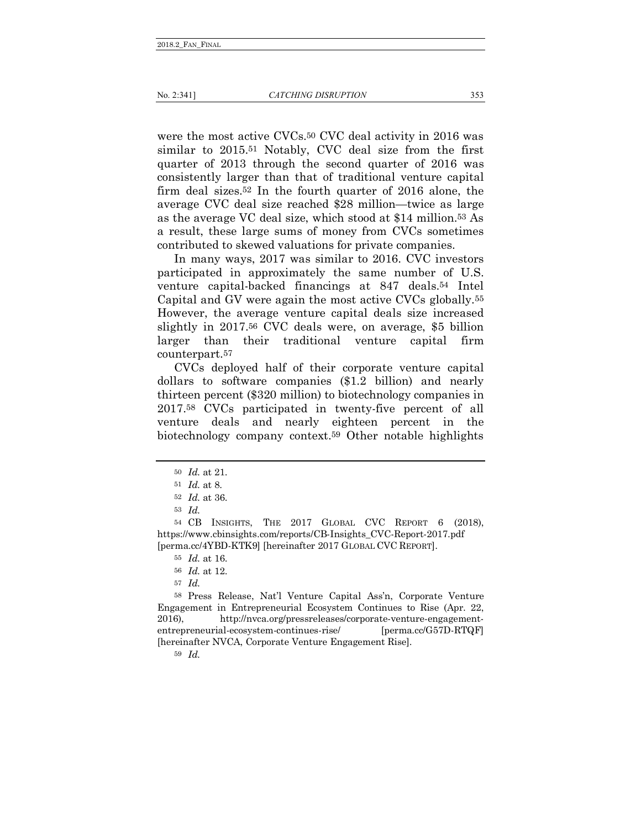No. 2:341] *CATCHING DISRUPTION* 353

were the most active CVCs.50 CVC deal activity in 2016 was similar to 2015.51 Notably, CVC deal size from the first quarter of 2013 through the second quarter of 2016 was consistently larger than that of traditional venture capital firm deal sizes.52 In the fourth quarter of 2016 alone, the average CVC deal size reached \$28 million—twice as large as the average VC deal size, which stood at \$14 million.53 As a result, these large sums of money from CVCs sometimes contributed to skewed valuations for private companies.

In many ways, 2017 was similar to 2016. CVC investors participated in approximately the same number of U.S. venture capital-backed financings at 847 deals.54 Intel Capital and GV were again the most active CVCs globally.55 However, the average venture capital deals size increased slightly in 2017.56 CVC deals were, on average, \$5 billion larger than their traditional venture capital firm counterpart.57

CVCs deployed half of their corporate venture capital dollars to software companies (\$1.2 billion) and nearly thirteen percent (\$320 million) to biotechnology companies in 2017.58 CVCs participated in twenty-five percent of all venture deals and nearly eighteen percent in the biotechnology company context.59 Other notable highlights

59 *Id.* 

<sup>50</sup> *Id.* at 21.

<sup>51</sup> *Id.* at 8.

<sup>52</sup> *Id.* at 36.

<sup>53</sup> *Id.*

<sup>54</sup> CB INSIGHTS, THE 2017 GLOBAL CVC REPORT 6 (2018), https://www.cbinsights.com/reports/CB-Insights\_CVC-Report-2017.pdf [perma.cc/4YBD-KTK9] [hereinafter 2017 GLOBAL CVC REPORT].

<sup>55</sup> *Id.* at 16.

<sup>56</sup> *Id.* at 12.

<sup>57</sup> *Id.*

<sup>58</sup> Press Release, Nat'l Venture Capital Ass'n, Corporate Venture Engagement in Entrepreneurial Ecosystem Continues to Rise (Apr. 22, 2016), http://nvca.org/pressreleases/corporate-venture-engagemententrepreneurial-ecosystem-continues-rise/ [perma.cc/G57D-RTQF] [hereinafter NVCA, Corporate Venture Engagement Rise].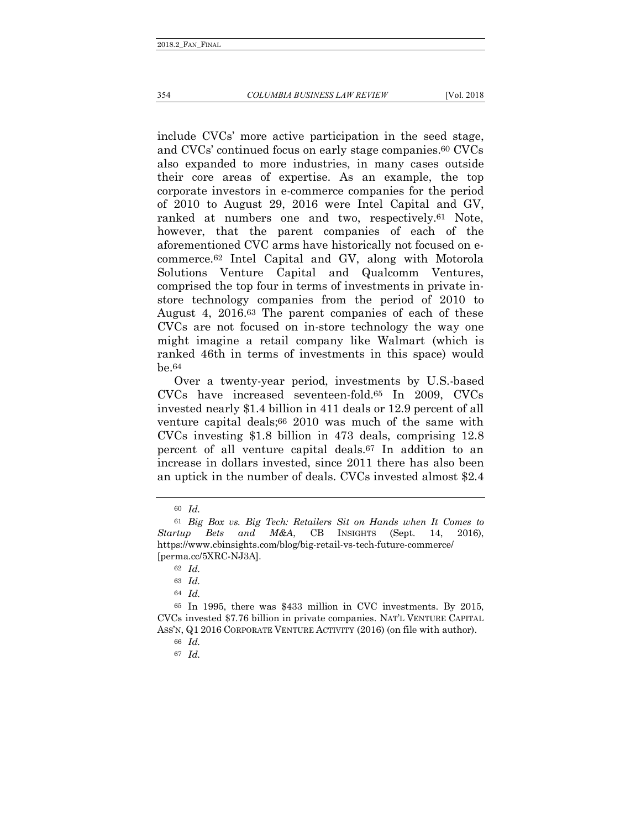#### 354 *COLUMBIA BUSINESS LAW REVIEW* [Vol. 2018

include CVCs' more active participation in the seed stage, and CVCs' continued focus on early stage companies.60 CVCs also expanded to more industries, in many cases outside their core areas of expertise. As an example, the top corporate investors in e-commerce companies for the period of 2010 to August 29, 2016 were Intel Capital and GV, ranked at numbers one and two, respectively.61 Note, however, that the parent companies of each of the aforementioned CVC arms have historically not focused on ecommerce.62 Intel Capital and GV, along with Motorola Solutions Venture Capital and Qualcomm Ventures, comprised the top four in terms of investments in private instore technology companies from the period of 2010 to August 4, 2016.63 The parent companies of each of these CVCs are not focused on in-store technology the way one might imagine a retail company like Walmart (which is ranked 46th in terms of investments in this space) would be.64

Over a twenty-year period, investments by U.S.-based CVCs have increased seventeen-fold.65 In 2009, CVCs invested nearly \$1.4 billion in 411 deals or 12.9 percent of all venture capital deals;66 2010 was much of the same with CVCs investing \$1.8 billion in 473 deals, comprising 12.8 percent of all venture capital deals.67 In addition to an increase in dollars invested, since 2011 there has also been an uptick in the number of deals. CVCs invested almost \$2.4

<sup>60</sup> *Id.* 

<sup>61</sup> *Big Box vs. Big Tech: Retailers Sit on Hands when It Comes to Startup Bets and M&A*, CB INSIGHTS (Sept. 14, 2016), https://www.cbinsights.com/blog/big-retail-vs-tech-future-commerce/ [perma.cc/5XRC-NJ3A].

<sup>62</sup> *Id.*

<sup>63</sup> *Id.*

<sup>64</sup> *Id.*

<sup>65</sup> In 1995, there was \$433 million in CVC investments. By 2015, CVCs invested \$7.76 billion in private companies. NAT'L VENTURE CAPITAL ASS'N, Q1 2016 CORPORATE VENTURE ACTIVITY (2016) (on file with author).

<sup>66</sup> *Id.*

<sup>67</sup> *Id.*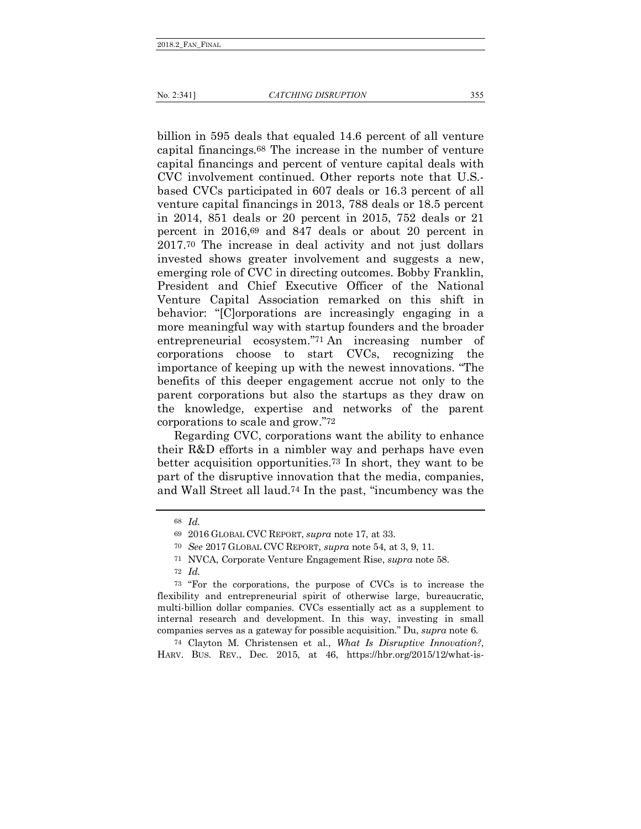billion in 595 deals that equaled 14.6 percent of all venture capital financings.68 The increase in the number of venture capital financings and percent of venture capital deals with CVC involvement continued. Other reports note that U.S. based CVCs participated in 607 deals or 16.3 percent of all venture capital financings in 2013, 788 deals or 18.5 percent in 2014, 851 deals or 20 percent in 2015, 752 deals or 21 percent in 2016,69 and 847 deals or about 20 percent in 2017.70 The increase in deal activity and not just dollars invested shows greater involvement and suggests a new, emerging role of CVC in directing outcomes. Bobby Franklin, President and Chief Executive Officer of the National Venture Capital Association remarked on this shift in behavior: "[C]orporations are increasingly engaging in a more meaningful way with startup founders and the broader entrepreneurial ecosystem."71 An increasing number of corporations choose to start CVCs, recognizing the importance of keeping up with the newest innovations. "The benefits of this deeper engagement accrue not only to the parent corporations but also the startups as they draw on the knowledge, expertise and networks of the parent corporations to scale and grow."72

Regarding CVC, corporations want the ability to enhance their R&D efforts in a nimbler way and perhaps have even better acquisition opportunities.73 In short, they want to be part of the disruptive innovation that the media, companies, and Wall Street all laud.74 In the past, "incumbency was the

74 Clayton M. Christensen et al., *What Is Disruptive Innovation?*, HARV. BUS. REV., Dec. 2015, at 46, https://hbr.org/2015/12/what-is-

<sup>68</sup> *Id.*

<sup>69</sup> 2016 GLOBAL CVC REPORT, *supra* note 17, at 33.

<sup>70</sup> *See* 2017 GLOBAL CVC REPORT, *supra* note 54, at 3, 9, 11.

<sup>71</sup> NVCA, Corporate Venture Engagement Rise, *supra* note 58.

<sup>72</sup> *Id.*

<sup>73</sup> "For the corporations, the purpose of CVCs is to increase the flexibility and entrepreneurial spirit of otherwise large, bureaucratic, multi-billion dollar companies. CVCs essentially act as a supplement to internal research and development. In this way, investing in small companies serves as a gateway for possible acquisition." Du, *supra* note 6.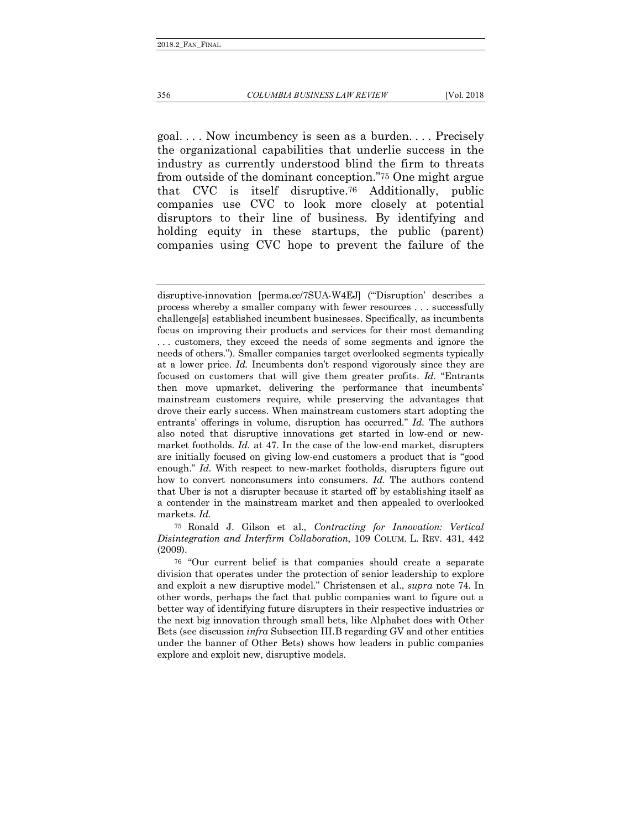goal. . . . Now incumbency is seen as a burden. . . . Precisely the organizational capabilities that underlie success in the industry as currently understood blind the firm to threats from outside of the dominant conception."75 One might argue that CVC is itself disruptive.76 Additionally, public companies use CVC to look more closely at potential disruptors to their line of business. By identifying and holding equity in these startups, the public (parent) companies using CVC hope to prevent the failure of the

75 Ronald J. Gilson et al., *Contracting for Innovation: Vertical Disintegration and Interfirm Collaboration*, 109 COLUM. L. REV. 431, 442 (2009).

disruptive-innovation [perma.cc/7SUA-W4EJ] ("'Disruption' describes a process whereby a smaller company with fewer resources . . . successfully challenge[s] established incumbent businesses. Specifically, as incumbents focus on improving their products and services for their most demanding . . . customers, they exceed the needs of some segments and ignore the needs of others."). Smaller companies target overlooked segments typically at a lower price. *Id.* Incumbents don't respond vigorously since they are focused on customers that will give them greater profits. *Id.* "Entrants then move upmarket, delivering the performance that incumbents' mainstream customers require, while preserving the advantages that drove their early success. When mainstream customers start adopting the entrants' offerings in volume, disruption has occurred." *Id.* The authors also noted that disruptive innovations get started in low-end or newmarket footholds. *Id.* at 47. In the case of the low-end market, disrupters are initially focused on giving low-end customers a product that is "good enough." *Id.* With respect to new-market footholds, disrupters figure out how to convert nonconsumers into consumers. *Id.* The authors contend that Uber is not a disrupter because it started off by establishing itself as a contender in the mainstream market and then appealed to overlooked markets. *Id.*

<sup>76</sup> "Our current belief is that companies should create a separate division that operates under the protection of senior leadership to explore and exploit a new disruptive model." Christensen et al., *supra* note 74. In other words, perhaps the fact that public companies want to figure out a better way of identifying future disrupters in their respective industries or the next big innovation through small bets, like Alphabet does with Other Bets (see discussion *infra* Subsection III.B regarding GV and other entities under the banner of Other Bets) shows how leaders in public companies explore and exploit new, disruptive models.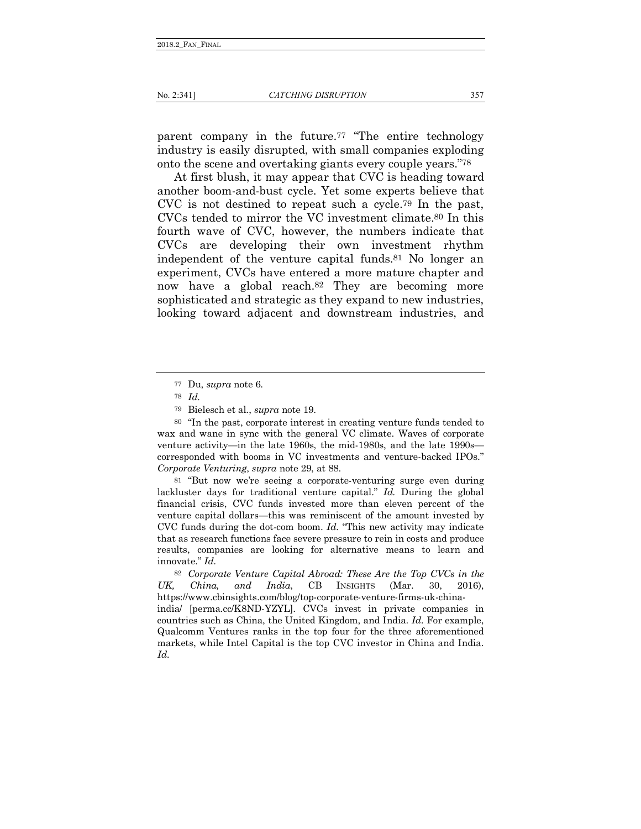parent company in the future.77 "The entire technology industry is easily disrupted, with small companies exploding onto the scene and overtaking giants every couple years."78

At first blush, it may appear that CVC is heading toward another boom-and-bust cycle. Yet some experts believe that CVC is not destined to repeat such a cycle.79 In the past, CVCs tended to mirror the VC investment climate.80 In this fourth wave of CVC, however, the numbers indicate that CVCs are developing their own investment rhythm independent of the venture capital funds.81 No longer an experiment, CVCs have entered a more mature chapter and now have a global reach.82 They are becoming more sophisticated and strategic as they expand to new industries, looking toward adjacent and downstream industries, and

81 "But now we're seeing a corporate-venturing surge even during lackluster days for traditional venture capital." *Id.* During the global financial crisis, CVC funds invested more than eleven percent of the venture capital dollars—this was reminiscent of the amount invested by CVC funds during the dot-com boom. *Id.* "This new activity may indicate that as research functions face severe pressure to rein in costs and produce results, companies are looking for alternative means to learn and innovate." *Id.*

82 *Corporate Venture Capital Abroad: These Are the Top CVCs in the UK, China, and India*, CB INSIGHTS (Mar. 30, 2016), https://www.cbinsights.com/blog/top-corporate-venture-firms-uk-chinaindia/ [perma.cc/K8ND-YZYL]. CVCs invest in private companies in countries such as China, the United Kingdom, and India. *Id.* For example, Qualcomm Ventures ranks in the top four for the three aforementioned markets, while Intel Capital is the top CVC investor in China and India. *Id.*

<sup>77</sup> Du, *supra* note 6.

<sup>78</sup> *Id.*

<sup>79</sup> Bielesch et al., *supra* note 19.

<sup>80</sup> "In the past, corporate interest in creating venture funds tended to wax and wane in sync with the general VC climate. Waves of corporate venture activity—in the late 1960s, the mid-1980s, and the late 1990s corresponded with booms in VC investments and venture-backed IPOs." *Corporate Venturing*, *supra* note 29, at 88.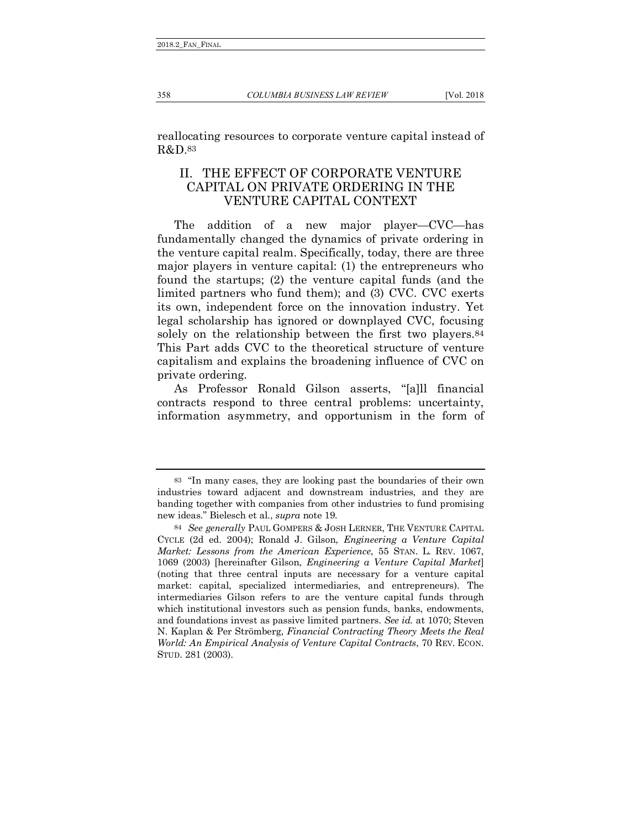reallocating resources to corporate venture capital instead of R&D.83

# <span id="page-17-0"></span>II. THE EFFECT OF CORPORATE VENTURE CAPITAL ON PRIVATE ORDERING IN THE VENTURE CAPITAL CONTEXT

The addition of a new major player—CVC—has fundamentally changed the dynamics of private ordering in the venture capital realm. Specifically, today, there are three major players in venture capital: (1) the entrepreneurs who found the startups; (2) the venture capital funds (and the limited partners who fund them); and (3) CVC. CVC exerts its own, independent force on the innovation industry. Yet legal scholarship has ignored or downplayed CVC, focusing solely on the relationship between the first two players.<sup>84</sup> This Part adds CVC to the theoretical structure of venture capitalism and explains the broadening influence of CVC on private ordering.

As Professor Ronald Gilson asserts, "[a]ll financial contracts respond to three central problems: uncertainty, information asymmetry, and opportunism in the form of

<sup>83</sup> "In many cases, they are looking past the boundaries of their own industries toward adjacent and downstream industries, and they are banding together with companies from other industries to fund promising new ideas." Bielesch et al., *supra* note 19.

<sup>84</sup> *See generally* PAUL GOMPERS & JOSH LERNER, THE VENTURE CAPITAL CYCLE (2d ed. 2004); Ronald J. Gilson, *Engineering a Venture Capital Market: Lessons from the American Experience*, 55 STAN. L. REV. 1067, 1069 (2003) [hereinafter Gilson, *Engineering a Venture Capital Market*] (noting that three central inputs are necessary for a venture capital market: capital, specialized intermediaries, and entrepreneurs). The intermediaries Gilson refers to are the venture capital funds through which institutional investors such as pension funds, banks, endowments, and foundations invest as passive limited partners. *See id.* at 1070; Steven N. Kaplan & Per Strömberg, *Financial Contracting Theory Meets the Real World: An Empirical Analysis of Venture Capital Contracts*, 70 REV. ECON. STUD. 281 (2003).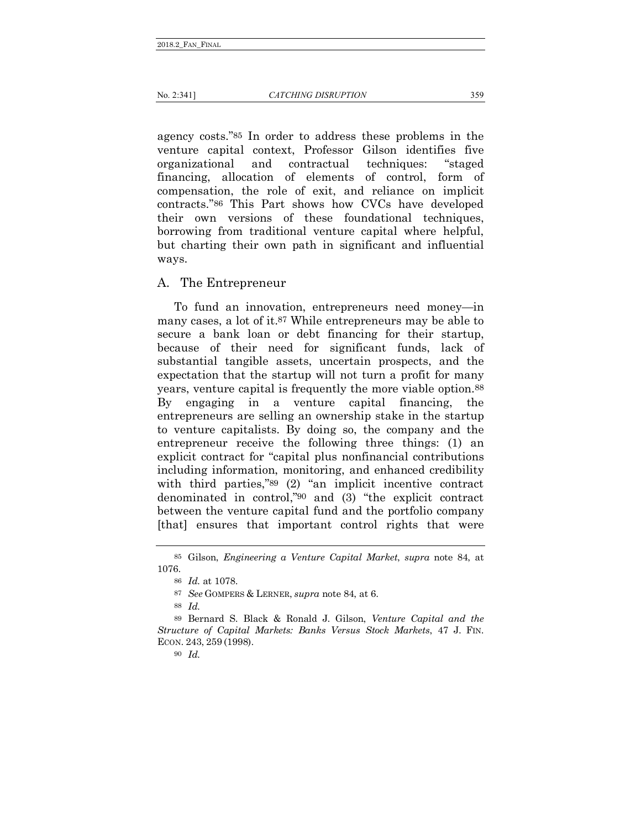agency costs."85 In order to address these problems in the venture capital context, Professor Gilson identifies five organizational and contractual techniques: "staged financing, allocation of elements of control, form of compensation, the role of exit, and reliance on implicit contracts."86 This Part shows how CVCs have developed their own versions of these foundational techniques, borrowing from traditional venture capital where helpful, but charting their own path in significant and influential ways.

#### <span id="page-18-0"></span>A. The Entrepreneur

To fund an innovation, entrepreneurs need money—in many cases, a lot of it.87 While entrepreneurs may be able to secure a bank loan or debt financing for their startup, because of their need for significant funds, lack of substantial tangible assets, uncertain prospects, and the expectation that the startup will not turn a profit for many years, venture capital is frequently the more viable option.88 By engaging in a venture capital financing, the entrepreneurs are selling an ownership stake in the startup to venture capitalists. By doing so, the company and the entrepreneur receive the following three things: (1) an explicit contract for "capital plus nonfinancial contributions including information, monitoring, and enhanced credibility with third parties,"<sup>89</sup> (2) "an implicit incentive contract denominated in control,"90 and (3) "the explicit contract between the venture capital fund and the portfolio company [that] ensures that important control rights that were

90 *Id.*

<sup>85</sup> Gilson, *Engineering a Venture Capital Market*, *supra* note 84, at 1076.

<sup>86</sup> *Id.* at 1078.

<sup>87</sup> *See* GOMPERS & LERNER, *supra* note 84, at 6.

<sup>88</sup> *Id.*

<sup>89</sup> Bernard S. Black & Ronald J. Gilson, *Venture Capital and the Structure of Capital Markets: Banks Versus Stock Markets*, 47 J. FIN. ECON. 243, 259 (1998).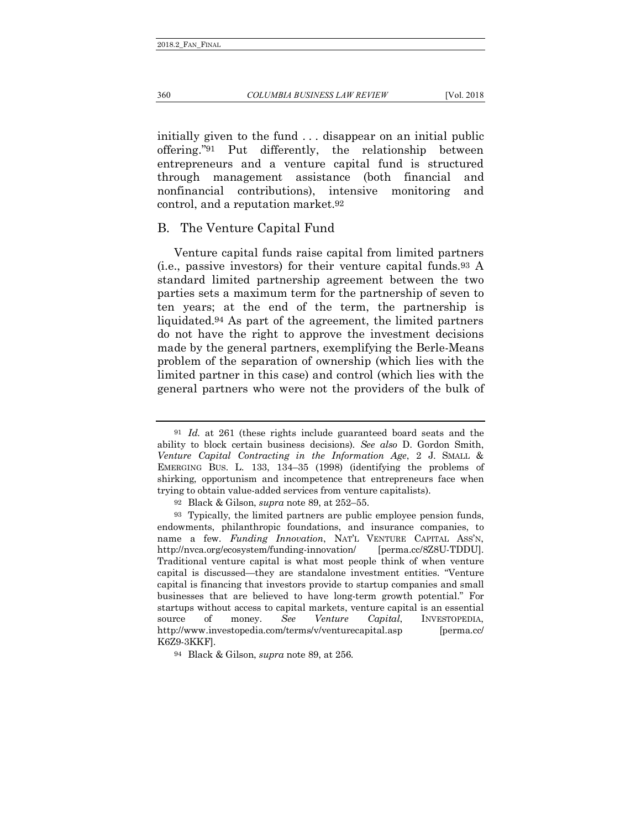initially given to the fund . . . disappear on an initial public offering."91 Put differently, the relationship between entrepreneurs and a venture capital fund is structured through management assistance (both financial and nonfinancial contributions), intensive monitoring and control, and a reputation market.92

#### <span id="page-19-0"></span>B. The Venture Capital Fund

Venture capital funds raise capital from limited partners (i.e., passive investors) for their venture capital funds.93 A standard limited partnership agreement between the two parties sets a maximum term for the partnership of seven to ten years; at the end of the term, the partnership is liquidated.94 As part of the agreement, the limited partners do not have the right to approve the investment decisions made by the general partners, exemplifying the Berle-Means problem of the separation of ownership (which lies with the limited partner in this case) and control (which lies with the general partners who were not the providers of the bulk of

<sup>91</sup> *Id.* at 261 (these rights include guaranteed board seats and the ability to block certain business decisions). *See also* D. Gordon Smith, *Venture Capital Contracting in the Information Age*, 2 J. SMALL & EMERGING BUS. L. 133, 134–35 (1998) (identifying the problems of shirking, opportunism and incompetence that entrepreneurs face when trying to obtain value-added services from venture capitalists).

<sup>92</sup> Black & Gilson, *supra* note 89, at 252–55.

<sup>93</sup> Typically, the limited partners are public employee pension funds, endowments, philanthropic foundations, and insurance companies, to name a few. *Funding Innovation*, NAT'L VENTURE CAPITAL ASS'N, http://nvca.org/ecosystem/funding-innovation/ [perma.cc/8Z8U-TDDU]. Traditional venture capital is what most people think of when venture capital is discussed—they are standalone investment entities. "Venture capital is financing that investors provide to startup companies and small businesses that are believed to have long-term growth potential." For startups without access to capital markets, venture capital is an essential source of money. *See Venture Capital*, INVESTOPEDIA, http://www.investopedia.com/terms/v/venturecapital.asp [perma.cc/ K6Z9-3KKF].

<sup>94</sup> Black & Gilson, *supra* note 89, at 256.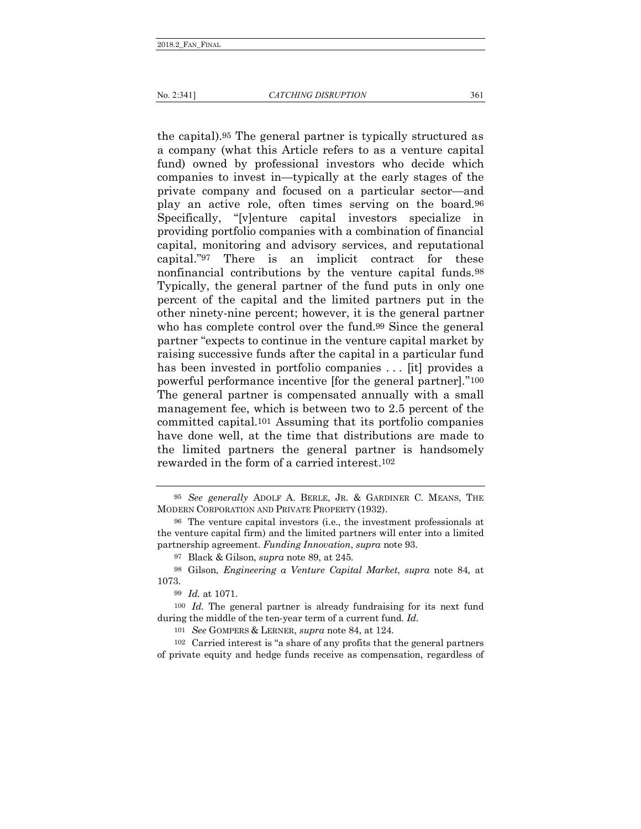the capital).95 The general partner is typically structured as a company (what this Article refers to as a venture capital fund) owned by professional investors who decide which companies to invest in—typically at the early stages of the private company and focused on a particular sector—and play an active role, often times serving on the board.96 Specifically, "[v]enture capital investors specialize in providing portfolio companies with a combination of financial capital, monitoring and advisory services, and reputational capital."97 There is an implicit contract for these nonfinancial contributions by the venture capital funds.98 Typically, the general partner of the fund puts in only one percent of the capital and the limited partners put in the other ninety-nine percent; however, it is the general partner who has complete control over the fund.99 Since the general partner "expects to continue in the venture capital market by raising successive funds after the capital in a particular fund has been invested in portfolio companies . . . [it] provides a powerful performance incentive [for the general partner]."100 The general partner is compensated annually with a small management fee, which is between two to 2.5 percent of the committed capital.101 Assuming that its portfolio companies have done well, at the time that distributions are made to the limited partners the general partner is handsomely rewarded in the form of a carried interest.102

101 *See* GOMPERS & LERNER, *supra* note 84, at 124.

102 Carried interest is "a share of any profits that the general partners of private equity and hedge funds receive as compensation, regardless of

<sup>95</sup> *See generally* ADOLF A. BERLE, JR. & GARDINER C. MEANS, THE MODERN CORPORATION AND PRIVATE PROPERTY (1932).

<sup>96</sup> The venture capital investors (i.e., the investment professionals at the venture capital firm) and the limited partners will enter into a limited partnership agreement. *Funding Innovation*, *supra* note 93.

<sup>97</sup> Black & Gilson, *supra* note 89, at 245.

<sup>98</sup> Gilson, *Engineering a Venture Capital Market*, *supra* note 84, at 1073.

<sup>99</sup> *Id.* at 1071.

<sup>100</sup> *Id.* The general partner is already fundraising for its next fund during the middle of the ten-year term of a current fund. *Id.*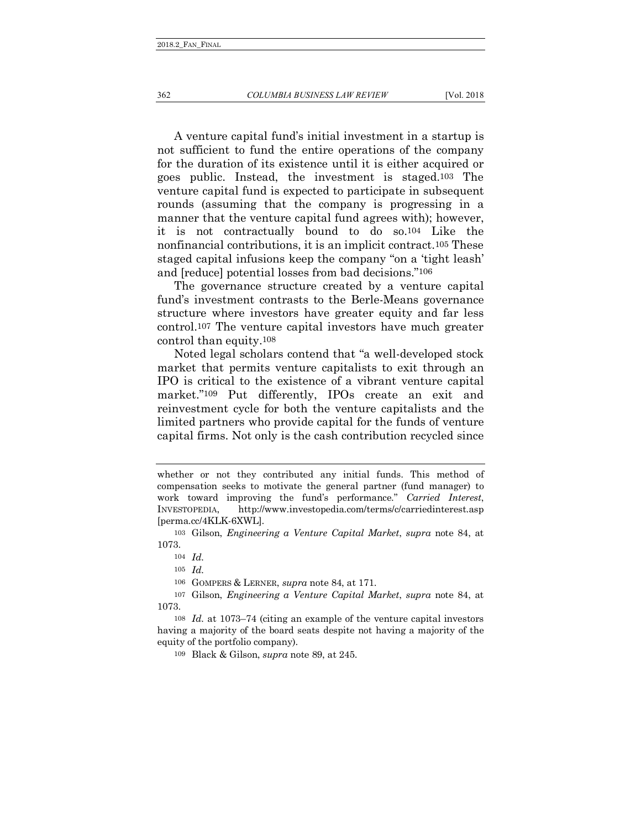A venture capital fund's initial investment in a startup is not sufficient to fund the entire operations of the company for the duration of its existence until it is either acquired or goes public. Instead, the investment is staged.103 The venture capital fund is expected to participate in subsequent rounds (assuming that the company is progressing in a manner that the venture capital fund agrees with); however, it is not contractually bound to do so.104 Like the nonfinancial contributions, it is an implicit contract.105 These staged capital infusions keep the company "on a 'tight leash' and [reduce] potential losses from bad decisions."106

The governance structure created by a venture capital fund's investment contrasts to the Berle-Means governance structure where investors have greater equity and far less control.107 The venture capital investors have much greater control than equity.108

Noted legal scholars contend that "a well-developed stock market that permits venture capitalists to exit through an IPO is critical to the existence of a vibrant venture capital market."109 Put differently, IPOs create an exit and reinvestment cycle for both the venture capitalists and the limited partners who provide capital for the funds of venture capital firms. Not only is the cash contribution recycled since

whether or not they contributed any initial funds. This method of compensation seeks to motivate the general partner (fund manager) to work toward improving the fund's performance." *Carried Interest*, INVESTOPEDIA, http://www.investopedia.com/terms/c/carriedinterest.asp [perma.cc/4KLK-6XWL].

<sup>103</sup> Gilson, *Engineering a Venture Capital Market*, *supra* note 84, at 1073.

<sup>104</sup> *Id.*

<sup>105</sup> *Id.* 

<sup>106</sup> GOMPERS & LERNER, *supra* note 84, at 171.

<sup>107</sup> Gilson, *Engineering a Venture Capital Market*, *supra* note 84, at 1073.

<sup>108</sup> *Id.* at 1073–74 (citing an example of the venture capital investors having a majority of the board seats despite not having a majority of the equity of the portfolio company).

<sup>109</sup> Black & Gilson, *supra* note 89, at 245.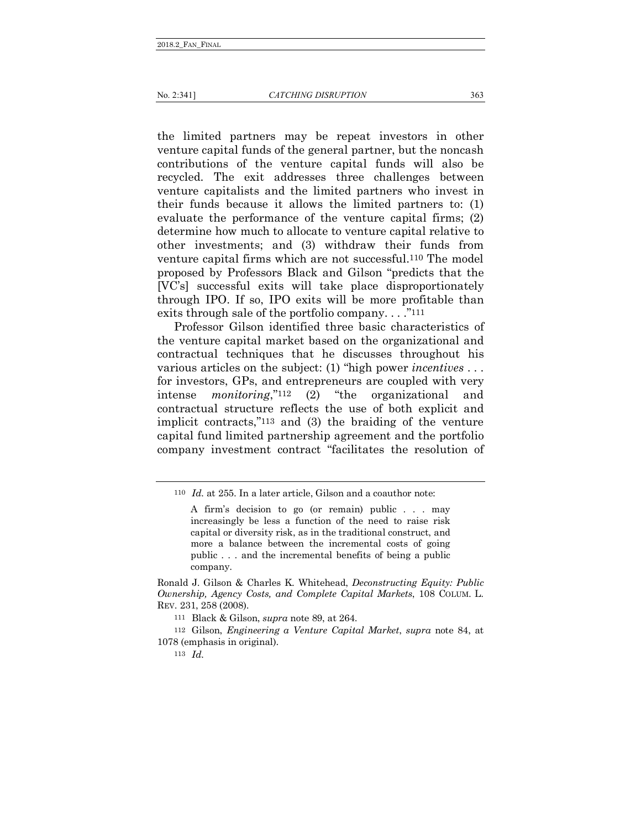the limited partners may be repeat investors in other venture capital funds of the general partner, but the noncash contributions of the venture capital funds will also be recycled. The exit addresses three challenges between venture capitalists and the limited partners who invest in their funds because it allows the limited partners to: (1) evaluate the performance of the venture capital firms; (2) determine how much to allocate to venture capital relative to other investments; and (3) withdraw their funds from venture capital firms which are not successful.110 The model proposed by Professors Black and Gilson "predicts that the [VC's] successful exits will take place disproportionately through IPO. If so, IPO exits will be more profitable than exits through sale of the portfolio company...."<sup>111</sup>

Professor Gilson identified three basic characteristics of the venture capital market based on the organizational and contractual techniques that he discusses throughout his various articles on the subject: (1) "high power *incentives* . . . for investors, GPs, and entrepreneurs are coupled with very intense *monitoring*,"112 (2) "the organizational and contractual structure reflects the use of both explicit and implicit contracts,"113 and (3) the braiding of the venture capital fund limited partnership agreement and the portfolio company investment contract "facilitates the resolution of

113 *Id.*

<sup>110</sup> *Id.* at 255. In a later article, Gilson and a coauthor note:

A firm's decision to go (or remain) public . . . may increasingly be less a function of the need to raise risk capital or diversity risk, as in the traditional construct, and more a balance between the incremental costs of going public . . . and the incremental benefits of being a public company.

Ronald J. Gilson & Charles K. Whitehead, *Deconstructing Equity: Public Ownership, Agency Costs, and Complete Capital Markets*, 108 COLUM. L. REV. 231, 258 (2008).

<sup>111</sup> Black & Gilson, *supra* note 89, at 264.

<sup>112</sup> Gilson, *Engineering a Venture Capital Market*, *supra* note 84, at 1078 (emphasis in original).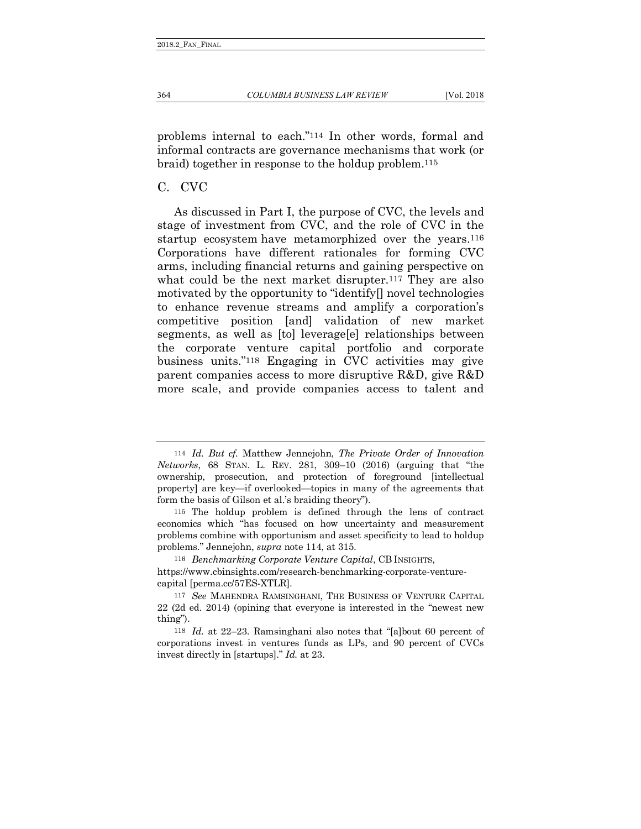problems internal to each."114 In other words, formal and informal contracts are governance mechanisms that work (or braid) together in response to the holdup problem.115

### <span id="page-23-0"></span>C. CVC

As discussed in Part I, the purpose of CVC, the levels and stage of investment from CVC, and the role of CVC in the startup ecosystem have metamorphized over the years.116 Corporations have different rationales for forming CVC arms, including financial returns and gaining perspective on what could be the next market disrupter.<sup>117</sup> They are also motivated by the opportunity to "identify[] novel technologies to enhance revenue streams and amplify a corporation's competitive position [and] validation of new market segments, as well as [to] leverage[e] relationships between the corporate venture capital portfolio and corporate business units."118 Engaging in CVC activities may give parent companies access to more disruptive R&D, give R&D more scale, and provide companies access to talent and

116 *Benchmarking Corporate Venture Capital*, CB INSIGHTS,

https://www.cbinsights.com/research-benchmarking-corporate-venturecapital [perma.cc/57ES-XTLR].

<sup>114</sup> *Id. But cf.* Matthew Jennejohn, *The Private Order of Innovation Networks*, 68 STAN. L. REV. 281, 309–10 (2016) (arguing that "the ownership, prosecution, and protection of foreground [intellectual property] are key—if overlooked—topics in many of the agreements that form the basis of Gilson et al.'s braiding theory").

<sup>115</sup> The holdup problem is defined through the lens of contract economics which "has focused on how uncertainty and measurement problems combine with opportunism and asset specificity to lead to holdup problems." Jennejohn, *supra* note 114, at 315.

<sup>117</sup> *See* MAHENDRA RAMSINGHANI, THE BUSINESS OF VENTURE CAPITAL 22 (2d ed. 2014) (opining that everyone is interested in the "newest new thing").

<sup>118</sup> *Id.* at 22–23. Ramsinghani also notes that "[a]bout 60 percent of corporations invest in ventures funds as LPs, and 90 percent of CVCs invest directly in [startups]." *Id.* at 23.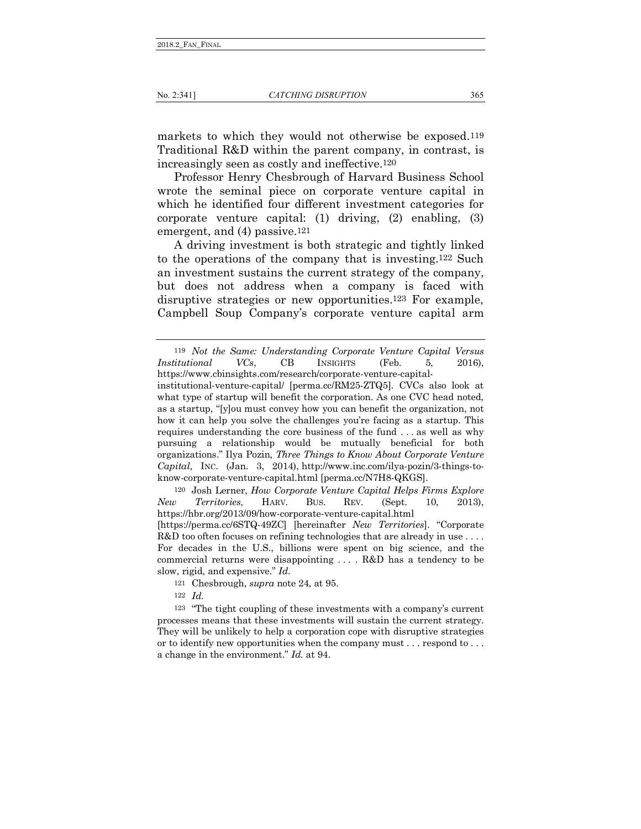markets to which they would not otherwise be exposed.119 Traditional R&D within the parent company, in contrast, is increasingly seen as costly and ineffective.120

Professor Henry Chesbrough of Harvard Business School wrote the seminal piece on corporate venture capital in which he identified four different investment categories for corporate venture capital: (1) driving, (2) enabling, (3) emergent, and (4) passive.121

A driving investment is both strategic and tightly linked to the operations of the company that is investing.122 Such an investment sustains the current strategy of the company, but does not address when a company is faced with disruptive strategies or new opportunities.123 For example, Campbell Soup Company's corporate venture capital arm

120 Josh Lerner, *How Corporate Venture Capital Helps Firms Explore New Territories*, HARV. BUS. REV. (Sept. 10, 2013), https://hbr.org/2013/09/how-corporate-venture-capital.html

[https://perma.cc/6STQ-49ZC] [hereinafter *New Territories*]. "Corporate R&D too often focuses on refining technologies that are already in use .... For decades in the U.S., billions were spent on big science, and the commercial returns were disappointing . . . . R&D has a tendency to be slow, rigid, and expensive." *Id.*

121 Chesbrough, *supra* note 24, at 95.

122 *Id.*

123 "The tight coupling of these investments with a company's current processes means that these investments will sustain the current strategy. They will be unlikely to help a corporation cope with disruptive strategies or to identify new opportunities when the company must . . . respond to . . . a change in the environment." *Id.* at 94.

<sup>119</sup> *Not the Same: Understanding Corporate Venture Capital Versus Institutional VCs*, CB INSIGHTS (Feb. 5, 2016), https://www.cbinsights.com/research/corporate-venture-capital-

institutional-venture-capital/ [perma.cc/RM25-ZTQ5]. CVCs also look at what type of startup will benefit the corporation. As one CVC head noted, as a startup, "[y]ou must convey how you can benefit the organization, not how it can help you solve the challenges you're facing as a startup. This requires understanding the core business of the fund . . . as well as why pursuing a relationship would be mutually beneficial for both organizations." Ilya Pozin, *Three Things to Know About Corporate Venture Capital*, INC. (Jan. 3, 2014), http://www.inc.com/ilya-pozin/3-things-toknow-corporate-venture-capital.html [perma.cc/N7H8-QKGS].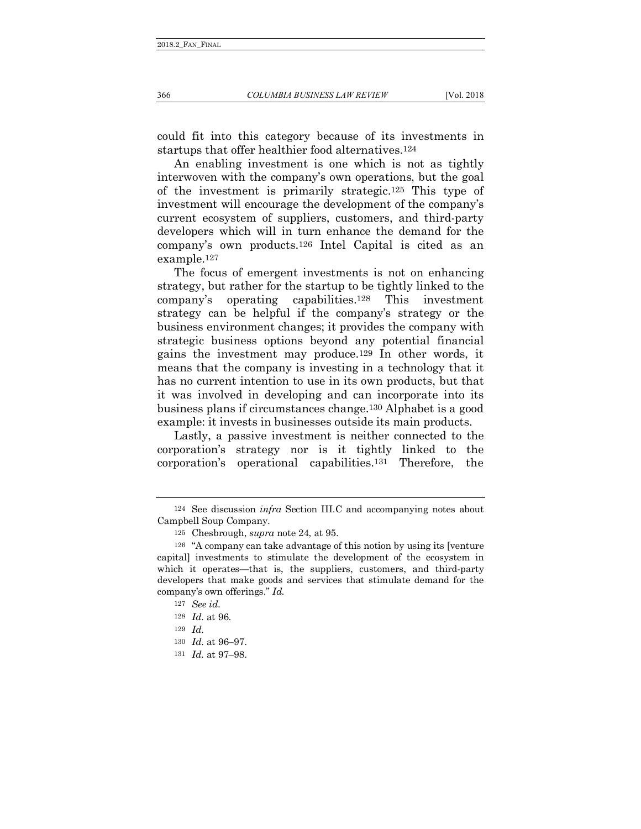could fit into this category because of its investments in startups that offer healthier food alternatives.124

An enabling investment is one which is not as tightly interwoven with the company's own operations, but the goal of the investment is primarily strategic.125 This type of investment will encourage the development of the company's current ecosystem of suppliers, customers, and third-party developers which will in turn enhance the demand for the company's own products.126 Intel Capital is cited as an example.127

The focus of emergent investments is not on enhancing strategy, but rather for the startup to be tightly linked to the company's operating capabilities.128 This investment strategy can be helpful if the company's strategy or the business environment changes; it provides the company with strategic business options beyond any potential financial gains the investment may produce.129 In other words, it means that the company is investing in a technology that it has no current intention to use in its own products, but that it was involved in developing and can incorporate into its business plans if circumstances change.130 Alphabet is a good example: it invests in businesses outside its main products.

Lastly, a passive investment is neither connected to the corporation's strategy nor is it tightly linked to the corporation's operational capabilities.131 Therefore, the

<sup>124</sup> See discussion *infra* Section III.C and accompanying notes about Campbell Soup Company.

<sup>125</sup> Chesbrough, *supra* note 24, at 95.

<sup>126</sup> "A company can take advantage of this notion by using its [venture capital] investments to stimulate the development of the ecosystem in which it operates—that is, the suppliers, customers, and third-party developers that make goods and services that stimulate demand for the company's own offerings." *Id.*

<sup>127</sup> *See id.*

<sup>128</sup> *Id.* at 96.

<sup>129</sup> *Id.*

<sup>130</sup> *Id.* at 96–97.

<sup>131</sup> *Id.* at 97–98.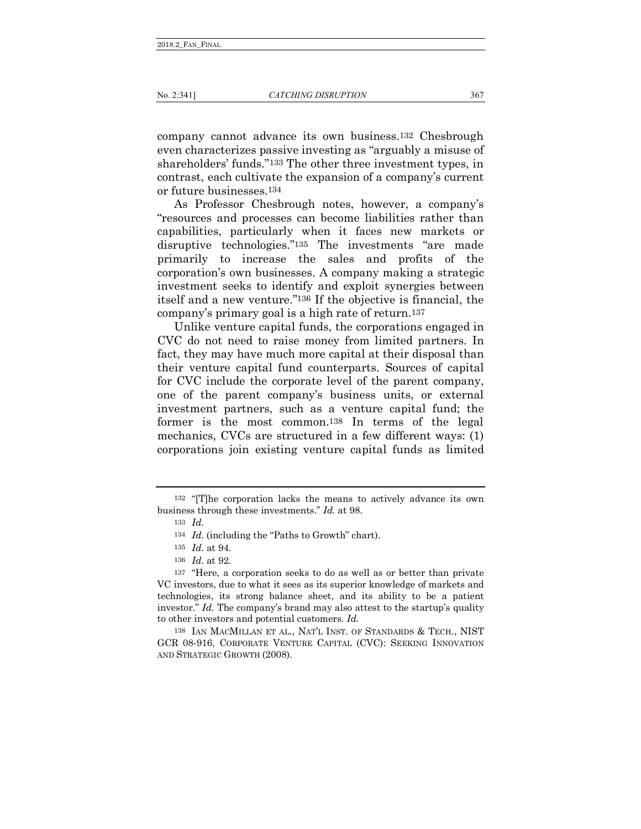company cannot advance its own business.132 Chesbrough even characterizes passive investing as "arguably a misuse of shareholders' funds."133 The other three investment types, in contrast, each cultivate the expansion of a company's current or future businesses.134

As Professor Chesbrough notes, however, a company's "resources and processes can become liabilities rather than capabilities, particularly when it faces new markets or disruptive technologies."135 The investments "are made primarily to increase the sales and profits of the corporation's own businesses. A company making a strategic investment seeks to identify and exploit synergies between itself and a new venture."136 If the objective is financial, the company's primary goal is a high rate of return.137

Unlike venture capital funds, the corporations engaged in CVC do not need to raise money from limited partners. In fact, they may have much more capital at their disposal than their venture capital fund counterparts. Sources of capital for CVC include the corporate level of the parent company, one of the parent company's business units, or external investment partners, such as a venture capital fund; the former is the most common.138 In terms of the legal mechanics, CVCs are structured in a few different ways: (1) corporations join existing venture capital funds as limited

<sup>132</sup> "[T]he corporation lacks the means to actively advance its own business through these investments." *Id.* at 98.

<sup>133</sup> *Id.*

<sup>134</sup> *Id.* (including the "Paths to Growth" chart).

<sup>135</sup> *Id.* at 94.

<sup>136</sup> *Id.* at 92.

<sup>137</sup> "Here, a corporation seeks to do as well as or better than private VC investors, due to what it sees as its superior knowledge of markets and technologies, its strong balance sheet, and its ability to be a patient investor." *Id.* The company's brand may also attest to the startup's quality to other investors and potential customers. *Id.*

<sup>138</sup> IAN MACMILLAN ET AL., NAT'L INST. OF STANDARDS & TECH., NIST GCR 08-916, CORPORATE VENTURE CAPITAL (CVC): SEEKING INNOVATION AND STRATEGIC GROWTH (2008).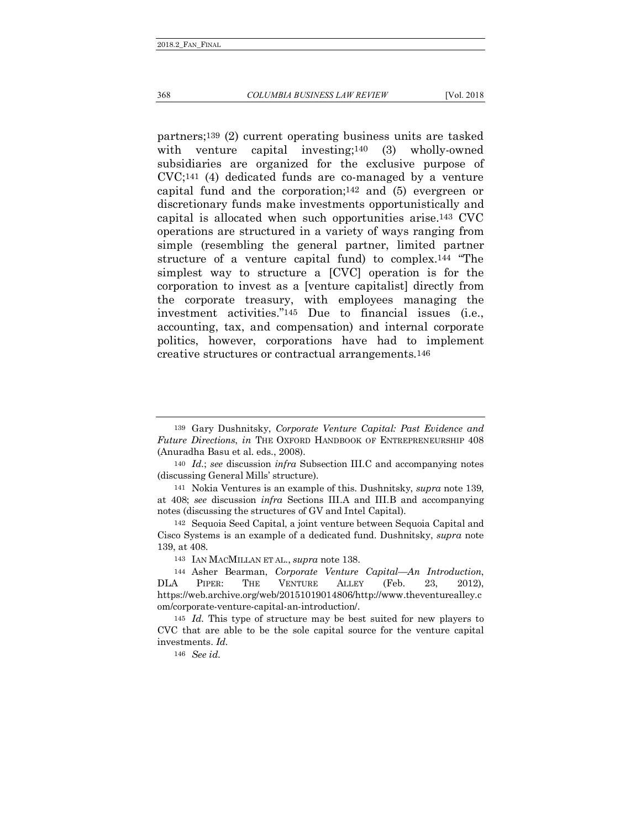#### 368 *COLUMBIA BUSINESS LAW REVIEW* [Vol. 2018

partners;139 (2) current operating business units are tasked with venture capital investing;<sup>140</sup> (3) wholly-owned subsidiaries are organized for the exclusive purpose of CVC;141 (4) dedicated funds are co-managed by a venture capital fund and the corporation;142 and (5) evergreen or discretionary funds make investments opportunistically and capital is allocated when such opportunities arise.143 CVC operations are structured in a variety of ways ranging from simple (resembling the general partner, limited partner structure of a venture capital fund) to complex.144 "The simplest way to structure a [CVC] operation is for the corporation to invest as a [venture capitalist] directly from the corporate treasury, with employees managing the investment activities."145 Due to financial issues (i.e., accounting, tax, and compensation) and internal corporate politics, however, corporations have had to implement creative structures or contractual arrangements.146

146 *See id.*

<sup>139</sup> Gary Dushnitsky, *Corporate Venture Capital: Past Evidence and Future Directions*, *in* THE OXFORD HANDBOOK OF ENTREPRENEURSHIP 408 (Anuradha Basu et al. eds., 2008).

<sup>140</sup> *Id.*; *see* discussion *infra* Subsection III.C and accompanying notes (discussing General Mills' structure).

<sup>141</sup> Nokia Ventures is an example of this. Dushnitsky, *supra* note 139, at 408; *see* discussion *infra* Sections III.A and III.B and accompanying notes (discussing the structures of GV and Intel Capital).

<sup>142</sup> Sequoia Seed Capital, a joint venture between Sequoia Capital and Cisco Systems is an example of a dedicated fund. Dushnitsky, *supra* note 139, at 408.

<sup>143</sup> IAN MACMILLAN ET AL., *supra* note 138.

<sup>144</sup> Asher Bearman, *Corporate Venture Capital—An Introduction*, DLA PIPER: THE VENTURE ALLEY (Feb. 23, 2012), https://web.archive.org/web/20151019014806/http://www.theventurealley.c om/corporate-venture-capital-an-introduction/.

<sup>145</sup> *Id.* This type of structure may be best suited for new players to CVC that are able to be the sole capital source for the venture capital investments. *Id.*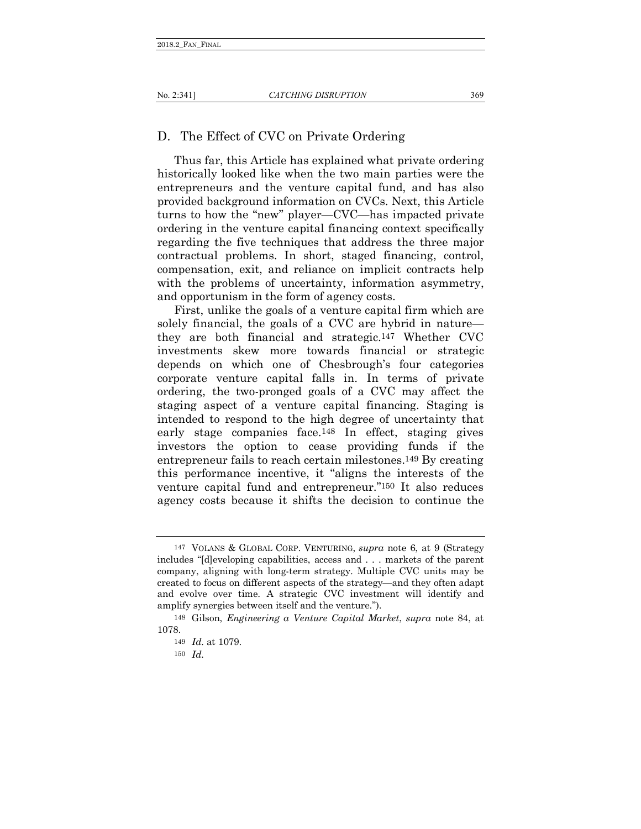## <span id="page-28-0"></span>D. The Effect of CVC on Private Ordering

Thus far, this Article has explained what private ordering historically looked like when the two main parties were the entrepreneurs and the venture capital fund, and has also provided background information on CVCs. Next, this Article turns to how the "new" player—CVC—has impacted private ordering in the venture capital financing context specifically regarding the five techniques that address the three major contractual problems. In short, staged financing, control, compensation, exit, and reliance on implicit contracts help with the problems of uncertainty, information asymmetry, and opportunism in the form of agency costs.

First, unlike the goals of a venture capital firm which are solely financial, the goals of a CVC are hybrid in nature they are both financial and strategic.147 Whether CVC investments skew more towards financial or strategic depends on which one of Chesbrough's four categories corporate venture capital falls in. In terms of private ordering, the two-pronged goals of a CVC may affect the staging aspect of a venture capital financing. Staging is intended to respond to the high degree of uncertainty that early stage companies face.148 In effect, staging gives investors the option to cease providing funds if the entrepreneur fails to reach certain milestones.149 By creating this performance incentive, it "aligns the interests of the venture capital fund and entrepreneur."150 It also reduces agency costs because it shifts the decision to continue the

<sup>147</sup> VOLANS & GLOBAL CORP. VENTURING, *supra* note 6, at 9 (Strategy includes "[d]eveloping capabilities, access and . . . markets of the parent company, aligning with long-term strategy. Multiple CVC units may be created to focus on different aspects of the strategy—and they often adapt and evolve over time. A strategic CVC investment will identify and amplify synergies between itself and the venture.").

<sup>148</sup> Gilson, *Engineering a Venture Capital Market*, *supra* note 84, at 1078.

<sup>149</sup> *Id.* at 1079.

<sup>150</sup> *Id.*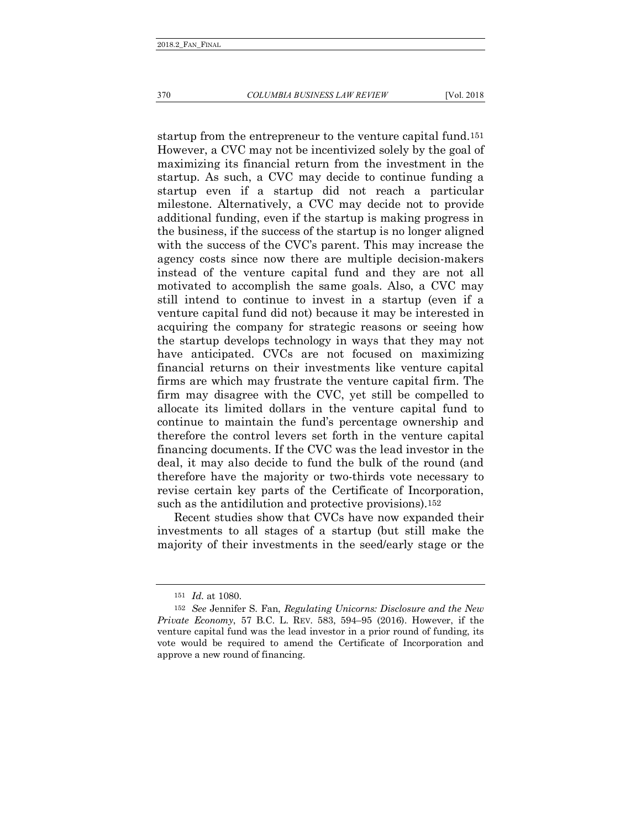startup from the entrepreneur to the venture capital fund.151 However, a CVC may not be incentivized solely by the goal of maximizing its financial return from the investment in the startup. As such, a CVC may decide to continue funding a startup even if a startup did not reach a particular milestone. Alternatively, a CVC may decide not to provide additional funding, even if the startup is making progress in the business, if the success of the startup is no longer aligned with the success of the CVC's parent. This may increase the agency costs since now there are multiple decision-makers instead of the venture capital fund and they are not all motivated to accomplish the same goals. Also, a CVC may still intend to continue to invest in a startup (even if a venture capital fund did not) because it may be interested in acquiring the company for strategic reasons or seeing how the startup develops technology in ways that they may not have anticipated. CVCs are not focused on maximizing financial returns on their investments like venture capital firms are which may frustrate the venture capital firm. The firm may disagree with the CVC, yet still be compelled to allocate its limited dollars in the venture capital fund to continue to maintain the fund's percentage ownership and therefore the control levers set forth in the venture capital financing documents. If the CVC was the lead investor in the deal, it may also decide to fund the bulk of the round (and therefore have the majority or two-thirds vote necessary to revise certain key parts of the Certificate of Incorporation, such as the antidilution and protective provisions).152

Recent studies show that CVCs have now expanded their investments to all stages of a startup (but still make the majority of their investments in the seed/early stage or the

<sup>151</sup> *Id.* at 1080.

<sup>152</sup> *See* Jennifer S. Fan, *Regulating Unicorns: Disclosure and the New Private Economy*, 57 B.C. L. REV. 583, 594–95 (2016). However, if the venture capital fund was the lead investor in a prior round of funding, its vote would be required to amend the Certificate of Incorporation and approve a new round of financing.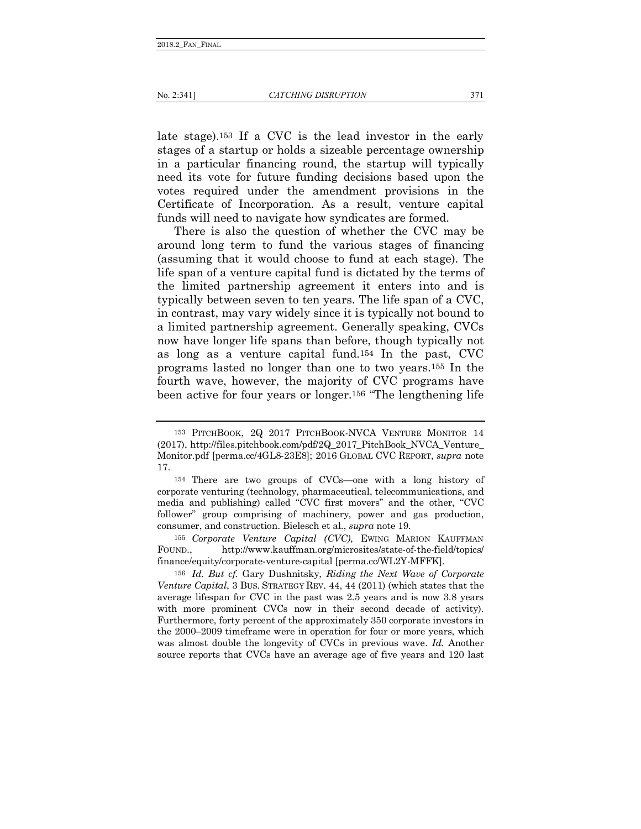late stage).153 If a CVC is the lead investor in the early stages of a startup or holds a sizeable percentage ownership in a particular financing round, the startup will typically need its vote for future funding decisions based upon the votes required under the amendment provisions in the Certificate of Incorporation. As a result, venture capital funds will need to navigate how syndicates are formed.

There is also the question of whether the CVC may be around long term to fund the various stages of financing (assuming that it would choose to fund at each stage). The life span of a venture capital fund is dictated by the terms of the limited partnership agreement it enters into and is typically between seven to ten years. The life span of a CVC, in contrast, may vary widely since it is typically not bound to a limited partnership agreement. Generally speaking, CVCs now have longer life spans than before, though typically not as long as a venture capital fund.154 In the past, CVC programs lasted no longer than one to two years.155 In the fourth wave, however, the majority of CVC programs have been active for four years or longer.156 "The lengthening life

155 *Corporate Venture Capital (CVC)*, EWING MARION KAUFFMAN FOUND., http://www.kauffman.org/microsites/state-of-the-field/topics/ finance/equity/corporate-venture-capital [perma.cc/WL2Y-MFFK].

156 *Id. But cf.* Gary Dushnitsky, *Riding the Next Wave of Corporate Venture Capital*, 3 BUS. STRATEGY REV. 44, 44 (2011) (which states that the average lifespan for CVC in the past was 2.5 years and is now 3.8 years with more prominent CVCs now in their second decade of activity). Furthermore, forty percent of the approximately 350 corporate investors in the 2000–2009 timeframe were in operation for four or more years, which was almost double the longevity of CVCs in previous wave. *Id.* Another source reports that CVCs have an average age of five years and 120 last

<sup>153</sup> PITCHBOOK, 2Q 2017 PITCHBOOK-NVCA VENTURE MONITOR 14 (2017), http://files.pitchbook.com/pdf/2Q\_2017\_PitchBook\_NVCA\_Venture\_ Monitor.pdf [perma.cc/4GL8-23E8]; 2016 GLOBAL CVC REPORT, *supra* note 17.

<sup>154</sup> There are two groups of CVCs—one with a long history of corporate venturing (technology, pharmaceutical, telecommunications, and media and publishing) called "CVC first movers" and the other, "CVC follower" group comprising of machinery, power and gas production, consumer, and construction. Bielesch et al., *supra* note 19.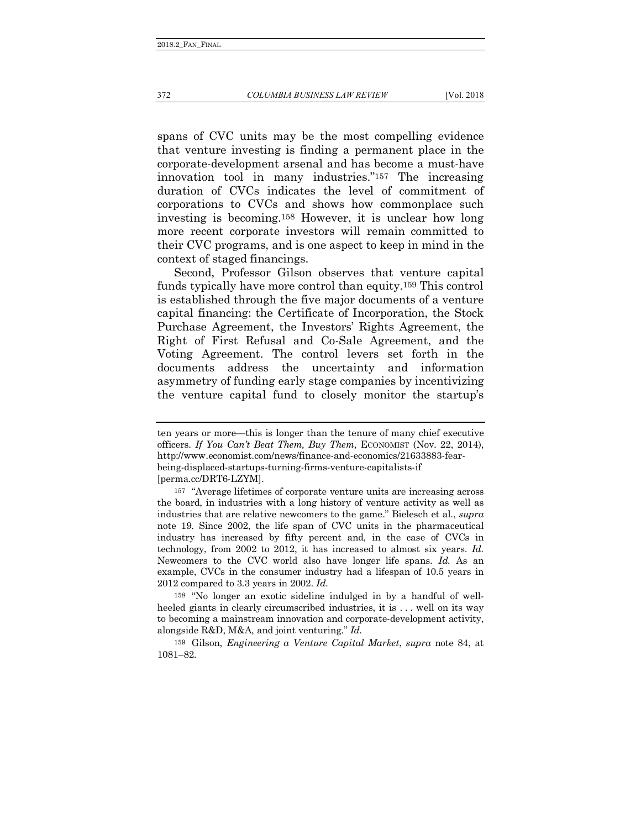spans of CVC units may be the most compelling evidence that venture investing is finding a permanent place in the corporate-development arsenal and has become a must-have innovation tool in many industries."157 The increasing duration of CVCs indicates the level of commitment of corporations to CVCs and shows how commonplace such investing is becoming.158 However, it is unclear how long more recent corporate investors will remain committed to their CVC programs, and is one aspect to keep in mind in the context of staged financings.

Second, Professor Gilson observes that venture capital funds typically have more control than equity.159 This control is established through the five major documents of a venture capital financing: the Certificate of Incorporation, the Stock Purchase Agreement, the Investors' Rights Agreement, the Right of First Refusal and Co-Sale Agreement, and the Voting Agreement. The control levers set forth in the documents address the uncertainty and information asymmetry of funding early stage companies by incentivizing the venture capital fund to closely monitor the startup's

158 "No longer an exotic sideline indulged in by a handful of wellheeled giants in clearly circumscribed industries, it is ... well on its way to becoming a mainstream innovation and corporate-development activity, alongside R&D, M&A, and joint venturing." *Id.*

159 Gilson, *Engineering a Venture Capital Market*, *supra* note 84, at 1081–82.

ten years or more—this is longer than the tenure of many chief executive officers. *If You Can't Beat Them, Buy Them*, ECONOMIST (Nov. 22, 2014), http://www.economist.com/news/finance-and-economics/21633883-fearbeing-displaced-startups-turning-firms-venture-capitalists-if [perma.cc/DRT6-LZYM].

<sup>157</sup> "Average lifetimes of corporate venture units are increasing across the board, in industries with a long history of venture activity as well as industries that are relative newcomers to the game." Bielesch et al., *supra*  note 19. Since 2002, the life span of CVC units in the pharmaceutical industry has increased by fifty percent and, in the case of CVCs in technology, from 2002 to 2012, it has increased to almost six years. *Id.*  Newcomers to the CVC world also have longer life spans. *Id.* As an example, CVCs in the consumer industry had a lifespan of 10.5 years in 2012 compared to 3.3 years in 2002. *Id.*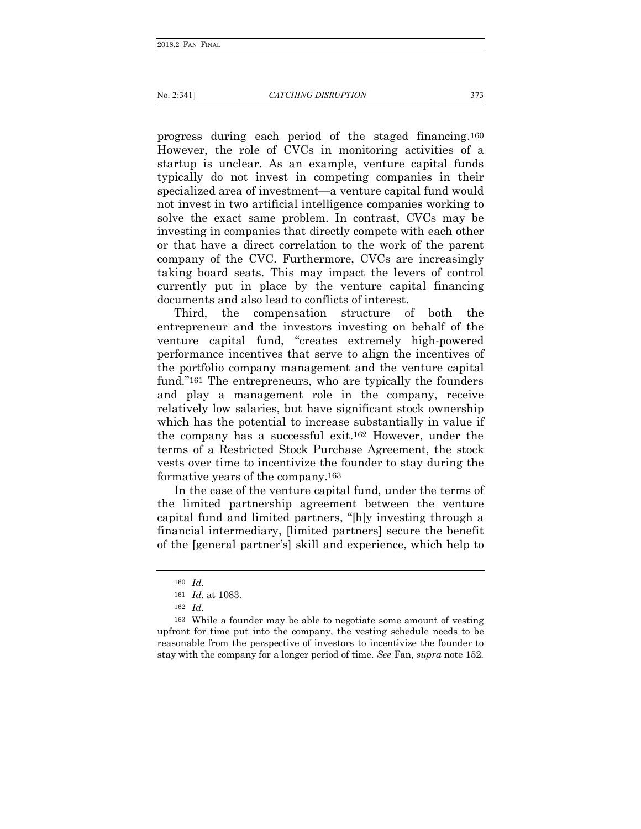progress during each period of the staged financing.160 However, the role of CVCs in monitoring activities of a startup is unclear. As an example, venture capital funds typically do not invest in competing companies in their specialized area of investment—a venture capital fund would not invest in two artificial intelligence companies working to solve the exact same problem. In contrast, CVCs may be investing in companies that directly compete with each other or that have a direct correlation to the work of the parent company of the CVC. Furthermore, CVCs are increasingly taking board seats. This may impact the levers of control currently put in place by the venture capital financing documents and also lead to conflicts of interest.

Third, the compensation structure of both the entrepreneur and the investors investing on behalf of the venture capital fund, "creates extremely high-powered performance incentives that serve to align the incentives of the portfolio company management and the venture capital fund."161 The entrepreneurs, who are typically the founders and play a management role in the company, receive relatively low salaries, but have significant stock ownership which has the potential to increase substantially in value if the company has a successful exit.162 However, under the terms of a Restricted Stock Purchase Agreement, the stock vests over time to incentivize the founder to stay during the formative years of the company.163

In the case of the venture capital fund, under the terms of the limited partnership agreement between the venture capital fund and limited partners, "[b]y investing through a financial intermediary, [limited partners] secure the benefit of the [general partner's] skill and experience, which help to

<sup>160</sup> *Id.*

<sup>161</sup> *Id.* at 1083.

<sup>162</sup> *Id.*

<sup>163</sup> While a founder may be able to negotiate some amount of vesting upfront for time put into the company, the vesting schedule needs to be reasonable from the perspective of investors to incentivize the founder to stay with the company for a longer period of time. *See* Fan, *supra* note 152.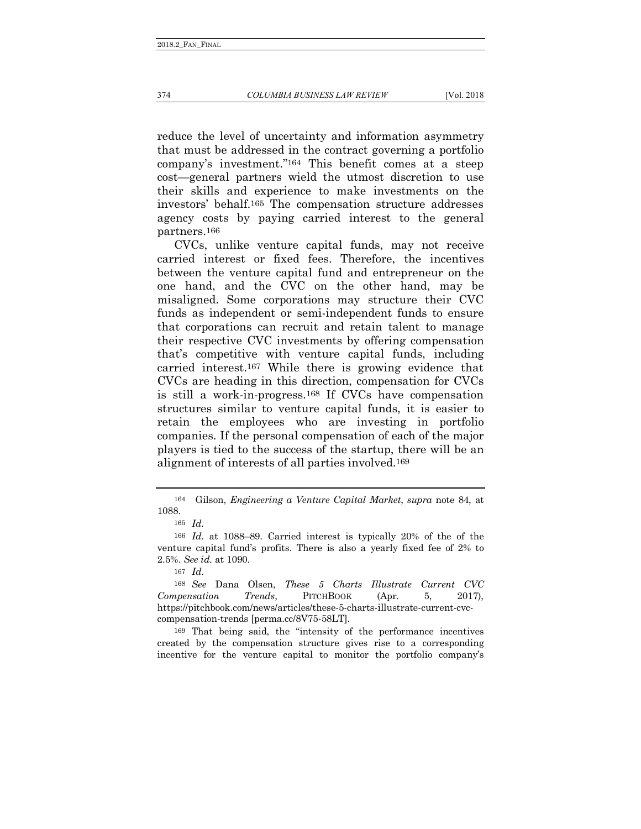reduce the level of uncertainty and information asymmetry that must be addressed in the contract governing a portfolio company's investment."164 This benefit comes at a steep cost—general partners wield the utmost discretion to use their skills and experience to make investments on the investors' behalf.165 The compensation structure addresses agency costs by paying carried interest to the general partners.166

CVCs, unlike venture capital funds, may not receive carried interest or fixed fees. Therefore, the incentives between the venture capital fund and entrepreneur on the one hand, and the CVC on the other hand, may be misaligned. Some corporations may structure their CVC funds as independent or semi-independent funds to ensure that corporations can recruit and retain talent to manage their respective CVC investments by offering compensation that's competitive with venture capital funds, including carried interest.167 While there is growing evidence that CVCs are heading in this direction, compensation for CVCs is still a work-in-progress.168 If CVCs have compensation structures similar to venture capital funds, it is easier to retain the employees who are investing in portfolio companies. If the personal compensation of each of the major players is tied to the success of the startup, there will be an alignment of interests of all parties involved.169

<sup>164</sup> Gilson, *Engineering a Venture Capital Market*, *supra* note 84, at 1088.

<sup>165</sup> *Id.*

<sup>166</sup> *Id.* at 1088–89. Carried interest is typically 20% of the of the venture capital fund's profits. There is also a yearly fixed fee of 2% to 2.5%. *See id.* at 1090.

<sup>167</sup> *Id.*

<sup>168</sup> *See* Dana Olsen, *These 5 Charts Illustrate Current CVC Compensation Trends*, PITCHBOOK (Apr. 5, 2017), https://pitchbook.com/news/articles/these-5-charts-illustrate-current-cvccompensation-trends [perma.cc/8V75-58LT].

<sup>169</sup> That being said, the "intensity of the performance incentives created by the compensation structure gives rise to a corresponding incentive for the venture capital to monitor the portfolio company's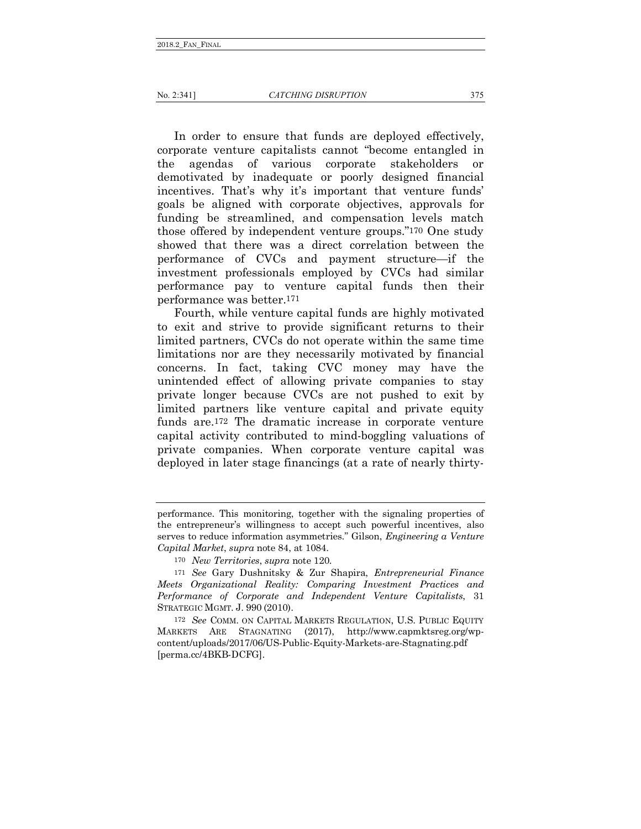In order to ensure that funds are deployed effectively, corporate venture capitalists cannot "become entangled in the agendas of various corporate stakeholders or demotivated by inadequate or poorly designed financial incentives. That's why it's important that venture funds' goals be aligned with corporate objectives, approvals for funding be streamlined, and compensation levels match those offered by independent venture groups."170 One study showed that there was a direct correlation between the performance of CVCs and payment structure—if the investment professionals employed by CVCs had similar performance pay to venture capital funds then their performance was better.171

Fourth, while venture capital funds are highly motivated to exit and strive to provide significant returns to their limited partners, CVCs do not operate within the same time limitations nor are they necessarily motivated by financial concerns. In fact, taking CVC money may have the unintended effect of allowing private companies to stay private longer because CVCs are not pushed to exit by limited partners like venture capital and private equity funds are.172 The dramatic increase in corporate venture capital activity contributed to mind-boggling valuations of private companies. When corporate venture capital was deployed in later stage financings (at a rate of nearly thirty-

172 *See* COMM. ON CAPITAL MARKETS REGULATION, U.S. PUBLIC EQUITY MARKETS ARE STAGNATING (2017), http://www.capmktsreg.org/wpcontent/uploads/2017/06/US-Public-Equity-Markets-are-Stagnating.pdf [perma.cc/4BKB-DCFG].

performance. This monitoring, together with the signaling properties of the entrepreneur's willingness to accept such powerful incentives, also serves to reduce information asymmetries." Gilson, *Engineering a Venture Capital Market*, *supra* note 84, at 1084.

<sup>170</sup> *New Territories*, *supra* note 120.

<sup>171</sup> *See* Gary Dushnitsky & Zur Shapira, *Entrepreneurial Finance Meets Organizational Reality: Comparing Investment Practices and Performance of Corporate and Independent Venture Capitalists*, 31 STRATEGIC MGMT. J. 990 (2010).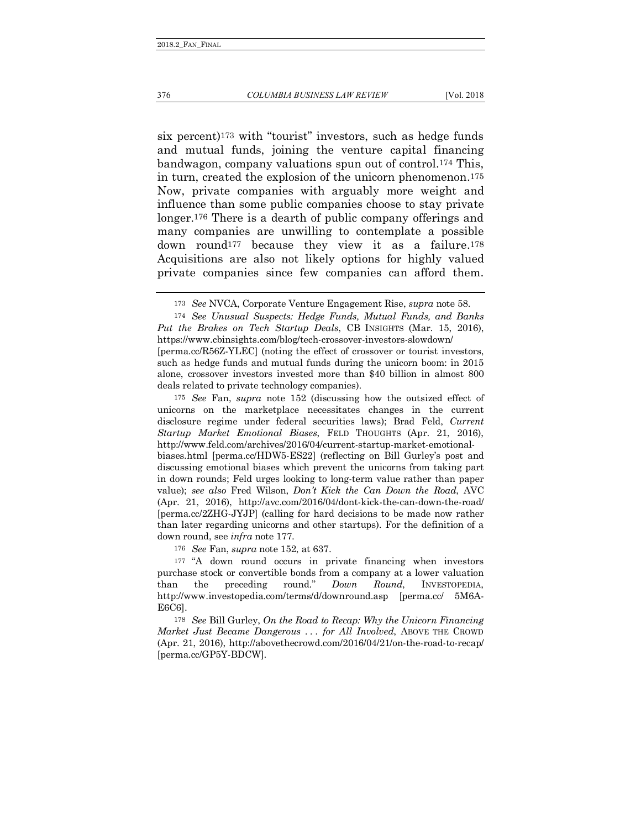six percent)173 with "tourist" investors, such as hedge funds and mutual funds, joining the venture capital financing bandwagon, company valuations spun out of control.174 This, in turn, created the explosion of the unicorn phenomenon.175 Now, private companies with arguably more weight and influence than some public companies choose to stay private longer.176 There is a dearth of public company offerings and many companies are unwilling to contemplate a possible down round177 because they view it as a failure.178 Acquisitions are also not likely options for highly valued private companies since few companies can afford them.

[perma.cc/R56Z-YLEC] (noting the effect of crossover or tourist investors, such as hedge funds and mutual funds during the unicorn boom: in 2015 alone, crossover investors invested more than \$40 billion in almost 800 deals related to private technology companies).

175 *See* Fan, *supra* note 152 (discussing how the outsized effect of unicorns on the marketplace necessitates changes in the current disclosure regime under federal securities laws); Brad Feld, *Current Startup Market Emotional Biases*, FELD THOUGHTS (Apr. 21, 2016), http://www.feld.com/archives/2016/04/current-startup-market-emotionalbiases.html [perma.cc/HDW5-ES22] (reflecting on Bill Gurley's post and discussing emotional biases which prevent the unicorns from taking part in down rounds; Feld urges looking to long-term value rather than paper value); *see also* Fred Wilson, *Don't Kick the Can Down the Road*, AVC (Apr. 21, 2016), http://avc.com/2016/04/dont-kick-the-can-down-the-road/ [perma.cc/2ZHG-JYJP] (calling for hard decisions to be made now rather than later regarding unicorns and other startups). For the definition of a down round, see *infra* note 177.

176 *See* Fan, *supra* note 152, at 637.

177 "A down round occurs in private financing when investors purchase stock or convertible bonds from a company at a lower valuation<br>than the preceding round."  $Down$   $Round$ , INVESTOPEDIA, than the preceding round." *Down Round*, INVESTOPEDIA, http://www.investopedia.com/terms/d/downround.asp [perma.cc/ 5M6A-E6C6].

178 *See* Bill Gurley, *On the Road to Recap: Why the Unicorn Financing Market Just Became Dangerous . . . for All Involved*, ABOVE THE CROWD (Apr. 21, 2016), http://abovethecrowd.com/2016/04/21/on-the-road-to-recap/ [perma.cc/GP5Y-BDCW].

<sup>173</sup> *See* NVCA, Corporate Venture Engagement Rise, *supra* note 58.

<sup>174</sup> *See Unusual Suspects: Hedge Funds, Mutual Funds, and Banks Put the Brakes on Tech Startup Deals*, CB INSIGHTS (Mar. 15, 2016), https://www.cbinsights.com/blog/tech-crossover-investors-slowdown/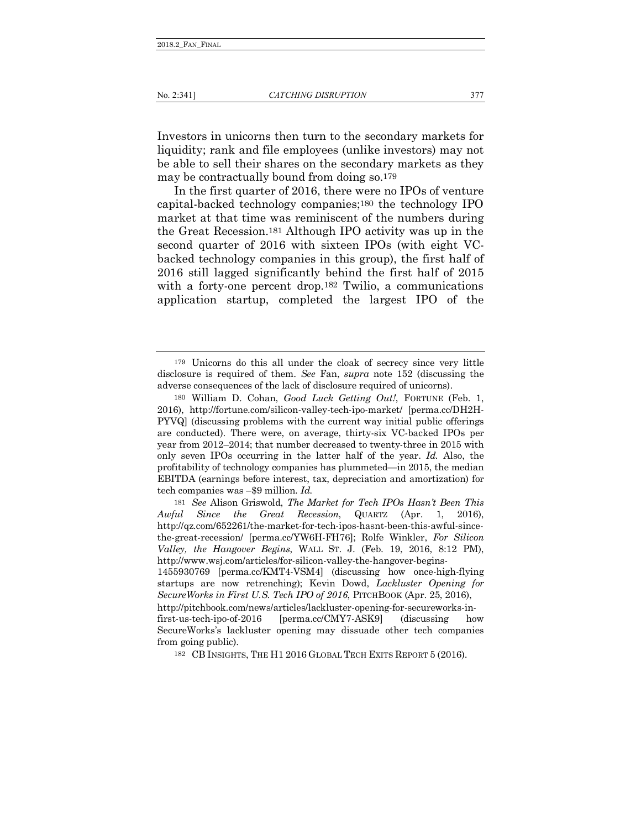Investors in unicorns then turn to the secondary markets for liquidity; rank and file employees (unlike investors) may not be able to sell their shares on the secondary markets as they may be contractually bound from doing so.179

In the first quarter of 2016, there were no IPOs of venture capital-backed technology companies;180 the technology IPO market at that time was reminiscent of the numbers during the Great Recession.181 Although IPO activity was up in the second quarter of 2016 with sixteen IPOs (with eight VCbacked technology companies in this group), the first half of 2016 still lagged significantly behind the first half of 2015 with a forty-one percent drop.<sup>182</sup> Twilio, a communications application startup, completed the largest IPO of the

182 CB INSIGHTS, THE H1 2016 GLOBAL TECH EXITS REPORT 5 (2016).

<sup>179</sup> Unicorns do this all under the cloak of secrecy since very little disclosure is required of them. *See* Fan, *supra* note 152 (discussing the adverse consequences of the lack of disclosure required of unicorns).

<sup>180</sup> William D. Cohan, *Good Luck Getting Out!*, FORTUNE (Feb. 1, 2016), http://fortune.com/silicon-valley-tech-ipo-market/ [perma.cc/DH2H-PYVQ] (discussing problems with the current way initial public offerings are conducted). There were, on average, thirty-six VC-backed IPOs per year from 2012–2014; that number decreased to twenty-three in 2015 with only seven IPOs occurring in the latter half of the year. *Id.* Also, the profitability of technology companies has plummeted—in 2015, the median EBITDA (earnings before interest, tax, depreciation and amortization) for tech companies was –\$9 million. *Id.*

<sup>181</sup> *See* Alison Griswold, *The Market for Tech IPOs Hasn't Been This Awful Since the Great Recession*, QUARTZ (Apr. 1, 2016), http://qz.com/652261/the-market-for-tech-ipos-hasnt-been-this-awful-sincethe-great-recession/ [perma.cc/YW6H-FH76]; Rolfe Winkler, *For Silicon Valley, the Hangover Begins*, WALL ST. J. (Feb. 19, 2016, 8:12 PM), http://www.wsj.com/articles/for-silicon-valley-the-hangover-begins-

<sup>1455930769 [</sup>perma.cc/KMT4-VSM4] (discussing how once-high-flying startups are now retrenching); Kevin Dowd, *Lackluster Opening for SecureWorks in First U.S. Tech IPO of 2016*, PITCHBOOK (Apr. 25, 2016),

http://pitchbook.com/news/articles/lackluster-opening-for-secureworks-infirst-us-tech-ipo-of-2016 [perma.cc/CMY7-ASK9] (discussing how SecureWorks's lackluster opening may dissuade other tech companies from going public).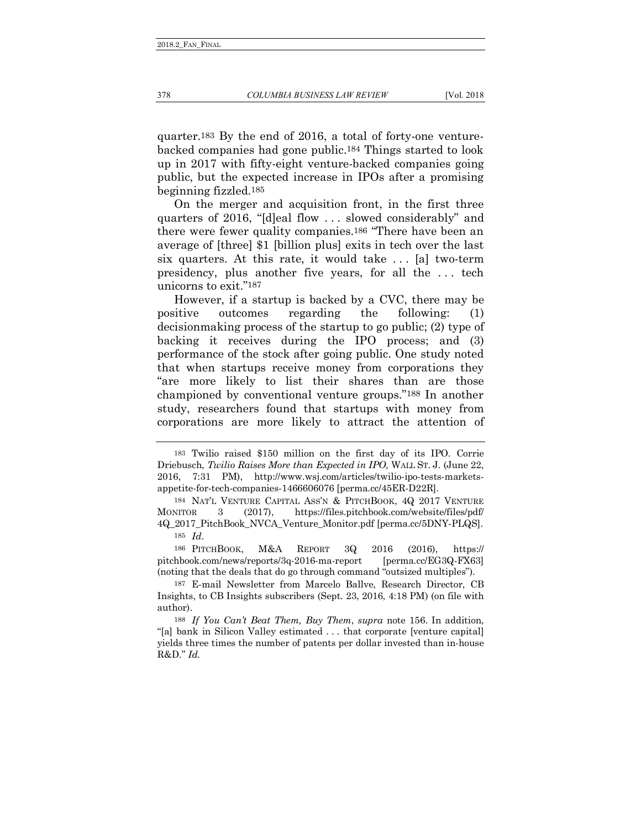quarter.183 By the end of 2016, a total of forty-one venturebacked companies had gone public.184 Things started to look up in 2017 with fifty-eight venture-backed companies going public, but the expected increase in IPOs after a promising beginning fizzled.185

On the merger and acquisition front, in the first three quarters of 2016, "[d]eal flow . . . slowed considerably" and there were fewer quality companies.186 "There have been an average of [three] \$1 [billion plus] exits in tech over the last six quarters. At this rate, it would take . . . [a] two-term presidency, plus another five years, for all the . . . tech unicorns to exit."187

However, if a startup is backed by a CVC, there may be positive outcomes regarding the following: (1) decisionmaking process of the startup to go public; (2) type of backing it receives during the IPO process; and (3) performance of the stock after going public. One study noted that when startups receive money from corporations they "are more likely to list their shares than are those championed by conventional venture groups."188 In another study, researchers found that startups with money from corporations are more likely to attract the attention of

186 PITCHBOOK, M&A REPORT 3Q 2016 (2016), https:// pitchbook.com/news/reports/3q-2016-ma-report [perma.cc/EG3Q-FX63] (noting that the deals that do go through command "outsized multiples").

<sup>183</sup> Twilio raised \$150 million on the first day of its IPO. Corrie Driebusch, *Twilio Raises More than Expected in IPO*, WALL ST. J. (June 22, 2016, 7:31 PM), http://www.wsj.com/articles/twilio-ipo-tests-marketsappetite-for-tech-companies-1466606076 [perma.cc/45ER-D22R].

<sup>184</sup> NAT'L VENTURE CAPITAL ASS'N & PITCHBOOK, 4Q 2017 VENTURE MONITOR 3 (2017), https://files.pitchbook.com/website/files/pdf/ 4Q\_2017\_PitchBook\_NVCA\_Venture\_Monitor.pdf [perma.cc/5DNY-PLQS]. 185 *Id*.

<sup>187</sup> E-mail Newsletter from Marcelo Ballve, Research Director, CB Insights, to CB Insights subscribers (Sept. 23, 2016, 4:18 PM) (on file with author).

<sup>188</sup> *If You Can't Beat Them, Buy Them*, *supra* note 156. In addition, "[a] bank in Silicon Valley estimated . . . that corporate [venture capital] yields three times the number of patents per dollar invested than in-house R&D." *Id.*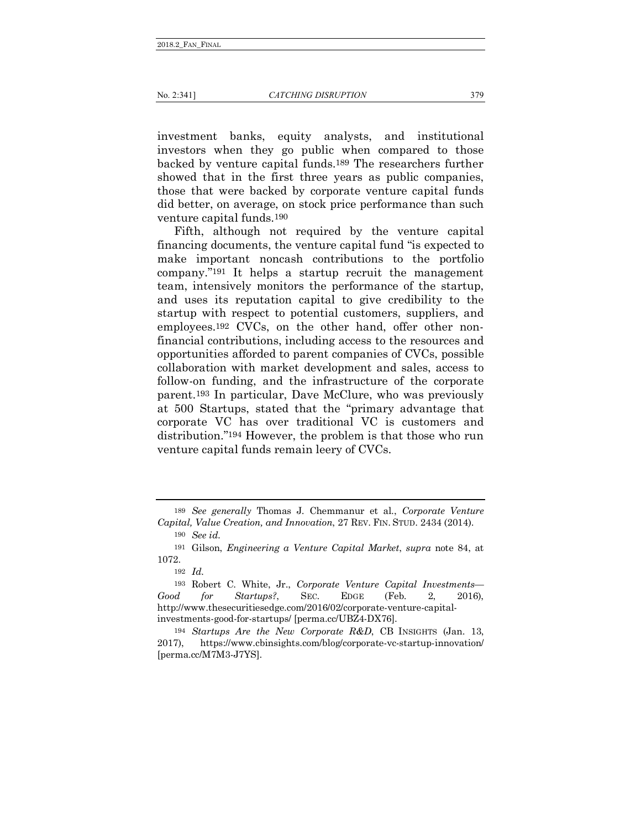investment banks, equity analysts, and institutional investors when they go public when compared to those backed by venture capital funds.189 The researchers further showed that in the first three years as public companies, those that were backed by corporate venture capital funds did better, on average, on stock price performance than such venture capital funds.190

Fifth, although not required by the venture capital financing documents, the venture capital fund "is expected to make important noncash contributions to the portfolio company."191 It helps a startup recruit the management team, intensively monitors the performance of the startup, and uses its reputation capital to give credibility to the startup with respect to potential customers, suppliers, and employees.192 CVCs, on the other hand, offer other nonfinancial contributions, including access to the resources and opportunities afforded to parent companies of CVCs, possible collaboration with market development and sales, access to follow-on funding, and the infrastructure of the corporate parent.193 In particular, Dave McClure, who was previously at 500 Startups, stated that the "primary advantage that corporate VC has over traditional VC is customers and distribution."194 However, the problem is that those who run venture capital funds remain leery of CVCs.

<sup>189</sup> *See generally* Thomas J. Chemmanur et al., *Corporate Venture Capital, Value Creation, and Innovation*, 27 REV. FIN. STUD. 2434 (2014).

<sup>190</sup> *See id.*

<sup>191</sup> Gilson, *Engineering a Venture Capital Market*, *supra* note 84, at 1072.

<sup>192</sup> *Id.*

<sup>193</sup> Robert C. White, Jr., *Corporate Venture Capital Investments— Good for Startups?*, SEC. EDGE (Feb. 2, 2016), http://www.thesecuritiesedge.com/2016/02/corporate-venture-capitalinvestments-good-for-startups/ [perma.cc/UBZ4-DX76].

<sup>194</sup> *Startups Are the New Corporate R&D*, CB INSIGHTS (Jan. 13, 2017), https://www.cbinsights.com/blog/corporate-vc-startup-innovation/ [perma.cc/M7M3-J7YS].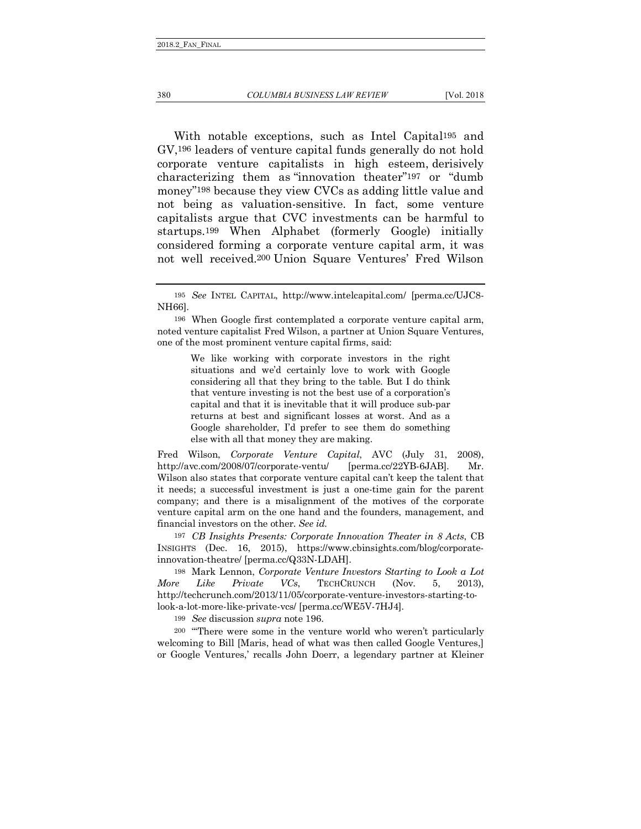#### 380 *COLUMBIA BUSINESS LAW REVIEW* [Vol. 2018

With notable exceptions, such as Intel Capital195 and GV,196 leaders of venture capital funds generally do not hold corporate venture capitalists in high esteem, derisively characterizing them as "innovation theater"197 or "dumb money"198 because they view CVCs as adding little value and not being as valuation-sensitive. In fact, some venture capitalists argue that CVC investments can be harmful to startups.199 When Alphabet (formerly Google) initially considered forming a corporate venture capital arm, it was not well received.200 Union Square Ventures' Fred Wilson

We like working with corporate investors in the right situations and we'd certainly love to work with Google considering all that they bring to the table. But I do think that venture investing is not the best use of a corporation's capital and that it is inevitable that it will produce sub-par returns at best and significant losses at worst. And as a Google shareholder, I'd prefer to see them do something else with all that money they are making.

Fred Wilson, *Corporate Venture Capital*, AVC (July 31, 2008), http://avc.com/2008/07/corporate-ventu/ [perma.cc/22YB-6JAB]. Mr. Wilson also states that corporate venture capital can't keep the talent that it needs; a successful investment is just a one-time gain for the parent company; and there is a misalignment of the motives of the corporate venture capital arm on the one hand and the founders, management, and financial investors on the other. *See id.*

197 *CB Insights Presents: Corporate Innovation Theater in 8 Acts*, CB INSIGHTS (Dec. 16, 2015), https://www.cbinsights.com/blog/corporateinnovation-theatre/ [perma.cc/Q33N-LDAH].

198 Mark Lennon, *Corporate Venture Investors Starting to Look a Lot More Like Private VCs*, TECHCRUNCH (Nov. 5, 2013), http://techcrunch.com/2013/11/05/corporate-venture-investors-starting-tolook-a-lot-more-like-private-vcs/ [perma.cc/WE5V-7HJ4].

199 *See* discussion *supra* note 196.

200 "'There were some in the venture world who weren't particularly welcoming to Bill [Maris, head of what was then called Google Ventures,] or Google Ventures,' recalls John Doerr, a legendary partner at Kleiner

<sup>195</sup> *See* INTEL CAPITAL, http://www.intelcapital.com/ [perma.cc/UJC8- NH66].

<sup>196</sup> When Google first contemplated a corporate venture capital arm, noted venture capitalist Fred Wilson, a partner at Union Square Ventures, one of the most prominent venture capital firms, said: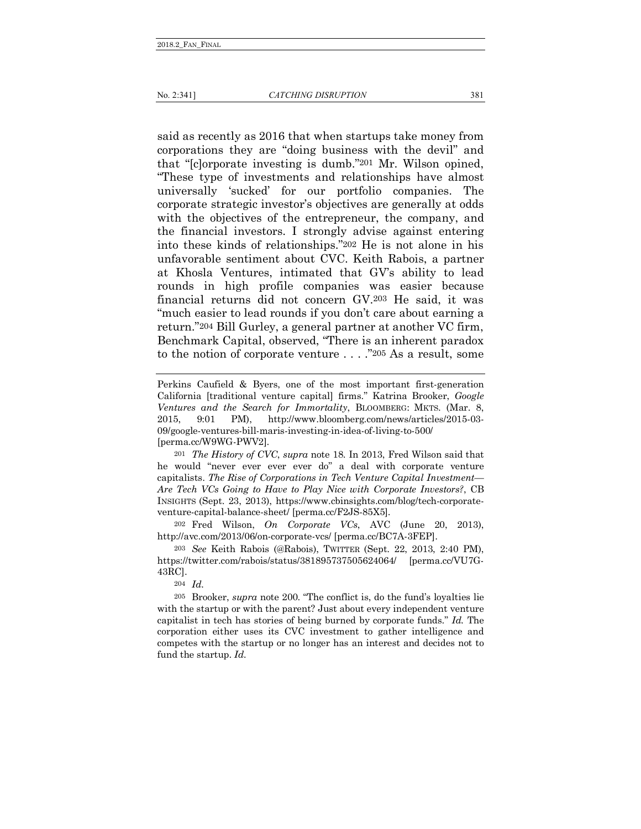said as recently as 2016 that when startups take money from corporations they are "doing business with the devil" and that "[c]orporate investing is dumb."201 Mr. Wilson opined, "These type of investments and relationships have almost universally 'sucked' for our portfolio companies. The corporate strategic investor's objectives are generally at odds with the objectives of the entrepreneur, the company, and the financial investors. I strongly advise against entering into these kinds of relationships."202 He is not alone in his unfavorable sentiment about CVC. Keith Rabois, a partner at Khosla Ventures, intimated that GV's ability to lead rounds in high profile companies was easier because financial returns did not concern GV.203 He said, it was "much easier to lead rounds if you don't care about earning a return."204 Bill Gurley, a general partner at another VC firm, Benchmark Capital, observed, "There is an inherent paradox to the notion of corporate venture . . . ."205 As a result, some

Perkins Caufield & Byers, one of the most important first-generation California [traditional venture capital] firms." Katrina Brooker, *Google Ventures and the Search for Immortality*, BLOOMBERG: MKTS. (Mar. 8, 2015, 9:01 PM), http://www.bloomberg.com/news/articles/2015-03- 09/google-ventures-bill-maris-investing-in-idea-of-living-to-500/ [perma.cc/W9WG-PWV2].

201 *The History of CVC*, *supra* note 18. In 2013, Fred Wilson said that he would "never ever ever ever do" a deal with corporate venture capitalists. *The Rise of Corporations in Tech Venture Capital Investment— Are Tech VCs Going to Have to Play Nice with Corporate Investors?*, CB INSIGHTS (Sept. 23, 2013), https://www.cbinsights.com/blog/tech-corporateventure-capital-balance-sheet/ [perma.cc/F2JS-85X5].

202 Fred Wilson, *On Corporate VCs*, AVC (June 20, 2013), http://avc.com/2013/06/on-corporate-vcs/ [perma.cc/BC7A-3FEP].

203 *See* Keith Rabois (@Rabois), TWITTER (Sept. 22, 2013, 2:40 PM), https://twitter.com/rabois/status/381895737505624064/ [perma.cc/VU7G-43RC].

204 *Id.*

205 Brooker, *supra* note 200. "The conflict is, do the fund's loyalties lie with the startup or with the parent? Just about every independent venture capitalist in tech has stories of being burned by corporate funds." *Id.* The corporation either uses its CVC investment to gather intelligence and competes with the startup or no longer has an interest and decides not to fund the startup. *Id.*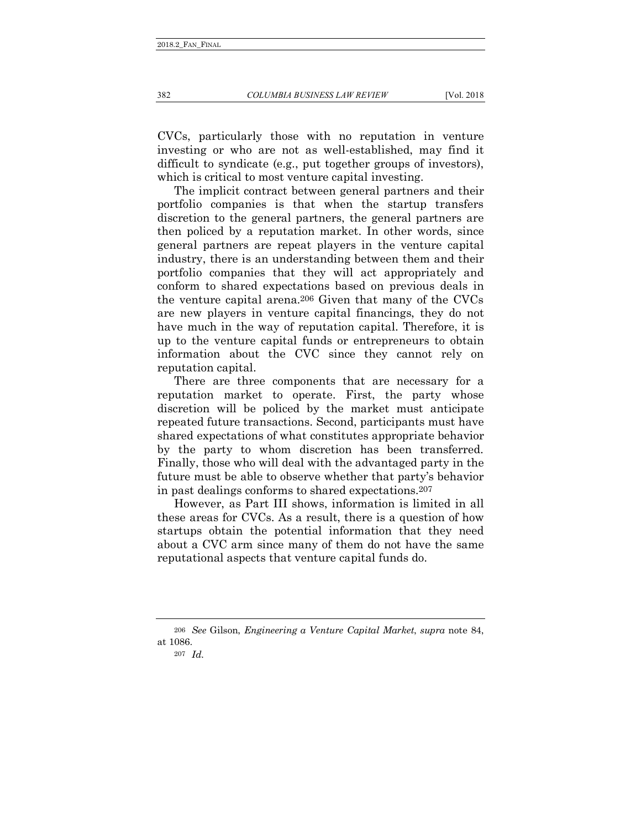CVCs, particularly those with no reputation in venture investing or who are not as well-established, may find it difficult to syndicate (e.g., put together groups of investors), which is critical to most venture capital investing.

The implicit contract between general partners and their portfolio companies is that when the startup transfers discretion to the general partners, the general partners are then policed by a reputation market. In other words, since general partners are repeat players in the venture capital industry, there is an understanding between them and their portfolio companies that they will act appropriately and conform to shared expectations based on previous deals in the venture capital arena.206 Given that many of the CVCs are new players in venture capital financings, they do not have much in the way of reputation capital. Therefore, it is up to the venture capital funds or entrepreneurs to obtain information about the CVC since they cannot rely on reputation capital.

There are three components that are necessary for a reputation market to operate. First, the party whose discretion will be policed by the market must anticipate repeated future transactions. Second, participants must have shared expectations of what constitutes appropriate behavior by the party to whom discretion has been transferred. Finally, those who will deal with the advantaged party in the future must be able to observe whether that party's behavior in past dealings conforms to shared expectations.207

However, as Part III shows, information is limited in all these areas for CVCs. As a result, there is a question of how startups obtain the potential information that they need about a CVC arm since many of them do not have the same reputational aspects that venture capital funds do.

<sup>206</sup> *See* Gilson, *Engineering a Venture Capital Market*, *supra* note 84, at 1086.

<sup>207</sup> *Id.*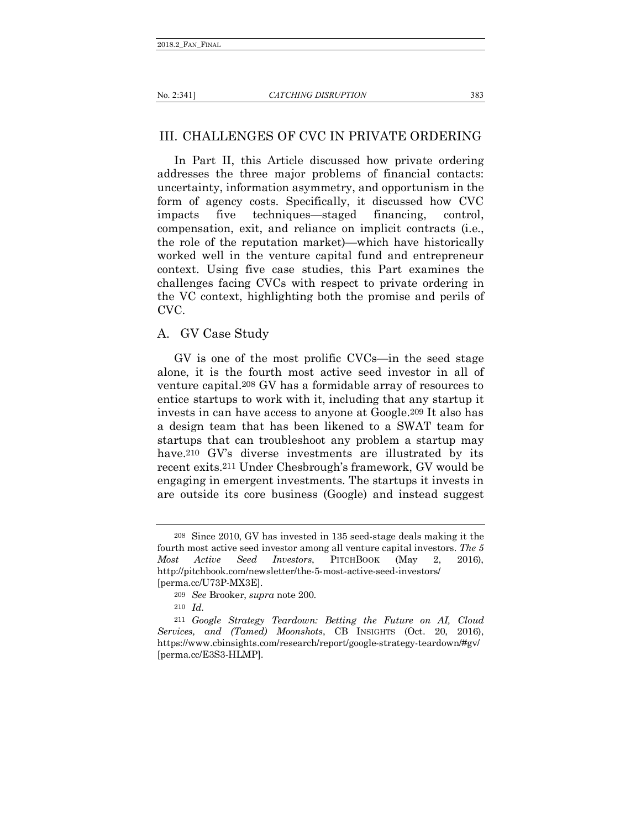# III. CHALLENGES OF CVC IN PRIVATE ORDERING

In Part II, this Article discussed how private ordering addresses the three major problems of financial contacts: uncertainty, information asymmetry, and opportunism in the form of agency costs. Specifically, it discussed how CVC impacts five techniques—staged financing, control, compensation, exit, and reliance on implicit contracts (i.e., the role of the reputation market)—which have historically worked well in the venture capital fund and entrepreneur context. Using five case studies, this Part examines the challenges facing CVCs with respect to private ordering in the VC context, highlighting both the promise and perils of CVC.

## A. GV Case Study

GV is one of the most prolific CVCs—in the seed stage alone, it is the fourth most active seed investor in all of venture capital.208 GV has a formidable array of resources to entice startups to work with it, including that any startup it invests in can have access to anyone at Google.209 It also has a design team that has been likened to a SWAT team for startups that can troubleshoot any problem a startup may have.<sup>210</sup> GV's diverse investments are illustrated by its recent exits.211 Under Chesbrough's framework, GV would be engaging in emergent investments. The startups it invests in are outside its core business (Google) and instead suggest

<sup>208</sup> Since 2010, GV has invested in 135 seed-stage deals making it the fourth most active seed investor among all venture capital investors. *The 5 Most Active Seed Investors*, PITCHBOOK (May 2, 2016), http://pitchbook.com/newsletter/the-5-most-active-seed-investors/ [perma.cc/U73P-MX3E].

<sup>209</sup> *See* Brooker, *supra* note 200.

<sup>210</sup> *Id.*

<sup>211</sup> *Google Strategy Teardown: Betting the Future on AI, Cloud Services, and (Tamed) Moonshots*, CB INSIGHTS (Oct. 20, 2016), https://www.cbinsights.com/research/report/google-strategy-teardown/#gv/ [perma.cc/E3S3-HLMP].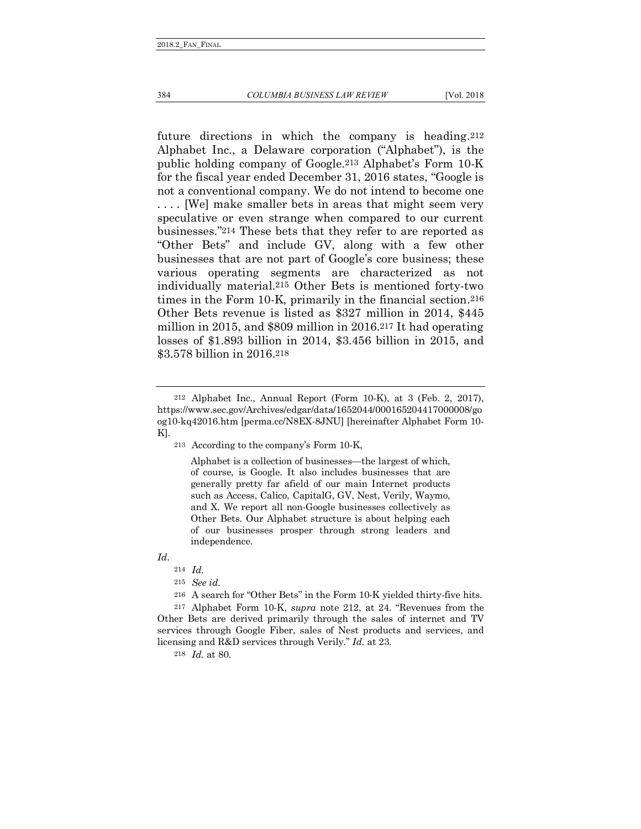future directions in which the company is heading.212 Alphabet Inc., a Delaware corporation ("Alphabet"), is the public holding company of Google.213 Alphabet's Form 10-K for the fiscal year ended December 31, 2016 states, "Google is not a conventional company. We do not intend to become one . . . . [We] make smaller bets in areas that might seem very speculative or even strange when compared to our current businesses."214 These bets that they refer to are reported as "Other Bets" and include GV, along with a few other businesses that are not part of Google's core business; these various operating segments are characterized as not individually material.215 Other Bets is mentioned forty-two times in the Form 10-K, primarily in the financial section.216 Other Bets revenue is listed as \$327 million in 2014, \$445 million in 2015, and \$809 million in 2016.217 It had operating losses of \$1.893 billion in 2014, \$3.456 billion in 2015, and \$3.578 billion in 2016.218

Alphabet is a collection of businesses—the largest of which, of course, is Google. It also includes businesses that are generally pretty far afield of our main Internet products such as Access, Calico, CapitalG, GV, Nest, Verily, Waymo, and X. We report all non-Google businesses collectively as Other Bets. Our Alphabet structure is about helping each of our businesses prosper through strong leaders and independence.

*Id*.

218 *Id.* at 80.

<sup>212</sup> Alphabet Inc., Annual Report (Form 10-K), at 3 (Feb. 2, 2017), https://www.sec.gov/Archives/edgar/data/1652044/000165204417000008/go og10-kq42016.htm [perma.cc/N8EX-8JNU] [hereinafter Alphabet Form 10- K].

<sup>213</sup> According to the company's Form 10-K,

<sup>214</sup> *Id.*

<sup>215</sup> *See id.*

<sup>216</sup> A search for "Other Bets" in the Form 10-K yielded thirty-five hits.

<sup>217</sup> Alphabet Form 10-K, *supra* note 212, at 24. "Revenues from the Other Bets are derived primarily through the sales of internet and TV services through Google Fiber, sales of Nest products and services, and licensing and R&D services through Verily." *Id.* at 23.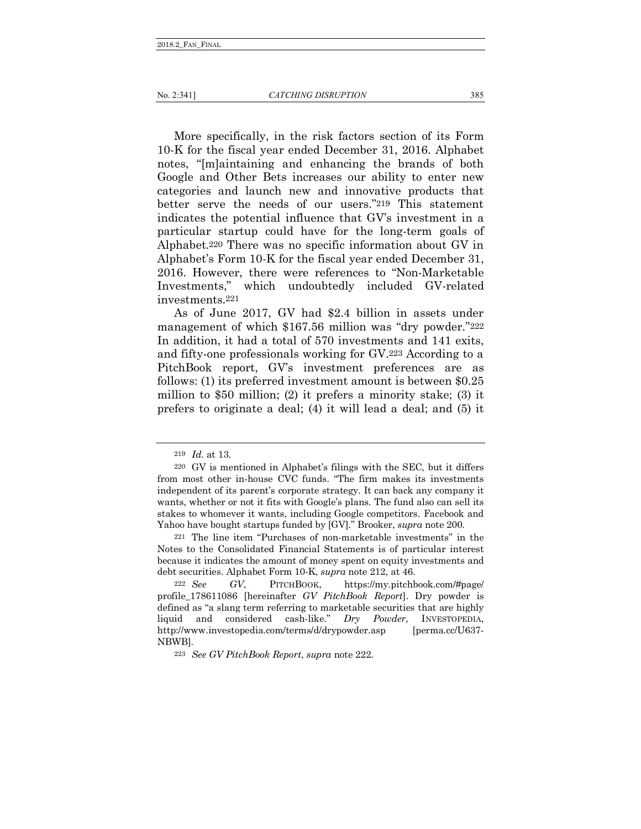More specifically, in the risk factors section of its Form 10-K for the fiscal year ended December 31, 2016. Alphabet notes, "[m]aintaining and enhancing the brands of both Google and Other Bets increases our ability to enter new categories and launch new and innovative products that better serve the needs of our users."219 This statement indicates the potential influence that GV's investment in a particular startup could have for the long-term goals of Alphabet.220 There was no specific information about GV in Alphabet's Form 10-K for the fiscal year ended December 31, 2016. However, there were references to "Non-Marketable Investments," which undoubtedly included GV-related investments.221

As of June 2017, GV had \$2.4 billion in assets under management of which \$167.56 million was "dry powder."222 In addition, it had a total of 570 investments and 141 exits, and fifty-one professionals working for GV.223 According to a PitchBook report, GV's investment preferences are as follows: (1) its preferred investment amount is between \$0.25 million to \$50 million; (2) it prefers a minority stake; (3) it prefers to originate a deal; (4) it will lead a deal; and (5) it

<sup>219</sup> *Id.* at 13.

<sup>220</sup> GV is mentioned in Alphabet's filings with the SEC, but it differs from most other in-house CVC funds. "The firm makes its investments independent of its parent's corporate strategy. It can back any company it wants, whether or not it fits with Google's plans. The fund also can sell its stakes to whomever it wants, including Google competitors. Facebook and Yahoo have bought startups funded by [GV]." Brooker, *supra* note 200.

<sup>221</sup> The line item "Purchases of non-marketable investments" in the Notes to the Consolidated Financial Statements is of particular interest because it indicates the amount of money spent on equity investments and debt securities. Alphabet Form 10-K, *supra* note 212, at 46.

<sup>222</sup> *See GV*, PITCHBOOK, https://my.pitchbook.com/#page/ profile\_178611086 [hereinafter *GV PitchBook Report*]. Dry powder is defined as "a slang term referring to marketable securities that are highly liquid and considered cash-like." *Dry Powder*, INVESTOPEDIA, http://www.investopedia.com/terms/d/drypowder.asp [perma.cc/U637-NBWB].

<sup>223</sup> *See GV PitchBook Report*, *supra* note 222.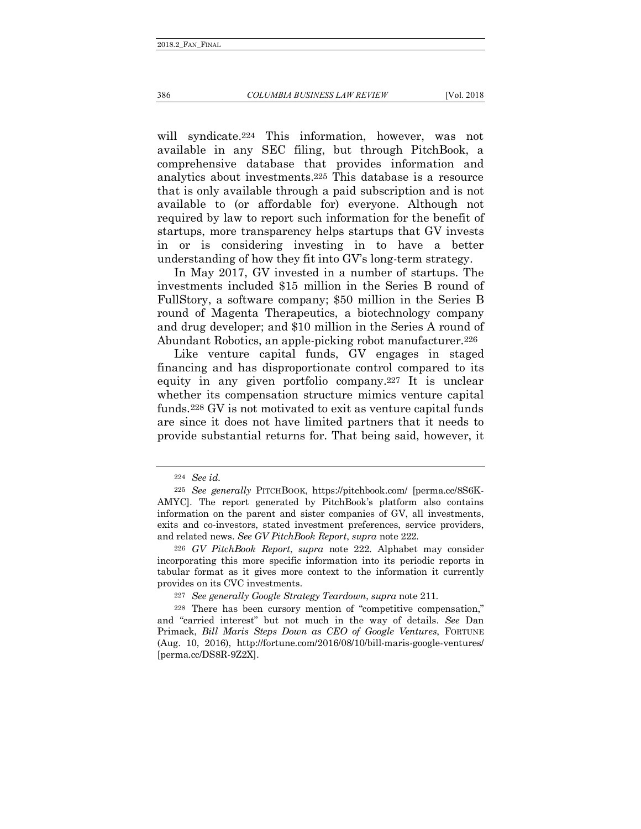### 386 *COLUMBIA BUSINESS LAW REVIEW* [Vol. 2018

will syndicate.224 This information, however, was not available in any SEC filing, but through PitchBook, a comprehensive database that provides information and analytics about investments.225 This database is a resource that is only available through a paid subscription and is not available to (or affordable for) everyone. Although not required by law to report such information for the benefit of

startups, more transparency helps startups that GV invests in or is considering investing in to have a better understanding of how they fit into GV's long-term strategy.

In May 2017, GV invested in a number of startups. The investments included \$15 million in the Series B round of FullStory, a software company; \$50 million in the Series B round of Magenta Therapeutics, a biotechnology company and drug developer; and \$10 million in the Series A round of Abundant Robotics, an apple-picking robot manufacturer.226

Like venture capital funds, GV engages in staged financing and has disproportionate control compared to its equity in any given portfolio company.227 It is unclear whether its compensation structure mimics venture capital funds.228 GV is not motivated to exit as venture capital funds are since it does not have limited partners that it needs to provide substantial returns for. That being said, however, it

<sup>224</sup> *See id.*

<sup>225</sup> *See generally* PITCHBOOK, https://pitchbook.com/ [perma.cc/8S6K-AMYC]. The report generated by PitchBook's platform also contains information on the parent and sister companies of GV, all investments, exits and co-investors, stated investment preferences, service providers, and related news. *See GV PitchBook Report*, *supra* note 222*.*

<sup>226</sup> *GV PitchBook Report*, *supra* note 222. Alphabet may consider incorporating this more specific information into its periodic reports in tabular format as it gives more context to the information it currently provides on its CVC investments.

<sup>227</sup> *See generally Google Strategy Teardown*, *supra* note 211.

<sup>228</sup> There has been cursory mention of "competitive compensation," and "carried interest" but not much in the way of details. *See* Dan Primack, *Bill Maris Steps Down as CEO of Google Ventures*, FORTUNE (Aug. 10, 2016), http://fortune.com/2016/08/10/bill-maris-google-ventures/ [perma.cc/DS8R-9Z2X].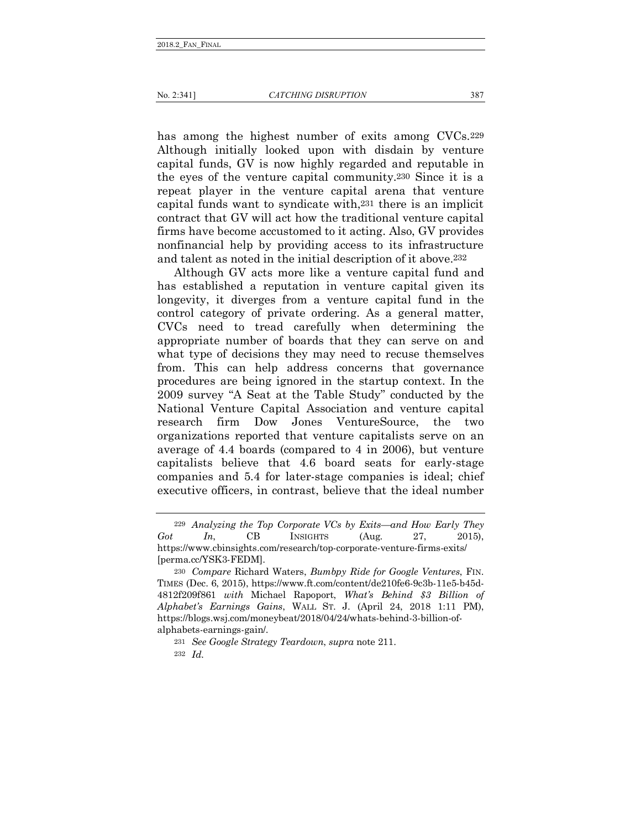has among the highest number of exits among CVCs. 229 Although initially looked upon with disdain by venture capital funds, GV is now highly regarded and reputable in the eyes of the venture capital community.230 Since it is a repeat player in the venture capital arena that venture capital funds want to syndicate with,231 there is an implicit contract that GV will act how the traditional venture capital firms have become accustomed to it acting. Also, GV provides nonfinancial help by providing access to its infrastructure and talent as noted in the initial description of it above.232

Although GV acts more like a venture capital fund and has established a reputation in venture capital given its longevity, it diverges from a venture capital fund in the control category of private ordering. As a general matter, CVCs need to tread carefully when determining the appropriate number of boards that they can serve on and what type of decisions they may need to recuse themselves from. This can help address concerns that governance procedures are being ignored in the startup context. In the 2009 survey "A Seat at the Table Study" conducted by the National Venture Capital Association and venture capital research firm Dow Jones VentureSource, the two organizations reported that venture capitalists serve on an average of 4.4 boards (compared to 4 in 2006), but venture capitalists believe that 4.6 board seats for early-stage companies and 5.4 for later-stage companies is ideal; chief executive officers, in contrast, believe that the ideal number

<sup>229</sup> *Analyzing the Top Corporate VCs by Exits—and How Early They Got In*, CB INSIGHTS (Aug. 27, 2015), https://www.cbinsights.com/research/top-corporate-venture-firms-exits/ [perma.cc/YSK3-FEDM].

<sup>230</sup> *Compare* Richard Waters, *Bumbpy Ride for Google Ventures*, FIN. TIMES (Dec. 6, 2015), https://www.ft.com/content/de210fe6-9c3b-11e5-b45d-4812f209f861 *with* Michael Rapoport, *What's Behind \$3 Billion of Alphabet's Earnings Gains*, WALL ST. J. (April 24, 2018 1:11 PM), https://blogs.wsj.com/moneybeat/2018/04/24/whats-behind-3-billion-ofalphabets-earnings-gain/.

<sup>231</sup> *See Google Strategy Teardown*, *supra* note 211.

<sup>232</sup> *Id.*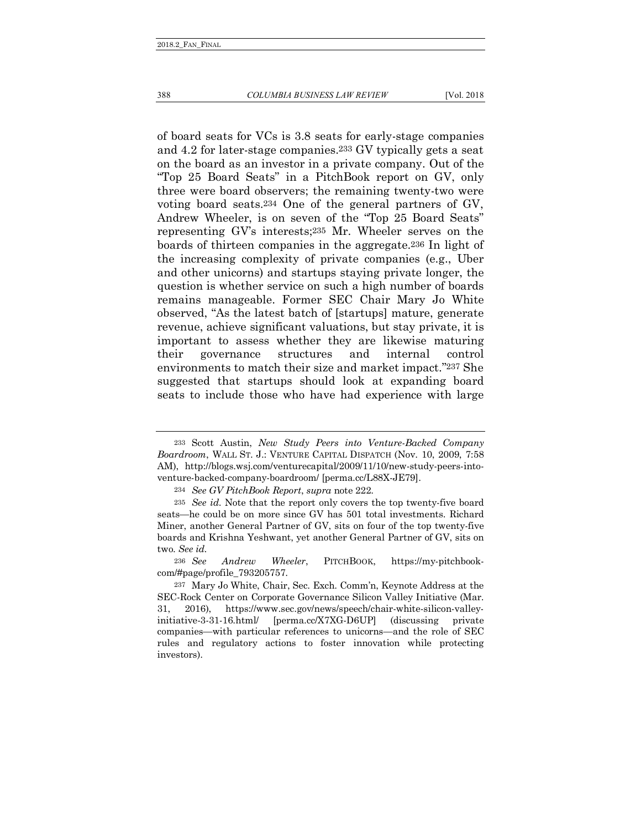of board seats for VCs is 3.8 seats for early-stage companies and 4.2 for later-stage companies.233 GV typically gets a seat on the board as an investor in a private company. Out of the "Top 25 Board Seats" in a PitchBook report on GV, only three were board observers; the remaining twenty-two were voting board seats.234 One of the general partners of GV, Andrew Wheeler, is on seven of the "Top 25 Board Seats" representing GV's interests;235 Mr. Wheeler serves on the boards of thirteen companies in the aggregate.236 In light of the increasing complexity of private companies (e.g., Uber and other unicorns) and startups staying private longer, the question is whether service on such a high number of boards remains manageable. Former SEC Chair Mary Jo White observed, "As the latest batch of [startups] mature, generate revenue, achieve significant valuations, but stay private, it is important to assess whether they are likewise maturing their governance structures and internal control environments to match their size and market impact."237 She suggested that startups should look at expanding board seats to include those who have had experience with large

<sup>233</sup> Scott Austin, *New Study Peers into Venture-Backed Company Boardroom*, WALL ST. J.: VENTURE CAPITAL DISPATCH (Nov. 10, 2009, 7:58 AM), http://blogs.wsj.com/venturecapital/2009/11/10/new-study-peers-intoventure-backed-company-boardroom/ [perma.cc/L88X-JE79].

<sup>234</sup> *See GV PitchBook Report*, *supra* note 222.

<sup>235</sup> *See id*. Note that the report only covers the top twenty-five board seats—he could be on more since GV has 501 total investments. Richard Miner, another General Partner of GV, sits on four of the top twenty-five boards and Krishna Yeshwant, yet another General Partner of GV, sits on two. *See id.*

<sup>236</sup> *See Andrew Wheeler*, PITCHBOOK, https://my-pitchbookcom/#page/profile\_793205757.

<sup>237</sup> Mary Jo White, Chair, Sec. Exch. Comm'n, Keynote Address at the SEC-Rock Center on Corporate Governance Silicon Valley Initiative (Mar. 31, 2016), https://www.sec.gov/news/speech/chair-white-silicon-valleyinitiative-3-31-16.html/ [perma.cc/X7XG-D6UP] (discussing private companies—with particular references to unicorns—and the role of SEC rules and regulatory actions to foster innovation while protecting investors).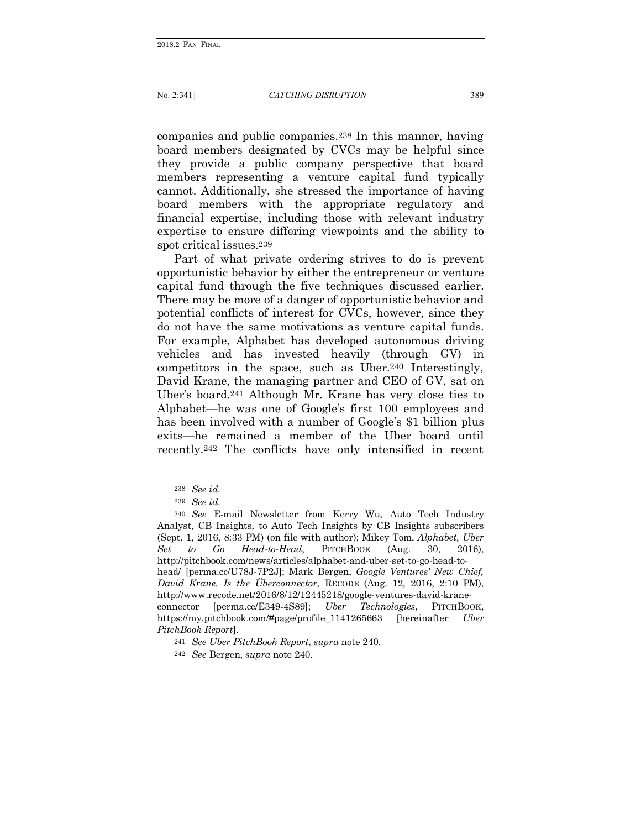companies and public companies.238 In this manner, having board members designated by CVCs may be helpful since they provide a public company perspective that board members representing a venture capital fund typically cannot. Additionally, she stressed the importance of having board members with the appropriate regulatory and financial expertise, including those with relevant industry expertise to ensure differing viewpoints and the ability to spot critical issues.239

Part of what private ordering strives to do is prevent opportunistic behavior by either the entrepreneur or venture capital fund through the five techniques discussed earlier. There may be more of a danger of opportunistic behavior and potential conflicts of interest for CVCs, however, since they do not have the same motivations as venture capital funds. For example, Alphabet has developed autonomous driving vehicles and has invested heavily (through GV) in competitors in the space, such as Uber.240 Interestingly, David Krane, the managing partner and CEO of GV, sat on Uber's board.241 Although Mr. Krane has very close ties to Alphabet—he was one of Google's first 100 employees and has been involved with a number of Google's \$1 billion plus exits—he remained a member of the Uber board until recently.242 The conflicts have only intensified in recent

<sup>238</sup> *See id.*

<sup>239</sup> *See id.*

<sup>240</sup> *See* E-mail Newsletter from Kerry Wu, Auto Tech Industry Analyst, CB Insights, to Auto Tech Insights by CB Insights subscribers (Sept. 1, 2016, 8:33 PM) (on file with author); Mikey Tom, *Alphabet, Uber Set to Go Head-to-Head*, PITCHBOOK (Aug. 30, 2016), http://pitchbook.com/news/articles/alphabet-and-uber-set-to-go-head-tohead/ [perma.cc/U78J-7P2J]; Mark Bergen, *Google Ventures' New Chief, David Krane, Is the Überconnector*, RECODE (Aug. 12, 2016, 2:10 PM), http://www.recode.net/2016/8/12/12445218/google-ventures-david-kraneconnector [perma.cc/E349-4S89]; *Uber Technologies*, PITCHBOOK, https://my.pitchbook.com/#page/profile\_1141265663 [hereinafter *Uber PitchBook Report*].

<sup>241</sup> *See Uber PitchBook Report*, *supra* note 240.

<sup>242</sup> *See* Bergen, *supra* note 240.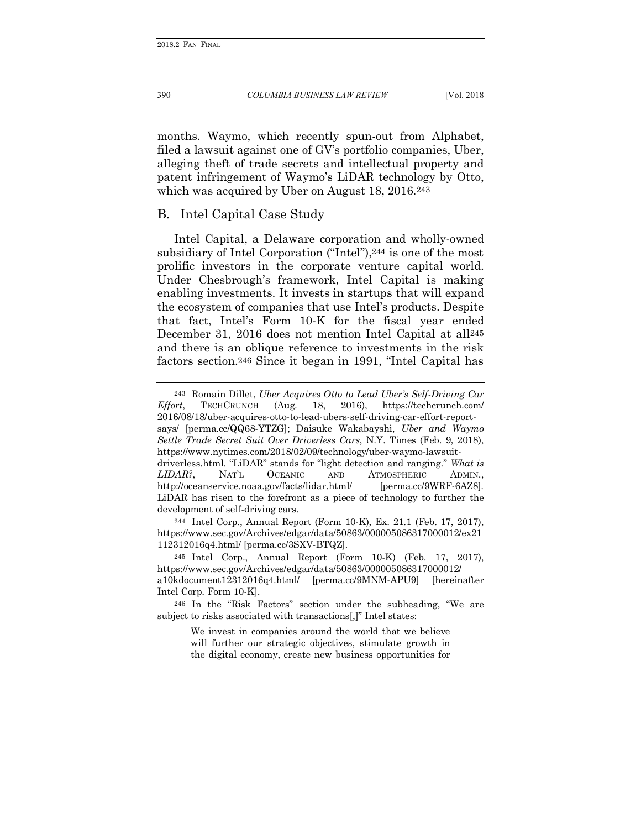months. Waymo, which recently spun-out from Alphabet, filed a lawsuit against one of GV's portfolio companies, Uber, alleging theft of trade secrets and intellectual property and patent infringement of Waymo's LiDAR technology by Otto, which was acquired by Uber on August 18, 2016.<sup>243</sup>

## B. Intel Capital Case Study

Intel Capital, a Delaware corporation and wholly-owned subsidiary of Intel Corporation ("Intel"), 244 is one of the most prolific investors in the corporate venture capital world. Under Chesbrough's framework, Intel Capital is making enabling investments. It invests in startups that will expand the ecosystem of companies that use Intel's products. Despite that fact, Intel's Form 10-K for the fiscal year ended December 31, 2016 does not mention Intel Capital at all245 and there is an oblique reference to investments in the risk factors section.246 Since it began in 1991, "Intel Capital has

244 Intel Corp., Annual Report (Form 10-K), Ex. 21.1 (Feb. 17, 2017), https://www.sec.gov/Archives/edgar/data/50863/000005086317000012/ex21 112312016q4.html/ [perma.cc/3SXV-BTQZ].

245 Intel Corp., Annual Report (Form 10-K) (Feb. 17, 2017), https://www.sec.gov/Archives/edgar/data/50863/000005086317000012/ a10kdocument12312016q4.html/ [perma.cc/9MNM-APU9] [hereinafter Intel Corp. Form 10-K].

246 In the "Risk Factors" section under the subheading, "We are subject to risks associated with transactions[,]" Intel states:

> We invest in companies around the world that we believe will further our strategic objectives, stimulate growth in the digital economy, create new business opportunities for

<sup>243</sup> Romain Dillet, *Uber Acquires Otto to Lead Uber's Self-Driving Car Effort*, TECHCRUNCH (Aug. 18, 2016), https://techcrunch.com/ 2016/08/18/uber-acquires-otto-to-lead-ubers-self-driving-car-effort-reportsays/ [perma.cc/QQ68-YTZG]; Daisuke Wakabayshi, *Uber and Waymo Settle Trade Secret Suit Over Driverless Cars*, N.Y. Times (Feb. 9, 2018), https://www.nytimes.com/2018/02/09/technology/uber-waymo-lawsuitdriverless.html. "LiDAR" stands for "light detection and ranging." *What is LIDAR?*, NAT'L OCEANIC AND ATMOSPHERIC ADMIN., http://oceanservice.noaa.gov/facts/lidar.html/ [perma.cc/9WRF-6AZ8]. LiDAR has risen to the forefront as a piece of technology to further the development of self-driving cars.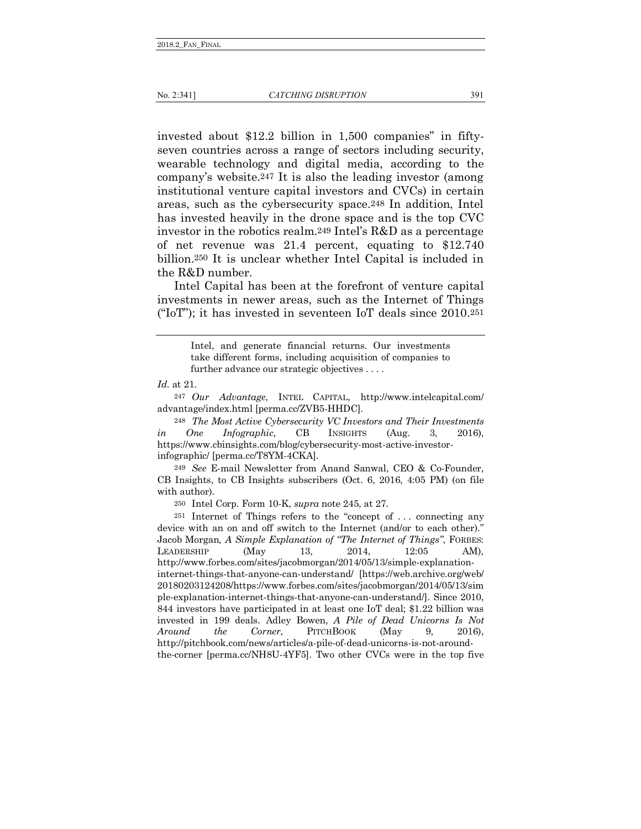invested about \$12.2 billion in 1,500 companies" in fiftyseven countries across a range of sectors including security, wearable technology and digital media, according to the company's website.247 It is also the leading investor (among institutional venture capital investors and CVCs) in certain areas, such as the cybersecurity space.248 In addition, Intel has invested heavily in the drone space and is the top CVC investor in the robotics realm.249 Intel's R&D as a percentage of net revenue was 21.4 percent, equating to \$12.740 billion.250 It is unclear whether Intel Capital is included in the R&D number.

Intel Capital has been at the forefront of venture capital investments in newer areas, such as the Internet of Things ("IoT"); it has invested in seventeen IoT deals since  $2010^{251}$ 

Intel, and generate financial returns. Our investments take different forms, including acquisition of companies to further advance our strategic objectives . . . .

247 *Our Advantage*, INTEL CAPITAL, http://www.intelcapital.com/ advantage/index.html [perma.cc/ZVB5-HHDC].

248 *The Most Active Cybersecurity VC Investors and Their Investments in One Infographic*, CB INSIGHTS (Aug. 3, 2016), https://www.cbinsights.com/blog/cybersecurity-most-active-investorinfographic/ [perma.cc/T8YM-4CKA].

249 *See* E-mail Newsletter from Anand Sanwal, CEO & Co-Founder, CB Insights, to CB Insights subscribers (Oct. 6, 2016, 4:05 PM) (on file with author).

250 Intel Corp. Form 10-K, *supra* note 245, at 27.

251 Internet of Things refers to the "concept of . . . connecting any device with an on and off switch to the Internet (and/or to each other)." Jacob Morgan*, A Simple Explanation of "The Internet of Things"*, FORBES: LEADERSHIP (May 13, 2014, 12:05 AM), http://www.forbes.com/sites/jacobmorgan/2014/05/13/simple-explanationinternet-things-that-anyone-can-understand/ [https://web.archive.org/web/ 20180203124208/https://www.forbes.com/sites/jacobmorgan/2014/05/13/sim ple-explanation-internet-things-that-anyone-can-understand/]. Since 2010, 844 investors have participated in at least one IoT deal; \$1.22 billion was invested in 199 deals. Adley Bowen, *A Pile of Dead Unicorns Is Not Around the Corner*, PITCHBOOK (May 9, 2016), http://pitchbook.com/news/articles/a-pile-of-dead-unicorns-is-not-aroundthe-corner [perma.cc/NH8U-4YF5]. Two other CVCs were in the top five

*Id.* at 21.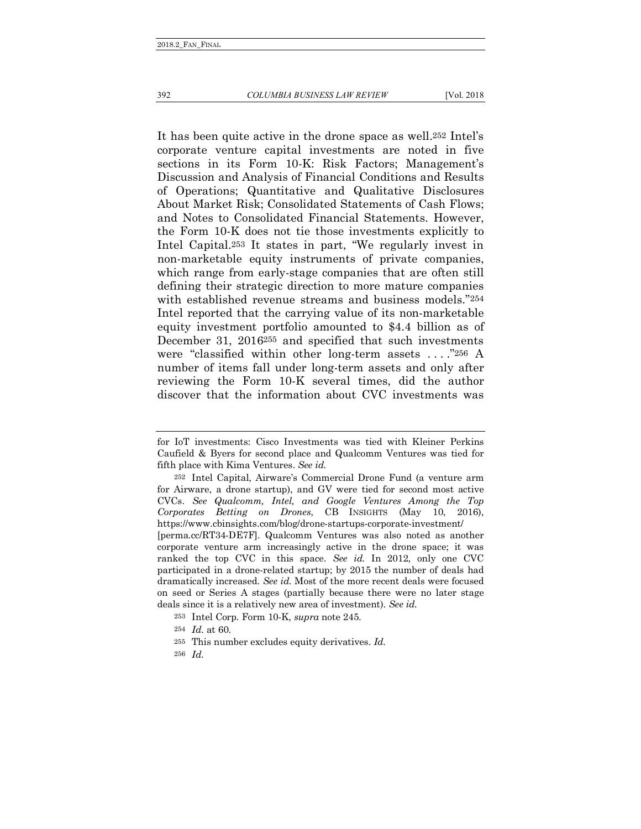### 392 *COLUMBIA BUSINESS LAW REVIEW* [Vol. 2018

It has been quite active in the drone space as well.252 Intel's corporate venture capital investments are noted in five sections in its Form 10-K: Risk Factors; Management's Discussion and Analysis of Financial Conditions and Results of Operations; Quantitative and Qualitative Disclosures About Market Risk; Consolidated Statements of Cash Flows; and Notes to Consolidated Financial Statements. However, the Form 10-K does not tie those investments explicitly to Intel Capital.253 It states in part, "We regularly invest in non-marketable equity instruments of private companies, which range from early-stage companies that are often still defining their strategic direction to more mature companies with established revenue streams and business models."254 Intel reported that the carrying value of its non-marketable equity investment portfolio amounted to \$4.4 billion as of December 31, 2016255 and specified that such investments were "classified within other long-term assets . . . ."256 A number of items fall under long-term assets and only after reviewing the Form 10-K several times, did the author discover that the information about CVC investments was

for IoT investments: Cisco Investments was tied with Kleiner Perkins Caufield & Byers for second place and Qualcomm Ventures was tied for fifth place with Kima Ventures. *See id.*

<sup>252</sup> Intel Capital, Airware's Commercial Drone Fund (a venture arm for Airware, a drone startup), and GV were tied for second most active CVCs. *See Qualcomm, Intel, and Google Ventures Among the Top Corporates Betting on Drones*, CB INSIGHTS (May 10, 2016), https://www.cbinsights.com/blog/drone-startups-corporate-investment/ [perma.cc/RT34-DE7F]. Qualcomm Ventures was also noted as another corporate venture arm increasingly active in the drone space; it was ranked the top CVC in this space. *See id.* In 2012, only one CVC participated in a drone-related startup; by 2015 the number of deals had dramatically increased. *See id.* Most of the more recent deals were focused on seed or Series A stages (partially because there were no later stage deals since it is a relatively new area of investment). *See id.*

<sup>253</sup> Intel Corp. Form 10-K, *supra* note 245.

<sup>254</sup> *Id.* at 60.

<sup>255</sup> This number excludes equity derivatives. *Id.*

<sup>256</sup> *Id.*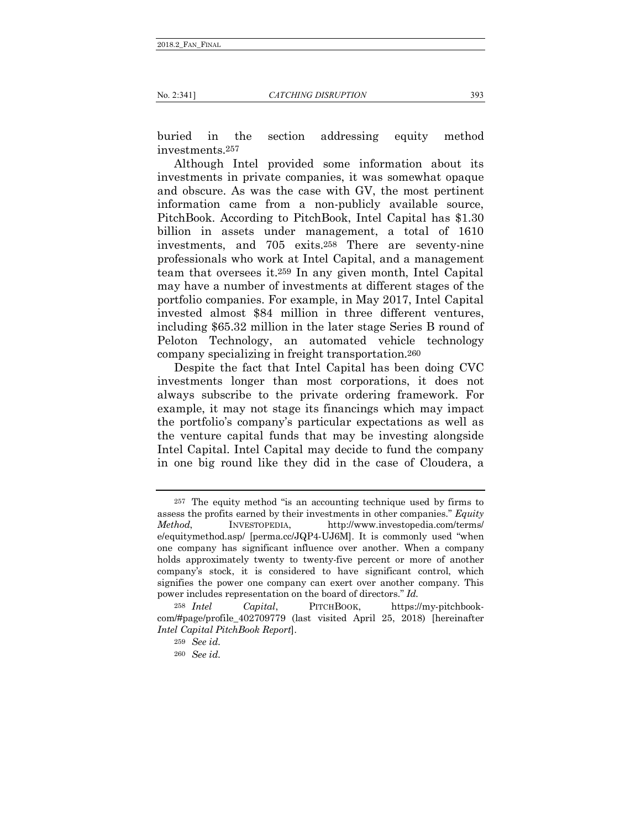### No. 2:341] *CATCHING DISRUPTION* 393

buried in the section addressing equity method investments.257

Although Intel provided some information about its investments in private companies, it was somewhat opaque and obscure. As was the case with GV, the most pertinent information came from a non-publicly available source, PitchBook. According to PitchBook, Intel Capital has \$1.30 billion in assets under management, a total of 1610 investments, and 705 exits.258 There are seventy-nine professionals who work at Intel Capital, and a management team that oversees it.259 In any given month, Intel Capital may have a number of investments at different stages of the portfolio companies. For example, in May 2017, Intel Capital invested almost \$84 million in three different ventures, including \$65.32 million in the later stage Series B round of Peloton Technology, an automated vehicle technology company specializing in freight transportation.260

Despite the fact that Intel Capital has been doing CVC investments longer than most corporations, it does not always subscribe to the private ordering framework. For example, it may not stage its financings which may impact the portfolio's company's particular expectations as well as the venture capital funds that may be investing alongside Intel Capital. Intel Capital may decide to fund the company in one big round like they did in the case of Cloudera, a

<sup>257</sup> The equity method "is an accounting technique used by firms to assess the profits earned by their investments in other companies." *Equity Method*, INVESTOPEDIA, http://www.investopedia.com/terms/ e/equitymethod.asp/ [perma.cc/JQP4-UJ6M]. It is commonly used "when one company has significant influence over another. When a company holds approximately twenty to twenty-five percent or more of another company's stock, it is considered to have significant control, which signifies the power one company can exert over another company. This power includes representation on the board of directors." *Id.*

<sup>258</sup> *Intel Capital*, PITCHBOOK, https://my-pitchbookcom/#page/profile\_402709779 (last visited April 25, 2018) [hereinafter *Intel Capital PitchBook Report*].

<sup>259</sup> *See id.*

<sup>260</sup> *See id.*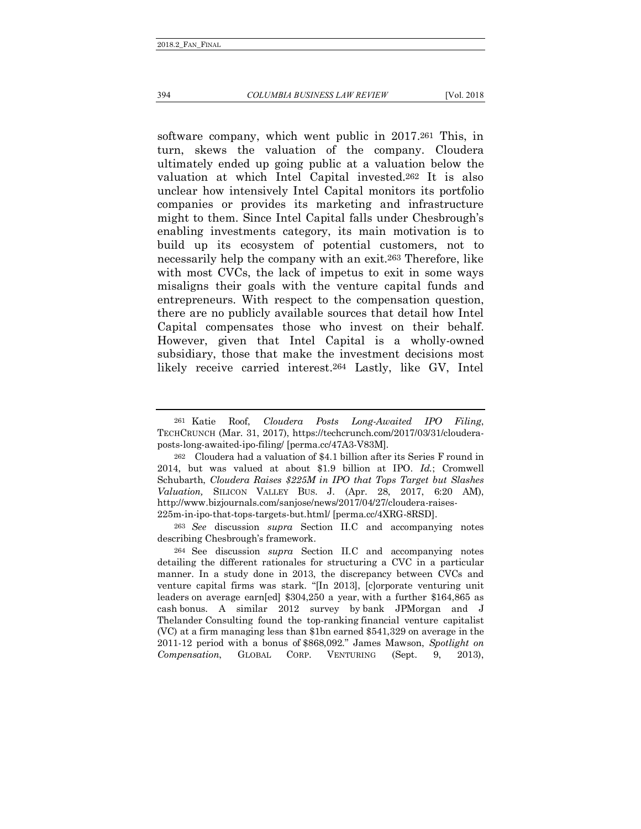### 394 *COLUMBIA BUSINESS LAW REVIEW* [Vol. 2018

software company, which went public in 2017.261 This, in turn, skews the valuation of the company. Cloudera ultimately ended up going public at a valuation below the valuation at which Intel Capital invested.262 It is also unclear how intensively Intel Capital monitors its portfolio companies or provides its marketing and infrastructure might to them. Since Intel Capital falls under Chesbrough's enabling investments category, its main motivation is to build up its ecosystem of potential customers, not to necessarily help the company with an exit.263 Therefore, like with most CVCs, the lack of impetus to exit in some ways misaligns their goals with the venture capital funds and entrepreneurs. With respect to the compensation question, there are no publicly available sources that detail how Intel Capital compensates those who invest on their behalf. However, given that Intel Capital is a wholly-owned subsidiary, those that make the investment decisions most likely receive carried interest.264 Lastly, like GV, Intel

263 *See* discussion *supra* Section II.C and accompanying notes describing Chesbrough's framework.

264 See discussion *supra* Section II.C and accompanying notes detailing the different rationales for structuring a CVC in a particular manner. In a study done in 2013, the discrepancy between CVCs and venture capital firms was stark. "[In 2013], [c]orporate venturing unit leaders on average earn[ed] \$304,250 a year, with a further \$164,865 as cash bonus. A similar 2012 survey by bank JPMorgan and J Thelander Consulting found the top-ranking financial venture capitalist (VC) at a firm managing less than \$1bn earned \$541,329 on average in the 2011-12 period with a bonus of \$868,092." James Mawson, *Spotlight on Compensation*, GLOBAL CORP. VENTURING (Sept. 9, 2013),

<sup>261</sup> Katie Roof, *Cloudera Posts Long-Awaited IPO Filing*, TECHCRUNCH (Mar. 31, 2017), https://techcrunch.com/2017/03/31/clouderaposts-long-awaited-ipo-filing/ [perma.cc/47A3-V83M].

<sup>262</sup> Cloudera had a valuation of \$4.1 billion after its Series F round in 2014, but was valued at about \$1.9 billion at IPO. *Id.*; Cromwell Schubarth, *Cloudera Raises \$225M in IPO that Tops Target but Slashes Valuation,* SILICON VALLEY BUS. J. (Apr. 28, 2017, 6:20 AM), http://www.bizjournals.com/sanjose/news/2017/04/27/cloudera-raises-225m-in-ipo-that-tops-targets-but.html/ [perma.cc/4XRG-8RSD].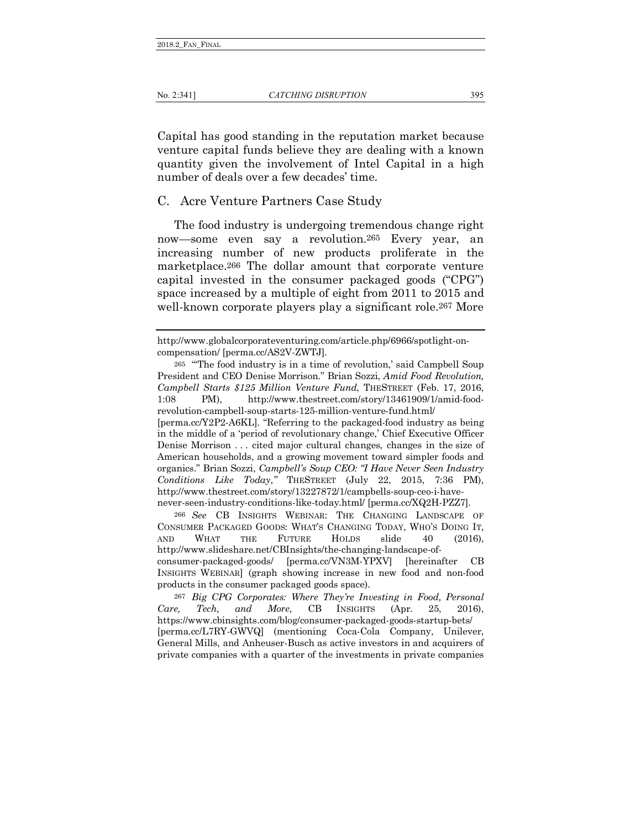Capital has good standing in the reputation market because venture capital funds believe they are dealing with a known quantity given the involvement of Intel Capital in a high number of deals over a few decades' time.

## C. Acre Venture Partners Case Study

The food industry is undergoing tremendous change right now—some even say a revolution.265 Every year, an increasing number of new products proliferate in the marketplace.266 The dollar amount that corporate venture capital invested in the consumer packaged goods ("CPG") space increased by a multiple of eight from 2011 to 2015 and well-known corporate players play a significant role.<sup>267</sup> More

[perma.cc/Y2P2-A6KL]. "Referring to the packaged-food industry as being in the middle of a 'period of revolutionary change,' Chief Executive Officer Denise Morrison . . . cited major cultural changes, changes in the size of American households, and a growing movement toward simpler foods and organics." Brian Sozzi, *Campbell's Soup CEO: "I Have Never Seen Industry Conditions Like Today*,*"* THESTREET (July 22, 2015, 7:36 PM), http://www.thestreet.com/story/13227872/1/campbells-soup-ceo-i-havenever-seen-industry-conditions-like-today.html/ [perma.cc/XQ2H-PZZ7].

266 *See* CB INSIGHTS WEBINAR: THE CHANGING LANDSCAPE OF CONSUMER PACKAGED GOODS: WHAT'S CHANGING TODAY, WHO'S DOING IT, AND WHAT THE FUTURE HOLDS slide 40 (2016), http://www.slideshare.net/CBInsights/the-changing-landscape-ofconsumer-packaged-goods/ [perma.cc/VN3M-YPXV] [hereinafter CB INSIGHTS WEBINAR] (graph showing increase in new food and non-food products in the consumer packaged goods space).

267 *Big CPG Corporates: Where They're Investing in Food, Personal Care, Tech, and More*, CB INSIGHTS (Apr. 25, 2016), https://www.cbinsights.com/blog/consumer-packaged-goods-startup-bets/ [perma.cc/L7RY-GWVQ] (mentioning Coca-Cola Company, Unilever, General Mills, and Anheuser-Busch as active investors in and acquirers of private companies with a quarter of the investments in private companies

http://www.globalcorporateventuring.com/article.php/6966/spotlight-oncompensation/ [perma.cc/AS2V-ZWTJ].

<sup>265</sup> "'The food industry is in a time of revolution,' said Campbell Soup President and CEO Denise Morrison." Brian Sozzi, *Amid Food Revolution, Campbell Starts \$125 Million Venture Fund*, THESTREET (Feb. 17, 2016, 1:08 PM), http://www.thestreet.com/story/13461909/1/amid-foodrevolution-campbell-soup-starts-125-million-venture-fund.html/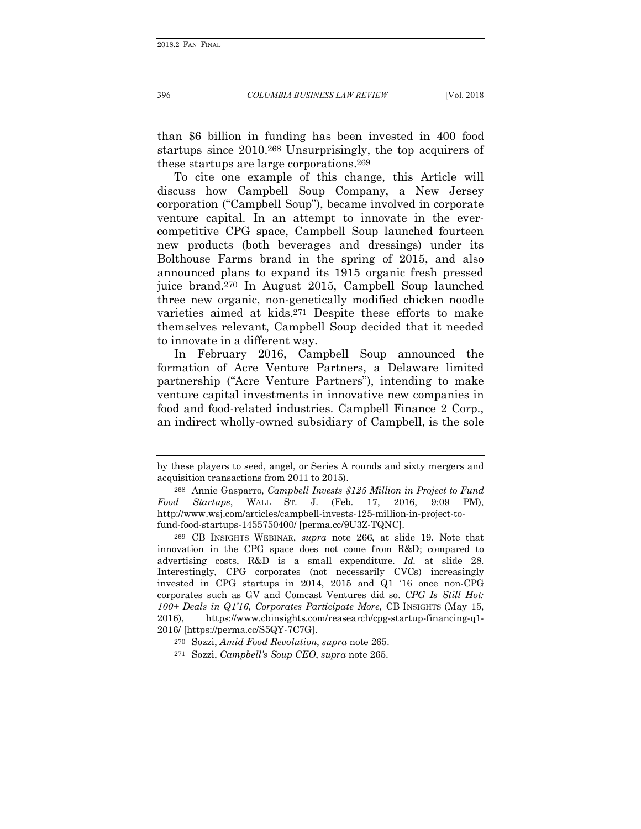than \$6 billion in funding has been invested in 400 food startups since 2010.268 Unsurprisingly, the top acquirers of these startups are large corporations.269

To cite one example of this change, this Article will discuss how Campbell Soup Company, a New Jersey corporation ("Campbell Soup"), became involved in corporate venture capital. In an attempt to innovate in the evercompetitive CPG space, Campbell Soup launched fourteen new products (both beverages and dressings) under its Bolthouse Farms brand in the spring of 2015, and also announced plans to expand its 1915 organic fresh pressed juice brand.270 In August 2015, Campbell Soup launched three new organic, non-genetically modified chicken noodle varieties aimed at kids.271 Despite these efforts to make themselves relevant, Campbell Soup decided that it needed to innovate in a different way.

In February 2016, Campbell Soup announced the formation of Acre Venture Partners, a Delaware limited partnership ("Acre Venture Partners"), intending to make venture capital investments in innovative new companies in food and food-related industries. Campbell Finance 2 Corp., an indirect wholly-owned subsidiary of Campbell, is the sole

by these players to seed, angel, or Series A rounds and sixty mergers and acquisition transactions from 2011 to 2015).

<sup>268</sup> Annie Gasparro, *Campbell Invests \$125 Million in Project to Fund Food Startups*, WALL ST. J. (Feb. 17, 2016, 9:09 PM), http://www.wsj.com/articles/campbell-invests-125-million-in-project-tofund-food-startups-1455750400/ [perma.cc/9U3Z-TQNC].

<sup>269</sup> CB INSIGHTS WEBINAR, *supra* note 266, at slide 19. Note that innovation in the CPG space does not come from R&D; compared to advertising costs, R&D is a small expenditure. *Id.* at slide 28. Interestingly, CPG corporates (not necessarily CVCs) increasingly invested in CPG startups in 2014, 2015 and Q1 '16 once non-CPG corporates such as GV and Comcast Ventures did so. *CPG Is Still Hot: 100+ Deals in Q1'16, Corporates Participate More*, CB INSIGHTS (May 15, 2016), https://www.cbinsights.com/reasearch/cpg-startup-financing-q1- 2016/ [https://perma.cc/S5QY-7C7G].

<sup>270</sup> Sozzi, *Amid Food Revolution*, *supra* note 265.

<sup>271</sup> Sozzi, *Campbell's Soup CEO*, *supra* note 265.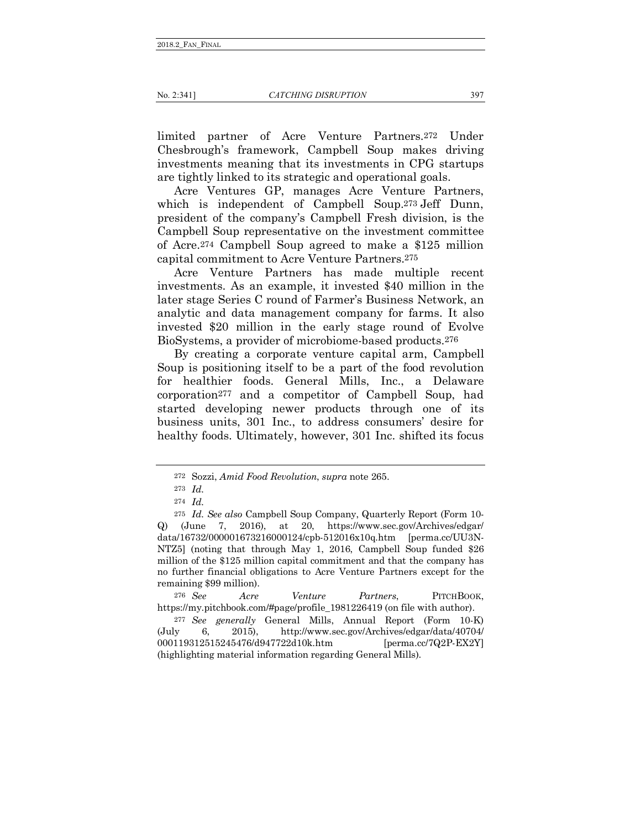limited partner of Acre Venture Partners.272 Under Chesbrough's framework, Campbell Soup makes driving investments meaning that its investments in CPG startups are tightly linked to its strategic and operational goals.

Acre Ventures GP, manages Acre Venture Partners, which is independent of Campbell Soup.<sup>273</sup> Jeff Dunn, president of the company's Campbell Fresh division, is the Campbell Soup representative on the investment committee of Acre.274 Campbell Soup agreed to make a \$125 million capital commitment to Acre Venture Partners.275

Acre Venture Partners has made multiple recent investments. As an example, it invested \$40 million in the later stage Series C round of Farmer's Business Network, an analytic and data management company for farms. It also invested \$20 million in the early stage round of Evolve BioSystems, a provider of microbiome-based products.276

By creating a corporate venture capital arm, Campbell Soup is positioning itself to be a part of the food revolution for healthier foods. General Mills, Inc., a Delaware corporation277 and a competitor of Campbell Soup, had started developing newer products through one of its business units, 301 Inc., to address consumers' desire for healthy foods. Ultimately, however, 301 Inc. shifted its focus

<sup>272</sup> Sozzi, *Amid Food Revolution*, *supra* note 265.

<sup>273</sup> *Id.* 

<sup>274</sup> *Id.* 

<sup>275</sup> *Id. See also* Campbell Soup Company, Quarterly Report (Form 10- Q) (June 7, 2016), at 20, https://www.sec.gov/Archives/edgar/ data/16732/000001673216000124/cpb-512016x10q.htm [perma.cc/UU3N-NTZ5] (noting that through May 1, 2016, Campbell Soup funded \$26 million of the \$125 million capital commitment and that the company has no further financial obligations to Acre Venture Partners except for the remaining \$99 million).

<sup>276</sup> *See Acre Venture Partners*, PITCHBOOK, https://my.pitchbook.com/#page/profile\_1981226419 (on file with author).

<sup>277</sup> *See generally* General Mills, Annual Report (Form 10-K) (July 6, 2015), http://www.sec.gov/Archives/edgar/data/40704/ 000119312515245476/d947722d10k.htm [perma.cc/7Q2P-EX2Y] (highlighting material information regarding General Mills).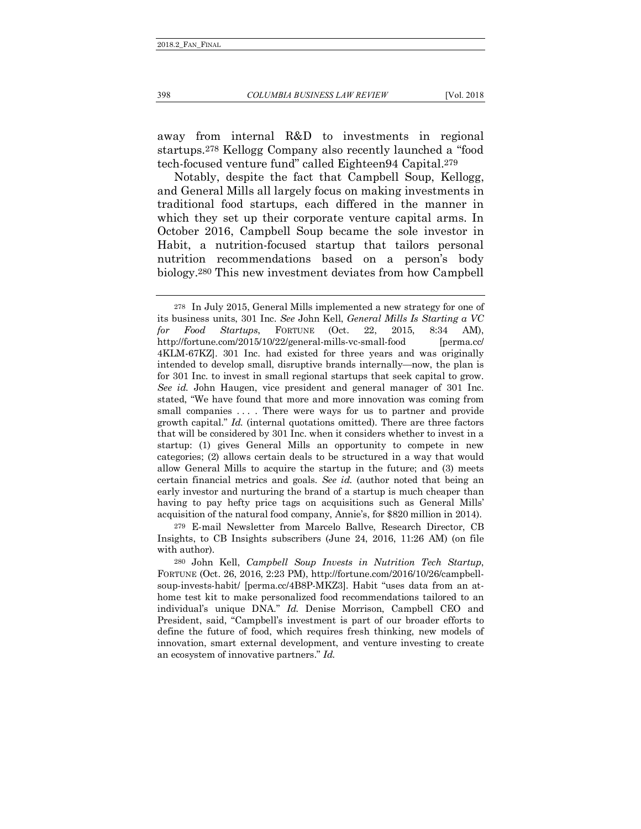away from internal R&D to investments in regional startups.278 Kellogg Company also recently launched a "food tech-focused venture fund" called Eighteen94 Capital.279

Notably, despite the fact that Campbell Soup, Kellogg, and General Mills all largely focus on making investments in traditional food startups, each differed in the manner in which they set up their corporate venture capital arms. In October 2016, Campbell Soup became the sole investor in Habit, a nutrition-focused startup that tailors personal nutrition recommendations based on a person's body biology.280 This new investment deviates from how Campbell

279 E-mail Newsletter from Marcelo Ballve, Research Director, CB Insights, to CB Insights subscribers (June 24, 2016, 11:26 AM) (on file with author).

<sup>278</sup> In July 2015, General Mills implemented a new strategy for one of its business units, 301 Inc. *See* John Kell, *General Mills Is Starting a VC for Food Startups*, FORTUNE (Oct. 22, 2015, 8:34 AM), http://fortune.com/2015/10/22/general-mills-vc-small-food [perma.cc/ 4KLM-67KZ]. 301 Inc. had existed for three years and was originally intended to develop small, disruptive brands internally—now, the plan is for 301 Inc. to invest in small regional startups that seek capital to grow. *See id.* John Haugen, vice president and general manager of 301 Inc. stated, "We have found that more and more innovation was coming from small companies . . . . There were ways for us to partner and provide growth capital." *Id.* (internal quotations omitted). There are three factors that will be considered by 301 Inc. when it considers whether to invest in a startup: (1) gives General Mills an opportunity to compete in new categories; (2) allows certain deals to be structured in a way that would allow General Mills to acquire the startup in the future; and (3) meets certain financial metrics and goals. *See id.* (author noted that being an early investor and nurturing the brand of a startup is much cheaper than having to pay hefty price tags on acquisitions such as General Mills' acquisition of the natural food company, Annie's, for \$820 million in 2014).

<sup>280</sup> John Kell, *Campbell Soup Invests in Nutrition Tech Startup*, FORTUNE (Oct. 26, 2016, 2:23 PM), http://fortune.com/2016/10/26/campbellsoup-invests-habit/ [perma.cc/4B8P-MKZ3]. Habit "uses data from an athome test kit to make personalized food recommendations tailored to an individual's unique DNA." *Id.* Denise Morrison, Campbell CEO and President, said, "Campbell's investment is part of our broader efforts to define the future of food, which requires fresh thinking, new models of innovation, smart external development, and venture investing to create an ecosystem of innovative partners." *Id.*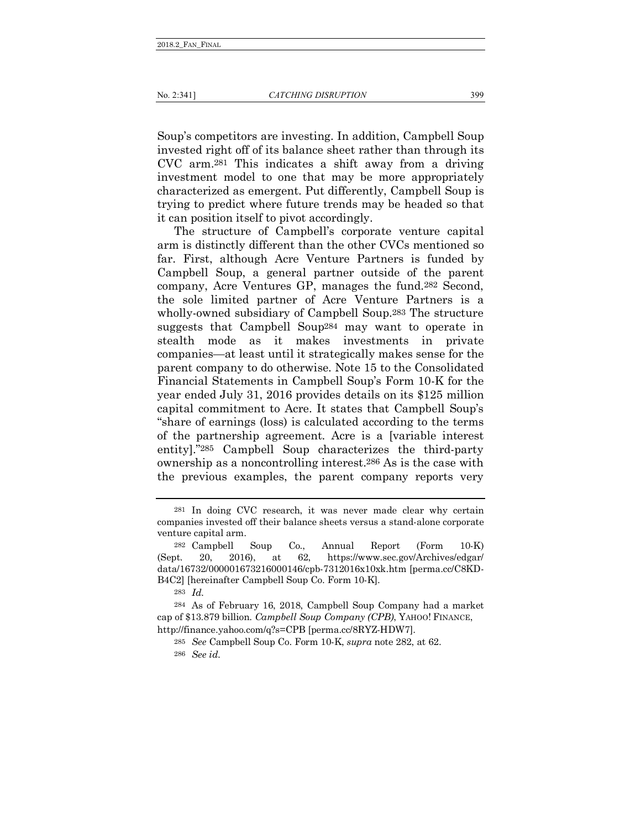Soup's competitors are investing. In addition, Campbell Soup invested right off of its balance sheet rather than through its CVC arm.281 This indicates a shift away from a driving investment model to one that may be more appropriately characterized as emergent. Put differently, Campbell Soup is trying to predict where future trends may be headed so that it can position itself to pivot accordingly.

The structure of Campbell's corporate venture capital arm is distinctly different than the other CVCs mentioned so far. First, although Acre Venture Partners is funded by Campbell Soup, a general partner outside of the parent company, Acre Ventures GP, manages the fund.282 Second, the sole limited partner of Acre Venture Partners is a wholly-owned subsidiary of Campbell Soup.283 The structure suggests that Campbell Soup284 may want to operate in stealth mode as it makes investments in private companies—at least until it strategically makes sense for the parent company to do otherwise. Note 15 to the Consolidated Financial Statements in Campbell Soup's Form 10-K for the year ended July 31, 2016 provides details on its \$125 million capital commitment to Acre. It states that Campbell Soup's "share of earnings (loss) is calculated according to the terms of the partnership agreement. Acre is a [variable interest entity]."285 Campbell Soup characterizes the third-party ownership as a noncontrolling interest.286 As is the case with the previous examples, the parent company reports very

<sup>281</sup> In doing CVC research, it was never made clear why certain companies invested off their balance sheets versus a stand-alone corporate venture capital arm.

<sup>282</sup> Campbell Soup Co., Annual Report (Form 10-K) (Sept. 20, 2016), at 62, https://www.sec.gov/Archives/edgar/ data/16732/000001673216000146/cpb-7312016x10xk.htm [perma.cc/C8KD-B4C2] [hereinafter Campbell Soup Co. Form 10-K].

<sup>283</sup> *Id.*

<sup>284</sup> As of February 16, 2018, Campbell Soup Company had a market cap of \$13.879 billion. *Campbell Soup Company (CPB)*, YAHOO! FINANCE, http://finance.yahoo.com/q?s=CPB [perma.cc/8RYZ-HDW7].

<sup>285</sup> *See* Campbell Soup Co. Form 10-K, *supra* note 282, at 62. 286 *See id.*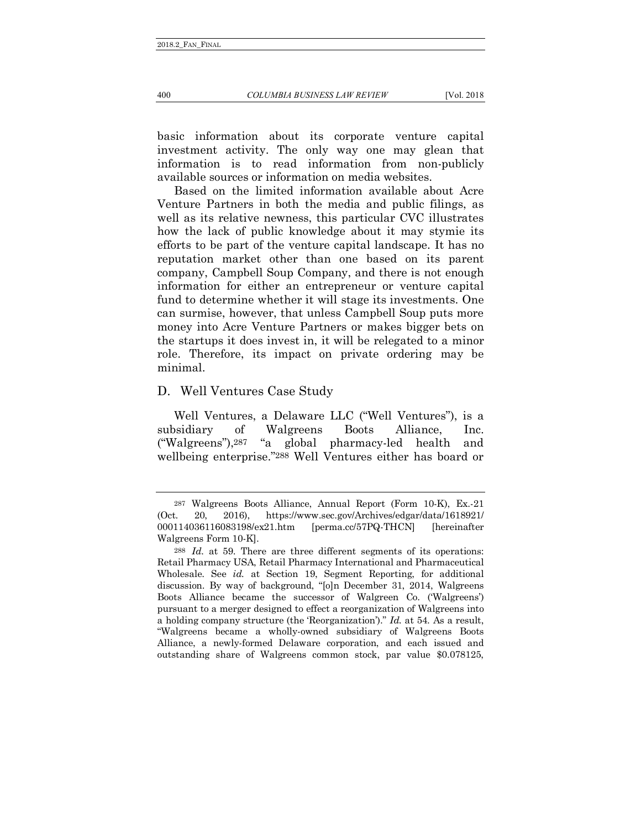basic information about its corporate venture capital investment activity. The only way one may glean that information is to read information from non-publicly available sources or information on media websites.

Based on the limited information available about Acre Venture Partners in both the media and public filings, as well as its relative newness, this particular CVC illustrates how the lack of public knowledge about it may stymie its efforts to be part of the venture capital landscape. It has no reputation market other than one based on its parent company, Campbell Soup Company, and there is not enough information for either an entrepreneur or venture capital fund to determine whether it will stage its investments. One can surmise, however, that unless Campbell Soup puts more money into Acre Venture Partners or makes bigger bets on the startups it does invest in, it will be relegated to a minor role. Therefore, its impact on private ordering may be minimal.

## D. Well Ventures Case Study

Well Ventures, a Delaware LLC ("Well Ventures"), is a subsidiary of Walgreens Boots Alliance, Inc. ("Walgreens"),287 "a global pharmacy-led health and wellbeing enterprise."288 Well Ventures either has board or

<sup>287</sup> Walgreens Boots Alliance, Annual Report (Form 10-K), Ex.-21 (Oct. 20, 2016), https://www.sec.gov/Archives/edgar/data/1618921/ 000114036116083198/ex21.htm [perma.cc/57PQ-THCN] [hereinafter Walgreens Form 10-K].

<sup>288</sup> *Id.* at 59. There are three different segments of its operations: Retail Pharmacy USA, Retail Pharmacy International and Pharmaceutical Wholesale. See *id.* at Section 19, Segment Reporting, for additional discussion. By way of background, "[o]n December 31, 2014, Walgreens Boots Alliance became the successor of Walgreen Co. ('Walgreens') pursuant to a merger designed to effect a reorganization of Walgreens into a holding company structure (the 'Reorganization')." *Id.* at 54. As a result, "Walgreens became a wholly-owned subsidiary of Walgreens Boots Alliance, a newly-formed Delaware corporation, and each issued and outstanding share of Walgreens common stock, par value \$0.078125,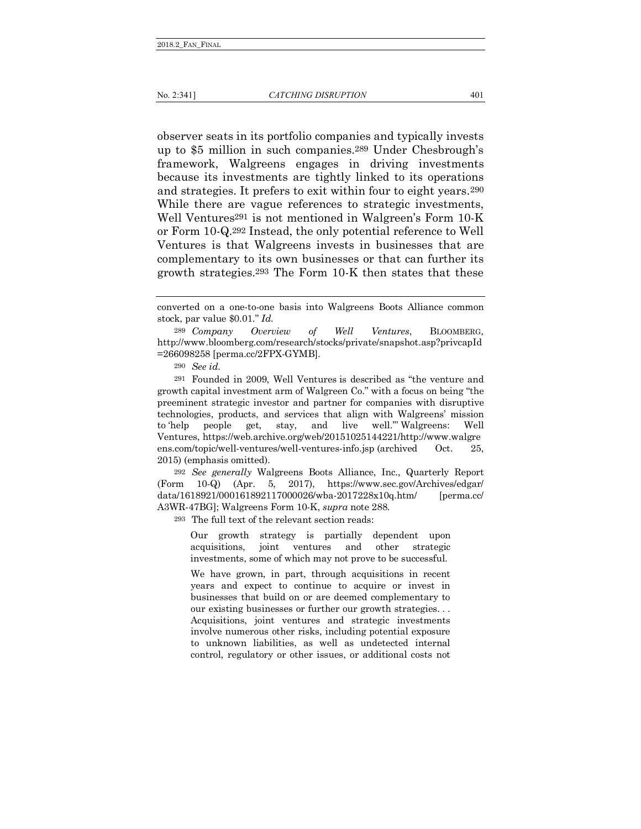observer seats in its portfolio companies and typically invests up to \$5 million in such companies.289 Under Chesbrough's framework, Walgreens engages in driving investments because its investments are tightly linked to its operations and strategies. It prefers to exit within four to eight years.290 While there are vague references to strategic investments, Well Ventures<sup>291</sup> is not mentioned in Walgreen's Form 10-K or Form 10-Q.292 Instead, the only potential reference to Well Ventures is that Walgreens invests in businesses that are complementary to its own businesses or that can further its growth strategies.293 The Form 10-K then states that these

289 *Company Overview of Well Ventures*, BLOOMBERG, http://www.bloomberg.com/research/stocks/private/snapshot.asp?privcapId =266098258 [perma.cc/2FPX-GYMB].

290 *See id.*

291 Founded in 2009, Well Ventures is described as "the venture and growth capital investment arm of Walgreen Co." with a focus on being "the preeminent strategic investor and partner for companies with disruptive technologies, products, and services that align with Walgreens' mission to 'help people get, stay, and live well.'" Walgreens: Well Ventures, https://web.archive.org/web/20151025144221/http://www.walgre ens.com/topic/well-ventures/well-ventures-info.jsp (archived Oct. 25, 2015) (emphasis omitted).

292 *See generally* Walgreens Boots Alliance, Inc., Quarterly Report (Form 10-Q) (Apr. 5, 2017), https://www.sec.gov/Archives/edgar/ data/1618921/000161892117000026/wba-2017228x10q.htm/ [perma.cc/ A3WR-47BG]; Walgreens Form 10-K, *supra* note 288.

293 The full text of the relevant section reads:

Our growth strategy is partially dependent upon acquisitions, joint ventures and other strategic investments, some of which may not prove to be successful.

We have grown, in part, through acquisitions in recent years and expect to continue to acquire or invest in businesses that build on or are deemed complementary to our existing businesses or further our growth strategies. . . Acquisitions, joint ventures and strategic investments involve numerous other risks, including potential exposure to unknown liabilities, as well as undetected internal control, regulatory or other issues, or additional costs not

converted on a one-to-one basis into Walgreens Boots Alliance common stock, par value \$0.01." *Id.*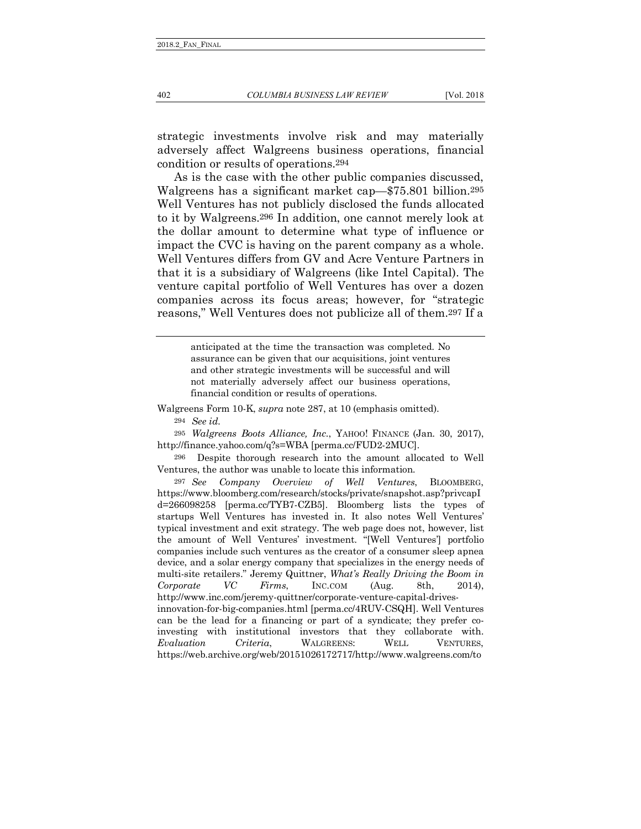strategic investments involve risk and may materially adversely affect Walgreens business operations, financial condition or results of operations.294

As is the case with the other public companies discussed, Walgreens has a significant market cap—\$75.801 billion.295 Well Ventures has not publicly disclosed the funds allocated to it by Walgreens.296 In addition, one cannot merely look at the dollar amount to determine what type of influence or impact the CVC is having on the parent company as a whole. Well Ventures differs from GV and Acre Venture Partners in that it is a subsidiary of Walgreens (like Intel Capital). The venture capital portfolio of Well Ventures has over a dozen companies across its focus areas; however, for "strategic reasons," Well Ventures does not publicize all of them.297 If a

> anticipated at the time the transaction was completed. No assurance can be given that our acquisitions, joint ventures and other strategic investments will be successful and will not materially adversely affect our business operations, financial condition or results of operations.

Walgreens Form 10-K, *supra* note 287, at 10 (emphasis omitted). 294 *See id.*

295 *Walgreens Boots Alliance, Inc.*, YAHOO! FINANCE (Jan. 30, 2017), http://finance.yahoo.com/q?s=WBA [perma.cc/FUD2-2MUC].

296 Despite thorough research into the amount allocated to Well Ventures, the author was unable to locate this information.

297 *See Company Overview of Well Ventures*, BLOOMBERG, https://www.bloomberg.com/research/stocks/private/snapshot.asp?privcapI d=266098258 [perma.cc/TYB7-CZB5]. Bloomberg lists the types of startups Well Ventures has invested in. It also notes Well Ventures' typical investment and exit strategy. The web page does not, however, list the amount of Well Ventures' investment. "[Well Ventures'] portfolio companies include such ventures as the creator of a consumer sleep apnea device, and a solar energy company that specializes in the energy needs of multi-site retailers." Jeremy Quittner, *What's Really Driving the Boom in Corporate VC Firms*, INC.COM (Aug. 8th, 2014), http://www.inc.com/jeremy-quittner/corporate-venture-capital-drivesinnovation-for-big-companies.html [perma.cc/4RUV-CSQH]. Well Ventures can be the lead for a financing or part of a syndicate; they prefer coinvesting with institutional investors that they collaborate with. *Evaluation Criteria*, WALGREENS: WELL VENTURES, https://web.archive.org/web/20151026172717/http://www.walgreens.com/to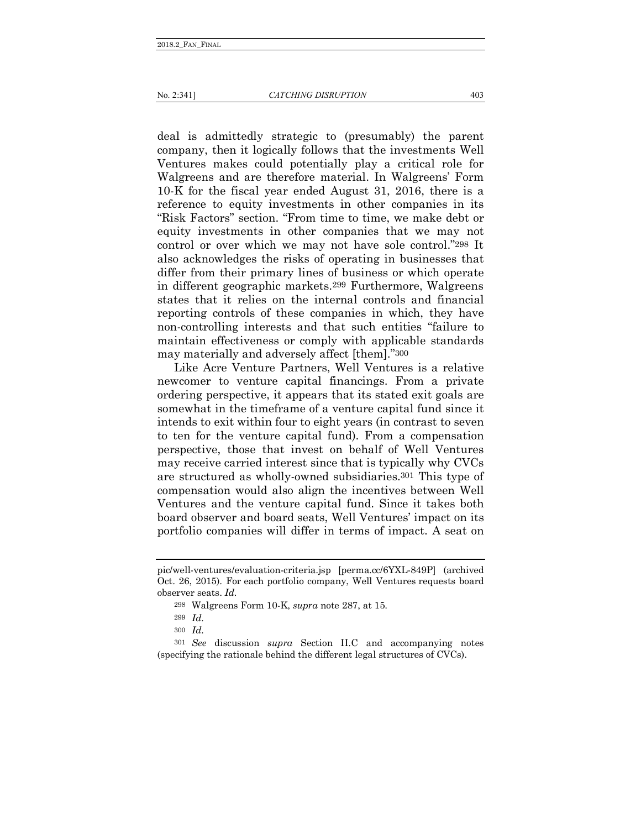deal is admittedly strategic to (presumably) the parent company, then it logically follows that the investments Well

Ventures makes could potentially play a critical role for Walgreens and are therefore material. In Walgreens' Form 10-K for the fiscal year ended August 31, 2016, there is a reference to equity investments in other companies in its "Risk Factors" section. "From time to time, we make debt or equity investments in other companies that we may not control or over which we may not have sole control."298 It also acknowledges the risks of operating in businesses that differ from their primary lines of business or which operate in different geographic markets.299 Furthermore, Walgreens states that it relies on the internal controls and financial reporting controls of these companies in which, they have non-controlling interests and that such entities "failure to maintain effectiveness or comply with applicable standards may materially and adversely affect [them]."300

Like Acre Venture Partners, Well Ventures is a relative newcomer to venture capital financings. From a private ordering perspective, it appears that its stated exit goals are somewhat in the timeframe of a venture capital fund since it intends to exit within four to eight years (in contrast to seven to ten for the venture capital fund). From a compensation perspective, those that invest on behalf of Well Ventures may receive carried interest since that is typically why CVCs are structured as wholly-owned subsidiaries.301 This type of compensation would also align the incentives between Well Ventures and the venture capital fund. Since it takes both board observer and board seats, Well Ventures' impact on its portfolio companies will differ in terms of impact. A seat on

pic/well-ventures/evaluation-criteria.jsp [perma.cc/6YXL-849P] (archived Oct. 26, 2015). For each portfolio company, Well Ventures requests board observer seats. *Id.*

<sup>298</sup> Walgreens Form 10-K, *supra* note 287, at 15.

<sup>299</sup> *Id.* 

<sup>300</sup> *Id.* 

<sup>301</sup> *See* discussion *supra* Section II.C and accompanying notes (specifying the rationale behind the different legal structures of CVCs).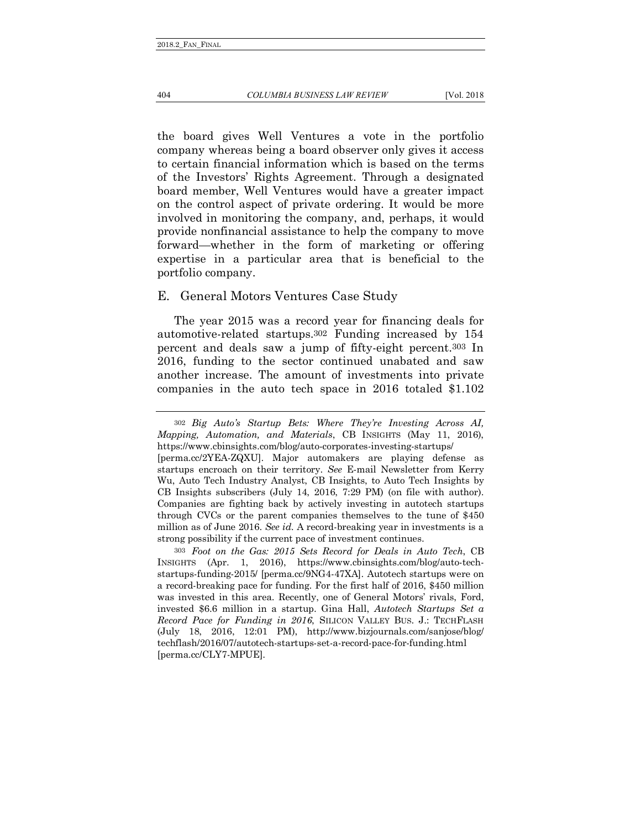404 *COLUMBIA BUSINESS LAW REVIEW* [Vol. 2018

the board gives Well Ventures a vote in the portfolio company whereas being a board observer only gives it access to certain financial information which is based on the terms of the Investors' Rights Agreement. Through a designated board member, Well Ventures would have a greater impact on the control aspect of private ordering. It would be more involved in monitoring the company, and, perhaps, it would provide nonfinancial assistance to help the company to move forward—whether in the form of marketing or offering expertise in a particular area that is beneficial to the portfolio company.

### E. General Motors Ventures Case Study

The year 2015 was a record year for financing deals for automotive-related startups.302 Funding increased by 154 percent and deals saw a jump of fifty-eight percent.303 In 2016, funding to the sector continued unabated and saw another increase. The amount of investments into private companies in the auto tech space in 2016 totaled \$1.102

<sup>302</sup> *Big Auto's Startup Bets: Where They're Investing Across AI, Mapping, Automation, and Materials*, CB INSIGHTS (May 11, 2016), https://www.cbinsights.com/blog/auto-corporates-investing-startups/ [perma.cc/2YEA-ZQXU]. Major automakers are playing defense as startups encroach on their territory. *See* E-mail Newsletter from Kerry Wu, Auto Tech Industry Analyst, CB Insights, to Auto Tech Insights by CB Insights subscribers (July 14, 2016, 7:29 PM) (on file with author). Companies are fighting back by actively investing in autotech startups through CVCs or the parent companies themselves to the tune of \$450 million as of June 2016. *See id.* A record-breaking year in investments is a strong possibility if the current pace of investment continues.

<sup>303</sup> *Foot on the Gas: 2015 Sets Record for Deals in Auto Tech*, CB INSIGHTS (Apr. 1, 2016), https://www.cbinsights.com/blog/auto-techstartups-funding-2015/ [perma.cc/9NG4-47XA]. Autotech startups were on a record-breaking pace for funding. For the first half of 2016, \$450 million was invested in this area. Recently, one of General Motors' rivals, Ford, invested \$6.6 million in a startup. Gina Hall, *Autotech Startups Set a Record Pace for Funding in 2016*, SILICON VALLEY BUS. J.: TECHFLASH (July 18, 2016, 12:01 PM), http://www.bizjournals.com/sanjose/blog/ techflash/2016/07/autotech-startups-set-a-record-pace-for-funding.html [perma.cc/CLY7-MPUE].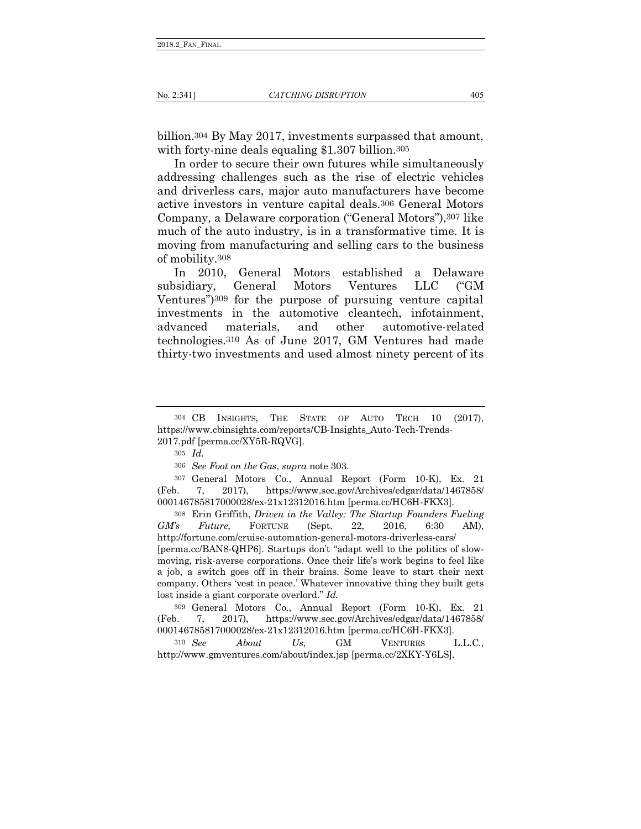billion.304 By May 2017, investments surpassed that amount, with forty-nine deals equaling \$1.307 billion.305

In order to secure their own futures while simultaneously addressing challenges such as the rise of electric vehicles and driverless cars, major auto manufacturers have become active investors in venture capital deals.306 General Motors Company, a Delaware corporation ("General Motors"),307 like much of the auto industry, is in a transformative time. It is moving from manufacturing and selling cars to the business of mobility.308

In 2010, General Motors established a Delaware subsidiary, General Motors Ventures LLC ("GM Ventures")309 for the purpose of pursuing venture capital investments in the automotive cleantech, infotainment, advanced materials, and other automotive-related technologies.310 As of June 2017, GM Ventures had made thirty-two investments and used almost ninety percent of its

307 General Motors Co., Annual Report (Form 10-K), Ex. 21 (Feb. 7, 2017), https://www.sec.gov/Archives/edgar/data/1467858/ 000146785817000028/ex-21x12312016.htm [perma.cc/HC6H-FKX3].

308 Erin Griffith, *Driven in the Valley: The Startup Founders Fueling GM's Future*, FORTUNE (Sept. 22, 2016, 6:30 AM), http://fortune.com/cruise-automation-general-motors-driverless-cars/ [perma.cc/BAN8-QHP6]. Startups don't "adapt well to the politics of slowmoving, risk-averse corporations. Once their life's work begins to feel like a job, a switch goes off in their brains. Some leave to start their next company. Others 'vest in peace.' Whatever innovative thing they built gets lost inside a giant corporate overlord." *Id.*

309 General Motors Co., Annual Report (Form 10-K), Ex. 21 (Feb. 7, 2017), https://www.sec.gov/Archives/edgar/data/1467858/ 000146785817000028/ex-21x12312016.htm [perma.cc/HC6H-FKX3].

310 *See About Us*, GM VENTURES L.L.C., http://www.gmventures.com/about/index.jsp [perma.cc/2XKY-Y6LS].

<sup>304</sup> CB INSIGHTS, THE STATE OF AUTO TECH 10 (2017), https://www.cbinsights.com/reports/CB-Insights\_Auto-Tech-Trends-2017.pdf [perma.cc/XY5R-RQVG].

<sup>305</sup> *Id.*

<sup>306</sup> *See Foot on the Gas*, *supra* note 303.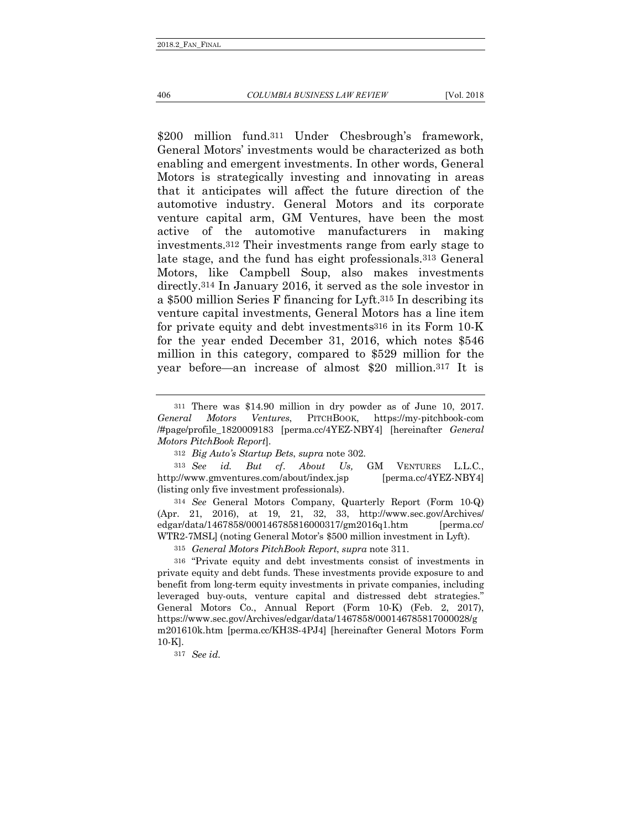406 *COLUMBIA BUSINESS LAW REVIEW* [Vol. 2018

\$200 million fund.<sup>311</sup> Under Chesbrough's framework, General Motors' investments would be characterized as both enabling and emergent investments. In other words, General Motors is strategically investing and innovating in areas that it anticipates will affect the future direction of the automotive industry. General Motors and its corporate venture capital arm, GM Ventures, have been the most active of the automotive manufacturers in making investments.312 Their investments range from early stage to late stage, and the fund has eight professionals.313 General Motors, like Campbell Soup, also makes investments directly.314 In January 2016, it served as the sole investor in a \$500 million Series F financing for Lyft.315 In describing its venture capital investments, General Motors has a line item for private equity and debt investments316 in its Form 10-K for the year ended December 31, 2016, which notes \$546 million in this category, compared to \$529 million for the year before—an increase of almost \$20 million.317 It is

313 *See id. But cf*. *About Us,* GM VENTURES L.L.C., http://www.gmventures.com/about/index.jsp [perma.cc/4YEZ-NBY4] (listing only five investment professionals).

314 *See* General Motors Company, Quarterly Report (Form 10-Q) (Apr. 21, 2016), at 19, 21, 32, 33, http://www.sec.gov/Archives/ edgar/data/1467858/000146785816000317/gm2016q1.htm [perma.cc/ WTR2-7MSL] (noting General Motor's \$500 million investment in Lyft).

315 *General Motors PitchBook Report*, *supra* note 311.

316 "Private equity and debt investments consist of investments in private equity and debt funds. These investments provide exposure to and benefit from long-term equity investments in private companies, including leveraged buy-outs, venture capital and distressed debt strategies." General Motors Co., Annual Report (Form 10-K) (Feb. 2, 2017), https://www.sec.gov/Archives/edgar/data/1467858/000146785817000028/g m201610k.htm [perma.cc/KH3S-4PJ4] [hereinafter General Motors Form 10-K].

317 *See id.*

<sup>311</sup> There was \$14.90 million in dry powder as of June 10, 2017. *General Motors Ventures*, PITCHBOOK, https://my-pitchbook-com /#page/profile\_1820009183 [perma.cc/4YEZ-NBY4] [hereinafter *General Motors PitchBook Report*].

<sup>312</sup> *Big Auto's Startup Bets*, *supra* note 302.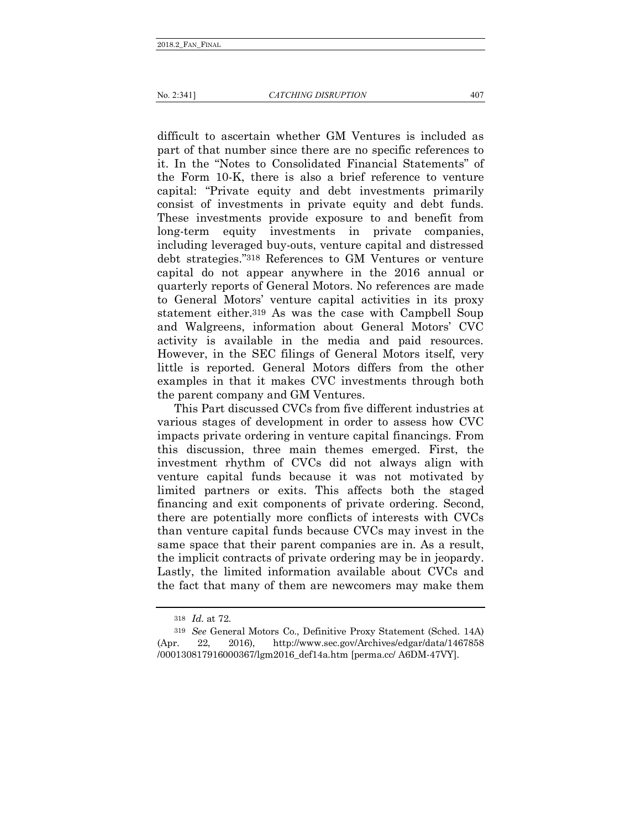difficult to ascertain whether GM Ventures is included as part of that number since there are no specific references to it. In the "Notes to Consolidated Financial Statements" of the Form 10-K, there is also a brief reference to venture capital: "Private equity and debt investments primarily consist of investments in private equity and debt funds. These investments provide exposure to and benefit from long-term equity investments in private companies, including leveraged buy-outs, venture capital and distressed debt strategies."318 References to GM Ventures or venture capital do not appear anywhere in the 2016 annual or quarterly reports of General Motors. No references are made to General Motors' venture capital activities in its proxy statement either.319 As was the case with Campbell Soup and Walgreens, information about General Motors' CVC activity is available in the media and paid resources. However, in the SEC filings of General Motors itself, very little is reported. General Motors differs from the other examples in that it makes CVC investments through both the parent company and GM Ventures.

This Part discussed CVCs from five different industries at various stages of development in order to assess how CVC impacts private ordering in venture capital financings. From this discussion, three main themes emerged. First, the investment rhythm of CVCs did not always align with venture capital funds because it was not motivated by limited partners or exits. This affects both the staged financing and exit components of private ordering. Second, there are potentially more conflicts of interests with CVCs than venture capital funds because CVCs may invest in the same space that their parent companies are in. As a result, the implicit contracts of private ordering may be in jeopardy. Lastly, the limited information available about CVCs and the fact that many of them are newcomers may make them

<sup>318</sup> *Id.* at 72.

<sup>319</sup> *See* General Motors Co., Definitive Proxy Statement (Sched. 14A) (Apr. 22, 2016), http://www.sec.gov/Archives/edgar/data/1467858 /000130817916000367/lgm2016\_def14a.htm [perma.cc/ A6DM-47VY].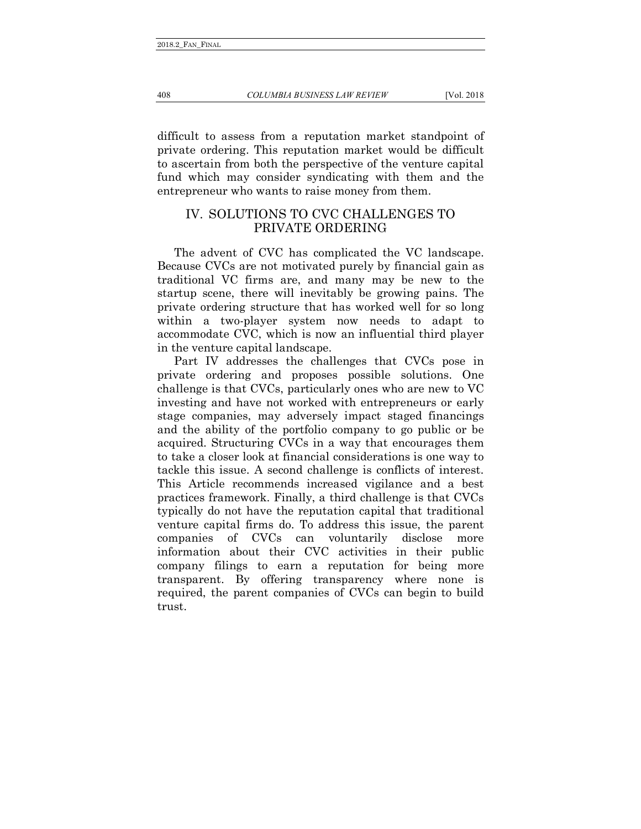difficult to assess from a reputation market standpoint of private ordering. This reputation market would be difficult to ascertain from both the perspective of the venture capital fund which may consider syndicating with them and the entrepreneur who wants to raise money from them.

# IV. SOLUTIONS TO CVC CHALLENGES TO PRIVATE ORDERING

The advent of CVC has complicated the VC landscape. Because CVCs are not motivated purely by financial gain as traditional VC firms are, and many may be new to the startup scene, there will inevitably be growing pains. The private ordering structure that has worked well for so long within a two-player system now needs to adapt to accommodate CVC, which is now an influential third player in the venture capital landscape.

Part IV addresses the challenges that CVCs pose in private ordering and proposes possible solutions. One challenge is that CVCs, particularly ones who are new to VC investing and have not worked with entrepreneurs or early stage companies, may adversely impact staged financings and the ability of the portfolio company to go public or be acquired. Structuring CVCs in a way that encourages them to take a closer look at financial considerations is one way to tackle this issue. A second challenge is conflicts of interest. This Article recommends increased vigilance and a best practices framework. Finally, a third challenge is that CVCs typically do not have the reputation capital that traditional venture capital firms do. To address this issue, the parent companies of CVCs can voluntarily disclose more information about their CVC activities in their public company filings to earn a reputation for being more transparent. By offering transparency where none is required, the parent companies of CVCs can begin to build trust.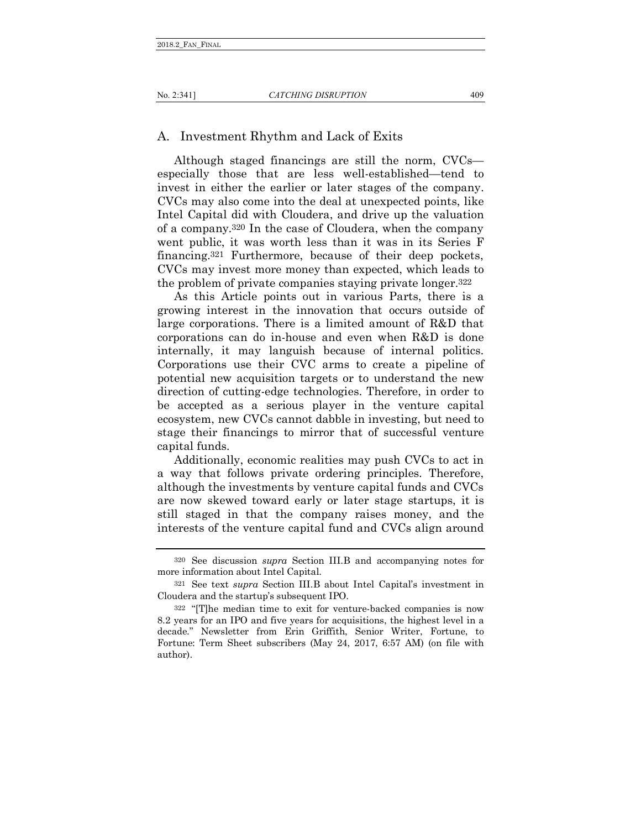### No. 2:341] *CATCHING DISRUPTION* 409

## A. Investment Rhythm and Lack of Exits

Although staged financings are still the norm, CVCs especially those that are less well-established—tend to invest in either the earlier or later stages of the company. CVCs may also come into the deal at unexpected points, like Intel Capital did with Cloudera, and drive up the valuation of a company.320 In the case of Cloudera, when the company went public, it was worth less than it was in its Series F financing.321 Furthermore, because of their deep pockets, CVCs may invest more money than expected, which leads to the problem of private companies staying private longer.322

As this Article points out in various Parts, there is a growing interest in the innovation that occurs outside of large corporations. There is a limited amount of R&D that corporations can do in-house and even when R&D is done internally, it may languish because of internal politics. Corporations use their CVC arms to create a pipeline of potential new acquisition targets or to understand the new direction of cutting-edge technologies. Therefore, in order to be accepted as a serious player in the venture capital ecosystem, new CVCs cannot dabble in investing, but need to stage their financings to mirror that of successful venture capital funds.

Additionally, economic realities may push CVCs to act in a way that follows private ordering principles. Therefore, although the investments by venture capital funds and CVCs are now skewed toward early or later stage startups, it is still staged in that the company raises money, and the interests of the venture capital fund and CVCs align around

<sup>320</sup> See discussion *supra* Section III.B and accompanying notes for more information about Intel Capital.

<sup>321</sup> See text *supra* Section III.B about Intel Capital's investment in Cloudera and the startup's subsequent IPO.

<sup>322</sup> "[T]he median time to exit for venture-backed companies is now 8.2 years for an IPO and five years for acquisitions, the highest level in a decade." Newsletter from Erin Griffith, Senior Writer, Fortune, to Fortune: Term Sheet subscribers (May 24, 2017, 6:57 AM) (on file with author).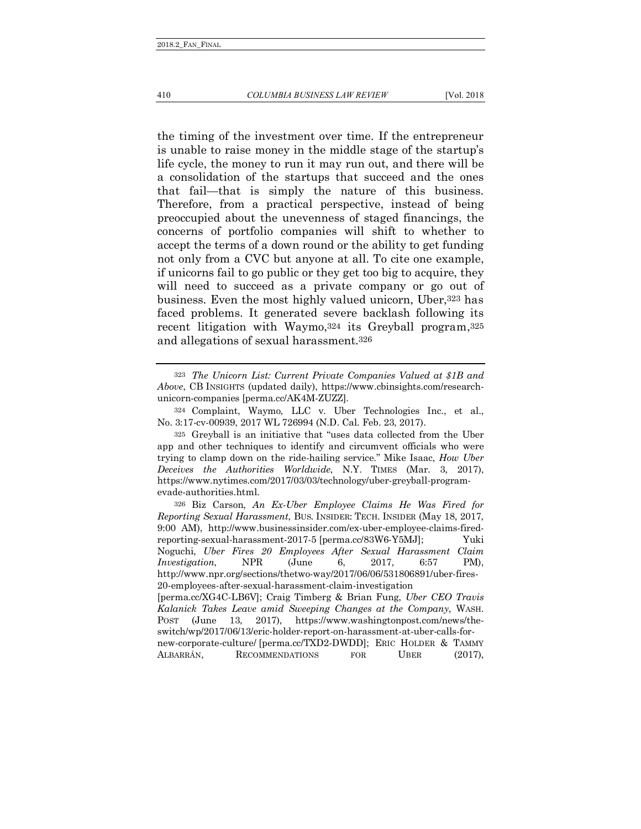the timing of the investment over time. If the entrepreneur is unable to raise money in the middle stage of the startup's life cycle, the money to run it may run out, and there will be a consolidation of the startups that succeed and the ones that fail—that is simply the nature of this business. Therefore, from a practical perspective, instead of being preoccupied about the unevenness of staged financings, the concerns of portfolio companies will shift to whether to accept the terms of a down round or the ability to get funding not only from a CVC but anyone at all. To cite one example, if unicorns fail to go public or they get too big to acquire, they will need to succeed as a private company or go out of business. Even the most highly valued unicorn, Uber,323 has faced problems. It generated severe backlash following its recent litigation with Waymo,324 its Greyball program,325 and allegations of sexual harassment.326

324 Complaint, Waymo, LLC v. Uber Technologies Inc., et al., No. 3:17-cv-00939, 2017 WL 726994 (N.D. Cal. Feb. 23, 2017).

325 Greyball is an initiative that "uses data collected from the Uber app and other techniques to identify and circumvent officials who were trying to clamp down on the ride-hailing service." Mike Isaac, *How Uber Deceives the Authorities Worldwide*, N.Y. TIMES (Mar. 3, 2017), https://www.nytimes.com/2017/03/03/technology/uber-greyball-programevade-authorities.html.

326 Biz Carson, *An Ex-Uber Employee Claims He Was Fired for Reporting Sexual Harassment*, BUS. INSIDER: TECH. INSIDER (May 18, 2017, 9:00 AM), http://www.businessinsider.com/ex-uber-employee-claims-firedreporting-sexual-harassment-2017-5 [perma.cc/83W6-Y5MJ]; Yuki Noguchi, *Uber Fires 20 Employees After Sexual Harassment Claim Investigation*, NPR (June 6, 2017, 6:57 PM), http://www.npr.org/sections/thetwo-way/2017/06/06/531806891/uber-fires-20-employees-after-sexual-harassment-claim-investigation

<sup>323</sup> *The Unicorn List: Current Private Companies Valued at \$1B and Above*, CB INSIGHTS (updated daily), https://www.cbinsights.com/researchunicorn-companies [perma.cc/AK4M-ZUZZ].

<sup>[</sup>perma.cc/XG4C-LB6V]; Craig Timberg & Brian Fung, *Uber CEO Travis Kalanick Takes Leave amid Sweeping Changes at the Company*, WASH. POST (June 13, 2017), https://www.washingtonpost.com/news/theswitch/wp/2017/06/13/eric-holder-report-on-harassment-at-uber-calls-fornew-corporate-culture/ [perma.cc/TXD2-DWDD]; ERIC HOLDER & TAMMY ALBARRÁN, RECOMMENDATIONS FOR UBER (2017),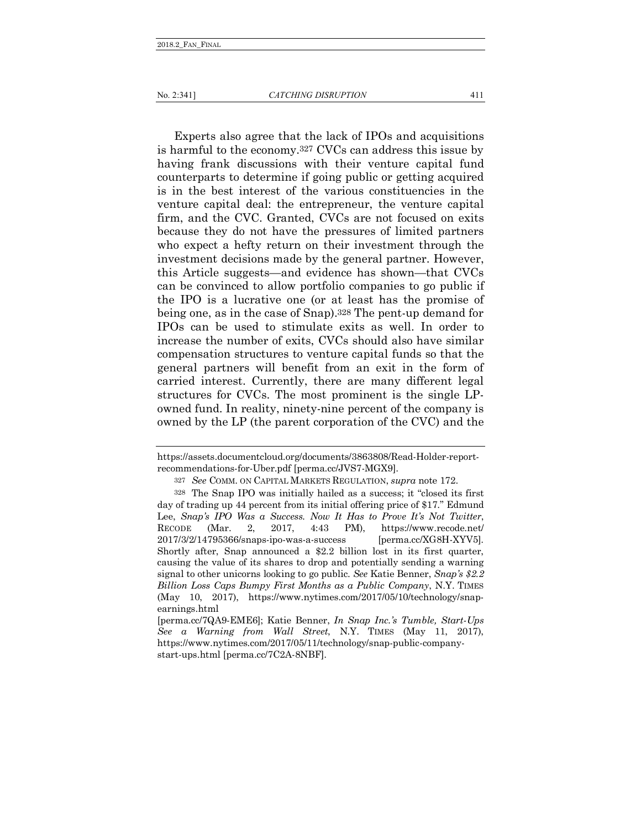Experts also agree that the lack of IPOs and acquisitions is harmful to the economy.327 CVCs can address this issue by having frank discussions with their venture capital fund counterparts to determine if going public or getting acquired is in the best interest of the various constituencies in the venture capital deal: the entrepreneur, the venture capital firm, and the CVC. Granted, CVCs are not focused on exits because they do not have the pressures of limited partners who expect a hefty return on their investment through the investment decisions made by the general partner. However, this Article suggests—and evidence has shown—that CVCs can be convinced to allow portfolio companies to go public if the IPO is a lucrative one (or at least has the promise of being one, as in the case of Snap).328 The pent-up demand for IPOs can be used to stimulate exits as well. In order to increase the number of exits, CVCs should also have similar compensation structures to venture capital funds so that the general partners will benefit from an exit in the form of carried interest. Currently, there are many different legal structures for CVCs. The most prominent is the single LPowned fund. In reality, ninety-nine percent of the company is owned by the LP (the parent corporation of the CVC) and the

https://assets.documentcloud.org/documents/3863808/Read-Holder-reportrecommendations-for-Uber.pdf [perma.cc/JVS7-MGX9].

<sup>327</sup> *See* COMM. ON CAPITAL MARKETS REGULATION, *supra* note 172.

<sup>328</sup> The Snap IPO was initially hailed as a success; it "closed its first day of trading up 44 percent from its initial offering price of \$17." Edmund Lee, *Snap's IPO Was a Success. Now It Has to Prove It's Not Twitter*, RECODE (Mar. 2, 2017, 4:43 PM), https://www.recode.net/ 2017/3/2/14795366/snaps-ipo-was-a-success [perma.cc/XG8H-XYV5]. Shortly after, Snap announced a \$2.2 billion lost in its first quarter, causing the value of its shares to drop and potentially sending a warning signal to other unicorns looking to go public. *See* Katie Benner, *Snap's \$2.2 Billion Loss Caps Bumpy First Months as a Public Company*, N.Y. TIMES (May 10, 2017), https://www.nytimes.com/2017/05/10/technology/snapearnings.html

<sup>[</sup>perma.cc/7QA9-EME6]; Katie Benner, *In Snap Inc.'s Tumble, Start-Ups See a Warning from Wall Street*, N.Y. TIMES (May 11, 2017), https://www.nytimes.com/2017/05/11/technology/snap-public-companystart-ups.html [perma.cc/7C2A-8NBF].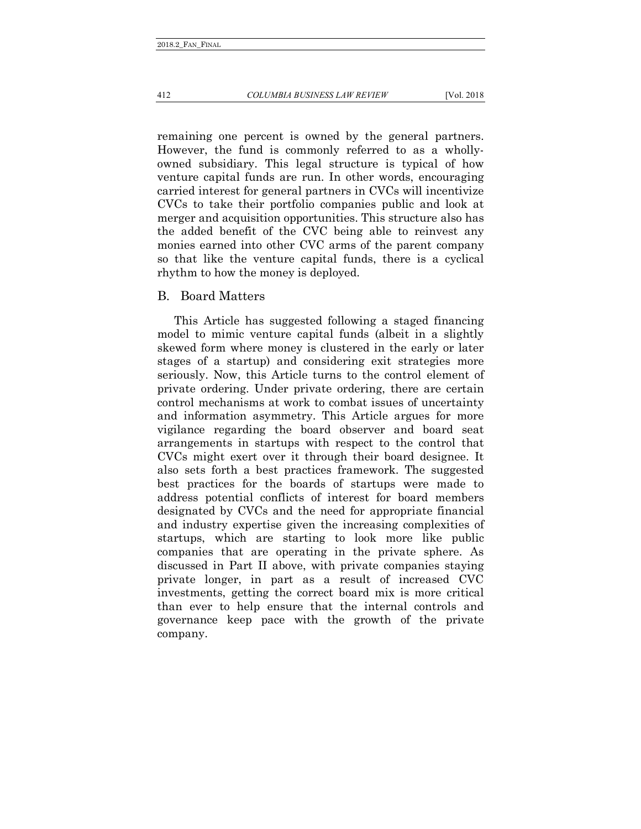412 *COLUMBIA BUSINESS LAW REVIEW* [Vol. 2018

remaining one percent is owned by the general partners. However, the fund is commonly referred to as a whollyowned subsidiary. This legal structure is typical of how venture capital funds are run. In other words, encouraging carried interest for general partners in CVCs will incentivize CVCs to take their portfolio companies public and look at merger and acquisition opportunities. This structure also has the added benefit of the CVC being able to reinvest any monies earned into other CVC arms of the parent company so that like the venture capital funds, there is a cyclical rhythm to how the money is deployed.

## B. Board Matters

This Article has suggested following a staged financing model to mimic venture capital funds (albeit in a slightly skewed form where money is clustered in the early or later stages of a startup) and considering exit strategies more seriously. Now, this Article turns to the control element of private ordering. Under private ordering, there are certain control mechanisms at work to combat issues of uncertainty and information asymmetry. This Article argues for more vigilance regarding the board observer and board seat arrangements in startups with respect to the control that CVCs might exert over it through their board designee. It also sets forth a best practices framework. The suggested best practices for the boards of startups were made to address potential conflicts of interest for board members designated by CVCs and the need for appropriate financial and industry expertise given the increasing complexities of startups, which are starting to look more like public companies that are operating in the private sphere. As discussed in Part II above, with private companies staying private longer, in part as a result of increased CVC investments, getting the correct board mix is more critical than ever to help ensure that the internal controls and governance keep pace with the growth of the private company.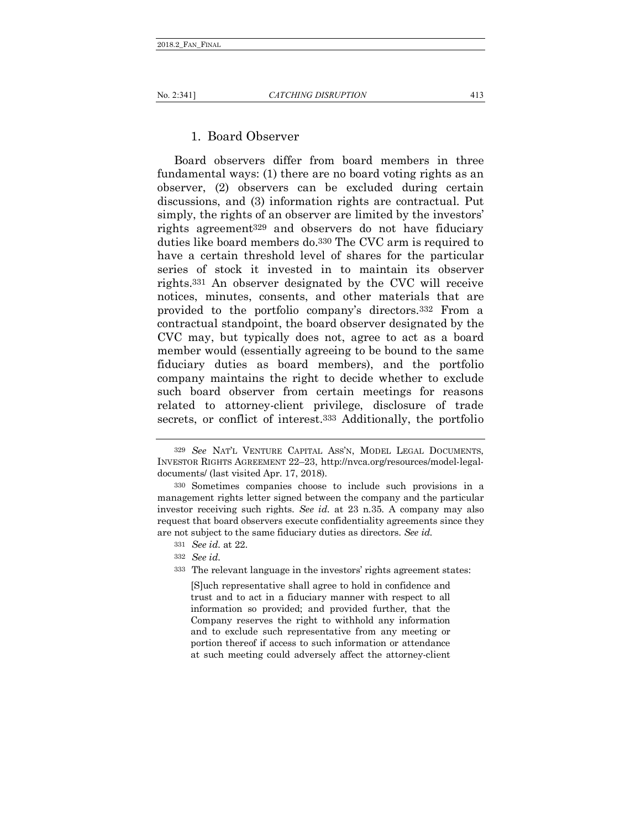# 1. Board Observer

Board observers differ from board members in three fundamental ways: (1) there are no board voting rights as an observer, (2) observers can be excluded during certain discussions, and (3) information rights are contractual. Put simply, the rights of an observer are limited by the investors' rights agreement329 and observers do not have fiduciary duties like board members do.330 The CVC arm is required to have a certain threshold level of shares for the particular series of stock it invested in to maintain its observer rights.331 An observer designated by the CVC will receive notices, minutes, consents, and other materials that are provided to the portfolio company's directors.332 From a contractual standpoint, the board observer designated by the CVC may, but typically does not, agree to act as a board member would (essentially agreeing to be bound to the same fiduciary duties as board members), and the portfolio company maintains the right to decide whether to exclude such board observer from certain meetings for reasons related to attorney-client privilege, disclosure of trade secrets, or conflict of interest.333 Additionally, the portfolio

- 331 *See id.* at 22.
- 332 *See id.*
- 333 The relevant language in the investors' rights agreement states:

[S]uch representative shall agree to hold in confidence and trust and to act in a fiduciary manner with respect to all information so provided; and provided further, that the Company reserves the right to withhold any information and to exclude such representative from any meeting or portion thereof if access to such information or attendance at such meeting could adversely affect the attorney-client

<sup>329</sup> *See* NAT'L VENTURE CAPITAL ASS'N, MODEL LEGAL DOCUMENTS, INVESTOR RIGHTS AGREEMENT 22–23, http://nvca.org/resources/model-legaldocuments/ (last visited Apr. 17, 2018).

<sup>330</sup> Sometimes companies choose to include such provisions in a management rights letter signed between the company and the particular investor receiving such rights. *See id.* at 23 n.35. A company may also request that board observers execute confidentiality agreements since they are not subject to the same fiduciary duties as directors. *See id.*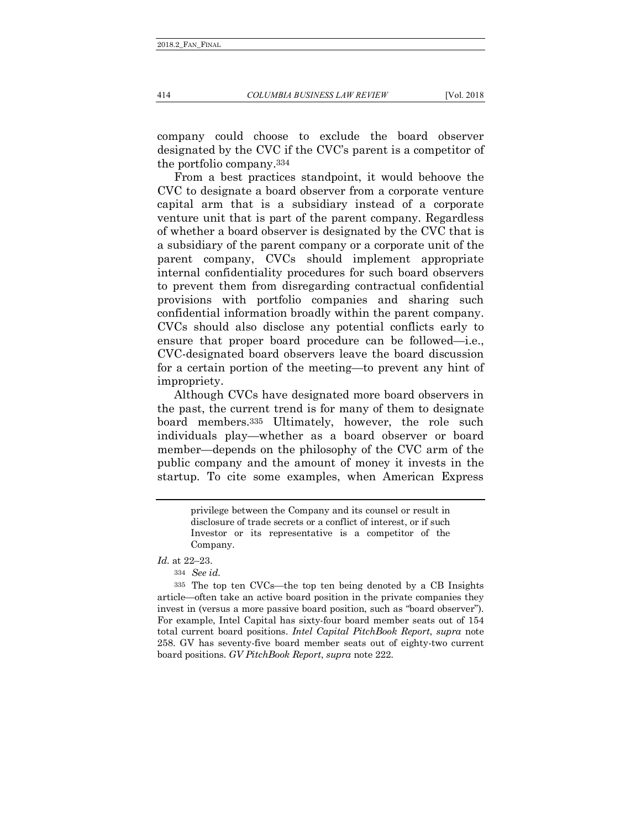company could choose to exclude the board observer designated by the CVC if the CVC's parent is a competitor of the portfolio company.334

From a best practices standpoint, it would behoove the CVC to designate a board observer from a corporate venture capital arm that is a subsidiary instead of a corporate venture unit that is part of the parent company. Regardless of whether a board observer is designated by the CVC that is a subsidiary of the parent company or a corporate unit of the parent company, CVCs should implement appropriate internal confidentiality procedures for such board observers to prevent them from disregarding contractual confidential provisions with portfolio companies and sharing such confidential information broadly within the parent company. CVCs should also disclose any potential conflicts early to ensure that proper board procedure can be followed—i.e., CVC-designated board observers leave the board discussion for a certain portion of the meeting—to prevent any hint of impropriety.

Although CVCs have designated more board observers in the past, the current trend is for many of them to designate board members.335 Ultimately, however, the role such individuals play—whether as a board observer or board member—depends on the philosophy of the CVC arm of the public company and the amount of money it invests in the startup. To cite some examples, when American Express

> privilege between the Company and its counsel or result in disclosure of trade secrets or a conflict of interest, or if such Investor or its representative is a competitor of the Company.

*Id.* at 22–23.

334 *See id.*

335 The top ten CVCs—the top ten being denoted by a CB Insights article—often take an active board position in the private companies they invest in (versus a more passive board position, such as "board observer"). For example, Intel Capital has sixty-four board member seats out of 154 total current board positions. *Intel Capital PitchBook Report*, *supra* note 258. GV has seventy-five board member seats out of eighty-two current board positions. *GV PitchBook Report*, *supra* note 222.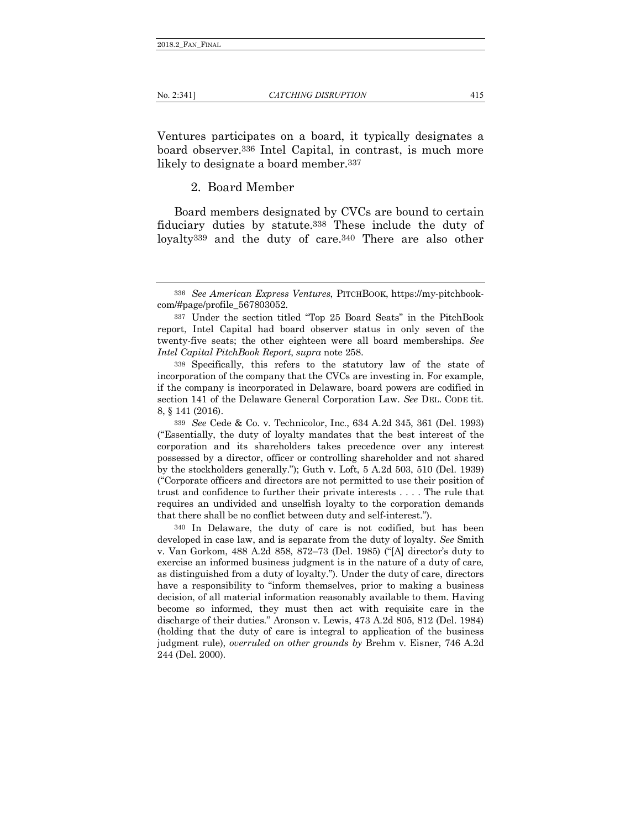Ventures participates on a board, it typically designates a board observer.336 Intel Capital, in contrast, is much more likely to designate a board member.337

2. Board Member

Board members designated by CVCs are bound to certain fiduciary duties by statute.338 These include the duty of loyalty339 and the duty of care.340 There are also other

<sup>336</sup> *See American Express Ventures*, PITCHBOOK, https://my-pitchbookcom/#page/profile\_567803052.

<sup>337</sup> Under the section titled "Top 25 Board Seats" in the PitchBook report, Intel Capital had board observer status in only seven of the twenty-five seats; the other eighteen were all board memberships. *See Intel Capital PitchBook Report*, *supra* note 258.

<sup>338</sup> Specifically, this refers to the statutory law of the state of incorporation of the company that the CVCs are investing in. For example, if the company is incorporated in Delaware, board powers are codified in section 141 of the Delaware General Corporation Law. *See* DEL. CODE tit. 8, § 141 (2016).

<sup>339</sup> *See* Cede & Co. v. Technicolor, Inc., 634 A.2d 345, 361 (Del. 1993) ("Essentially, the duty of loyalty mandates that the best interest of the corporation and its shareholders takes precedence over any interest possessed by a director, officer or controlling shareholder and not shared by the stockholders generally."); Guth v. Loft, 5 A.2d 503, 510 (Del. 1939) ("Corporate officers and directors are not permitted to use their position of trust and confidence to further their private interests . . . . The rule that requires an undivided and unselfish loyalty to the corporation demands that there shall be no conflict between duty and self-interest.").

<sup>340</sup> In Delaware, the duty of care is not codified, but has been developed in case law, and is separate from the duty of loyalty. *See* Smith v. Van Gorkom, 488 A.2d 858, 872–73 (Del. 1985) ("[A] director's duty to exercise an informed business judgment is in the nature of a duty of care, as distinguished from a duty of loyalty."). Under the duty of care, directors have a responsibility to "inform themselves, prior to making a business decision, of all material information reasonably available to them. Having become so informed, they must then act with requisite care in the discharge of their duties." Aronson v. Lewis, 473 A.2d 805, 812 (Del. 1984) (holding that the duty of care is integral to application of the business judgment rule), *overruled on other grounds by* Brehm v. Eisner, 746 A.2d 244 (Del. 2000).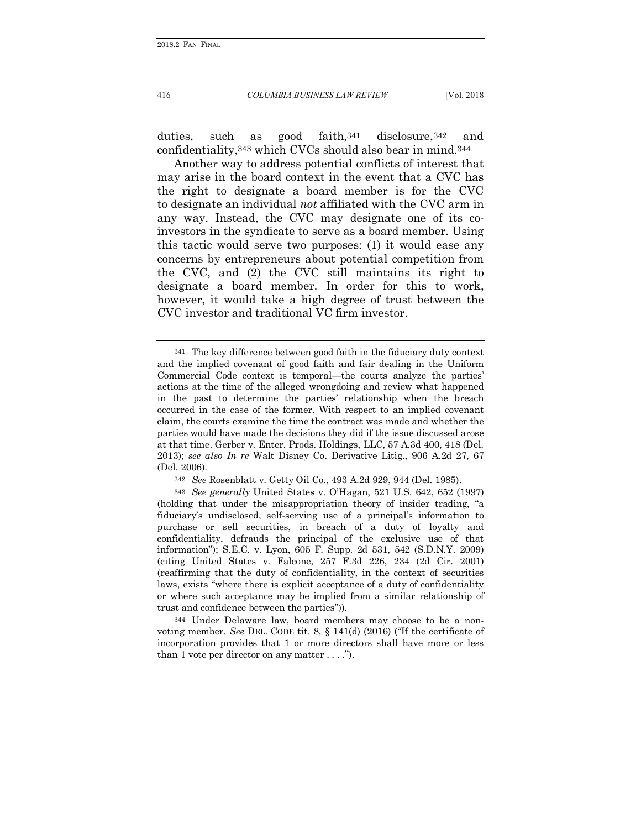duties, such as good faith,341 disclosure,342 and confidentiality,343 which CVCs should also bear in mind.344

Another way to address potential conflicts of interest that may arise in the board context in the event that a CVC has the right to designate a board member is for the CVC to designate an individual *not* affiliated with the CVC arm in any way. Instead, the CVC may designate one of its coinvestors in the syndicate to serve as a board member. Using this tactic would serve two purposes: (1) it would ease any concerns by entrepreneurs about potential competition from the CVC, and (2) the CVC still maintains its right to designate a board member. In order for this to work, however, it would take a high degree of trust between the CVC investor and traditional VC firm investor.

<sup>341</sup> The key difference between good faith in the fiduciary duty context and the implied covenant of good faith and fair dealing in the Uniform Commercial Code context is temporal—the courts analyze the parties' actions at the time of the alleged wrongdoing and review what happened in the past to determine the parties' relationship when the breach occurred in the case of the former. With respect to an implied covenant claim, the courts examine the time the contract was made and whether the parties would have made the decisions they did if the issue discussed arose at that time. Gerber v. Enter. Prods. Holdings, LLC, 57 A.3d 400, 418 (Del. 2013); *see also In re* Walt Disney Co. Derivative Litig., 906 A.2d 27, 67 (Del. 2006).

<sup>342</sup> *See* Rosenblatt v. Getty Oil Co., 493 A.2d 929, 944 (Del. 1985).

<sup>343</sup> *See generally* United States v. O'Hagan, 521 U.S. 642, 652 (1997) (holding that under the misappropriation theory of insider trading, "a fiduciary's undisclosed, self-serving use of a principal's information to purchase or sell securities, in breach of a duty of loyalty and confidentiality, defrauds the principal of the exclusive use of that information"); S.E.C. v. Lyon, 605 F. Supp. 2d 531, 542 (S.D.N.Y. 2009) (citing United States v. Falcone, 257 F.3d 226, 234 (2d Cir. 2001) (reaffirming that the duty of confidentiality, in the context of securities laws, exists "where there is explicit acceptance of a duty of confidentiality or where such acceptance may be implied from a similar relationship of trust and confidence between the parties")).

<sup>344</sup> Under Delaware law, board members may choose to be a nonvoting member. *See* DEL. CODE tit. 8, § 141(d) (2016) ("If the certificate of incorporation provides that 1 or more directors shall have more or less than 1 vote per director on any matter  $\dots$ .").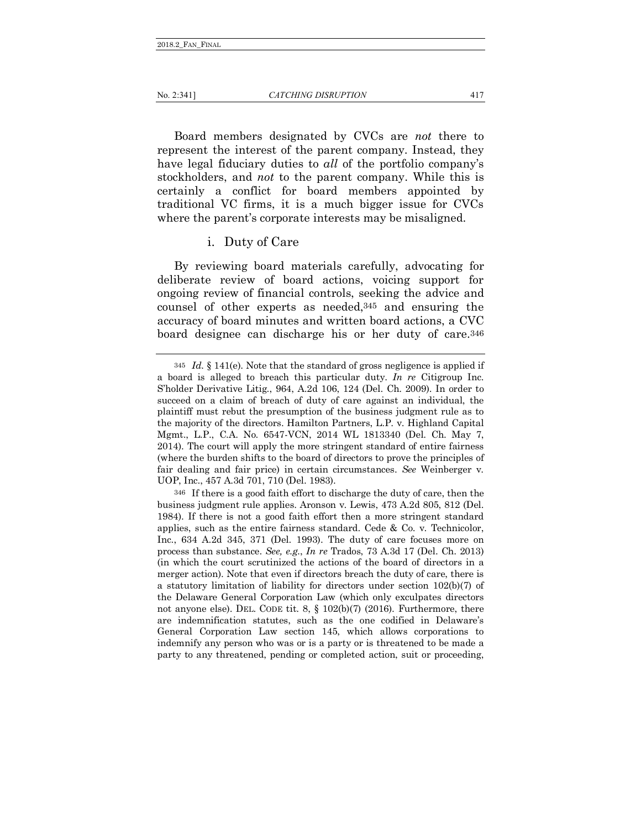Board members designated by CVCs are *not* there to represent the interest of the parent company. Instead, they have legal fiduciary duties to *all* of the portfolio company's stockholders, and *not* to the parent company. While this is certainly a conflict for board members appointed by traditional VC firms, it is a much bigger issue for CVCs where the parent's corporate interests may be misaligned.

### i. Duty of Care

By reviewing board materials carefully, advocating for deliberate review of board actions, voicing support for ongoing review of financial controls, seeking the advice and counsel of other experts as needed,345 and ensuring the accuracy of board minutes and written board actions, a CVC board designee can discharge his or her duty of care.346

<sup>345</sup> *Id.* § 141(e). Note that the standard of gross negligence is applied if a board is alleged to breach this particular duty. *In re* Citigroup Inc. S'holder Derivative Litig., 964, A.2d 106, 124 (Del. Ch. 2009). In order to succeed on a claim of breach of duty of care against an individual, the plaintiff must rebut the presumption of the business judgment rule as to the majority of the directors. Hamilton Partners, L.P. v. Highland Capital Mgmt., L.P., C.A. No. 6547-VCN, 2014 WL 1813340 (Del. Ch. May 7, 2014). The court will apply the more stringent standard of entire fairness (where the burden shifts to the board of directors to prove the principles of fair dealing and fair price) in certain circumstances. *See* Weinberger v. UOP, Inc., 457 A.3d 701, 710 (Del. 1983).

<sup>346</sup> If there is a good faith effort to discharge the duty of care, then the business judgment rule applies. Aronson v. Lewis, 473 A.2d 805, 812 (Del. 1984). If there is not a good faith effort then a more stringent standard applies, such as the entire fairness standard. Cede & Co. v. Technicolor, Inc., 634 A.2d 345, 371 (Del. 1993). The duty of care focuses more on process than substance. *See, e.g.*, *In re* Trados, 73 A.3d 17 (Del. Ch. 2013) (in which the court scrutinized the actions of the board of directors in a merger action). Note that even if directors breach the duty of care, there is a statutory limitation of liability for directors under section 102(b)(7) of the Delaware General Corporation Law (which only exculpates directors not anyone else). DEL. CODE tit. 8, § 102(b)(7) (2016). Furthermore, there are indemnification statutes, such as the one codified in Delaware's General Corporation Law section 145, which allows corporations to indemnify any person who was or is a party or is threatened to be made a party to any threatened, pending or completed action, suit or proceeding,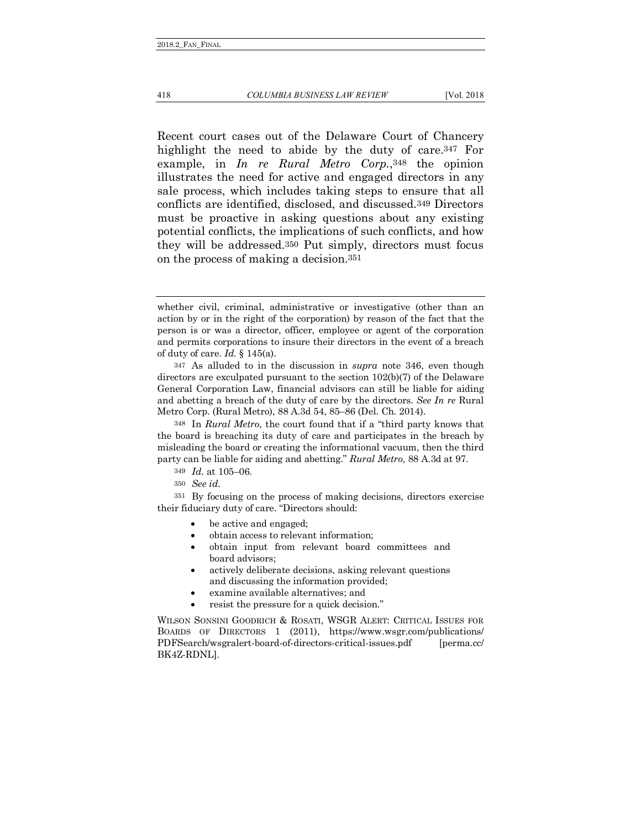Recent court cases out of the Delaware Court of Chancery highlight the need to abide by the duty of care.347 For example, in *In re Rural Metro Corp.*,348 the opinion illustrates the need for active and engaged directors in any sale process, which includes taking steps to ensure that all conflicts are identified, disclosed, and discussed.349 Directors must be proactive in asking questions about any existing potential conflicts, the implications of such conflicts, and how they will be addressed.350 Put simply, directors must focus on the process of making a decision.351

350 *See id.*

351 By focusing on the process of making decisions, directors exercise their fiduciary duty of care. "Directors should:

- be active and engaged;
- obtain access to relevant information;
- obtain input from relevant board committees and board advisors;
- actively deliberate decisions, asking relevant questions and discussing the information provided;
- examine available alternatives; and
- resist the pressure for a quick decision."

WILSON SONSINI GOODRICH & ROSATI, WSGR ALERT: CRITICAL ISSUES FOR BOARDS OF DIRECTORS 1 (2011), https://www.wsgr.com/publications/ PDFSearch/wsgralert-board-of-directors-critical-issues.pdf [perma.cc/ BK4Z-RDNL].

whether civil, criminal, administrative or investigative (other than an action by or in the right of the corporation) by reason of the fact that the person is or was a director, officer, employee or agent of the corporation and permits corporations to insure their directors in the event of a breach of duty of care. *Id.* § 145(a).

<sup>347</sup> As alluded to in the discussion in *supra* note 346, even though directors are exculpated pursuant to the section  $102(b)(7)$  of the Delaware General Corporation Law, financial advisors can still be liable for aiding and abetting a breach of the duty of care by the directors. *See In re* Rural Metro Corp. (Rural Metro), 88 A.3d 54, 85–86 (Del. Ch. 2014).

<sup>348</sup> In *Rural Metro*, the court found that if a "third party knows that the board is breaching its duty of care and participates in the breach by misleading the board or creating the informational vacuum, then the third party can be liable for aiding and abetting." *Rural Metro*, 88 A.3d at 97.

<sup>349</sup> *Id.* at 105–06.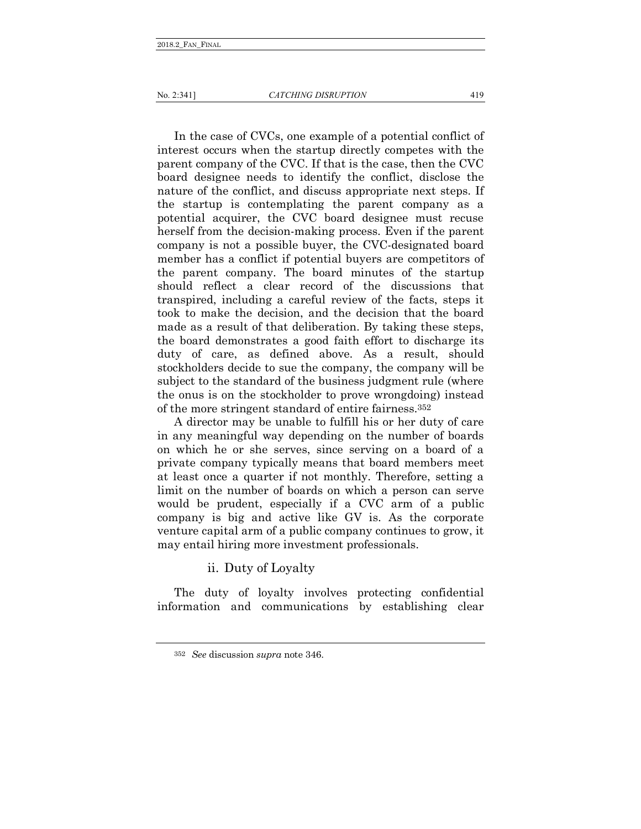In the case of CVCs, one example of a potential conflict of interest occurs when the startup directly competes with the parent company of the CVC. If that is the case, then the CVC board designee needs to identify the conflict, disclose the nature of the conflict, and discuss appropriate next steps. If the startup is contemplating the parent company as a potential acquirer, the CVC board designee must recuse herself from the decision-making process. Even if the parent company is not a possible buyer, the CVC-designated board member has a conflict if potential buyers are competitors of the parent company. The board minutes of the startup should reflect a clear record of the discussions that transpired, including a careful review of the facts, steps it took to make the decision, and the decision that the board made as a result of that deliberation. By taking these steps, the board demonstrates a good faith effort to discharge its duty of care, as defined above. As a result, should stockholders decide to sue the company, the company will be subject to the standard of the business judgment rule (where the onus is on the stockholder to prove wrongdoing) instead of the more stringent standard of entire fairness.352

A director may be unable to fulfill his or her duty of care in any meaningful way depending on the number of boards on which he or she serves, since serving on a board of a private company typically means that board members meet at least once a quarter if not monthly. Therefore, setting a limit on the number of boards on which a person can serve would be prudent, especially if a CVC arm of a public company is big and active like GV is. As the corporate venture capital arm of a public company continues to grow, it may entail hiring more investment professionals.

ii. Duty of Loyalty

The duty of loyalty involves protecting confidential information and communications by establishing clear

<sup>352</sup> *See* discussion *supra* note 346.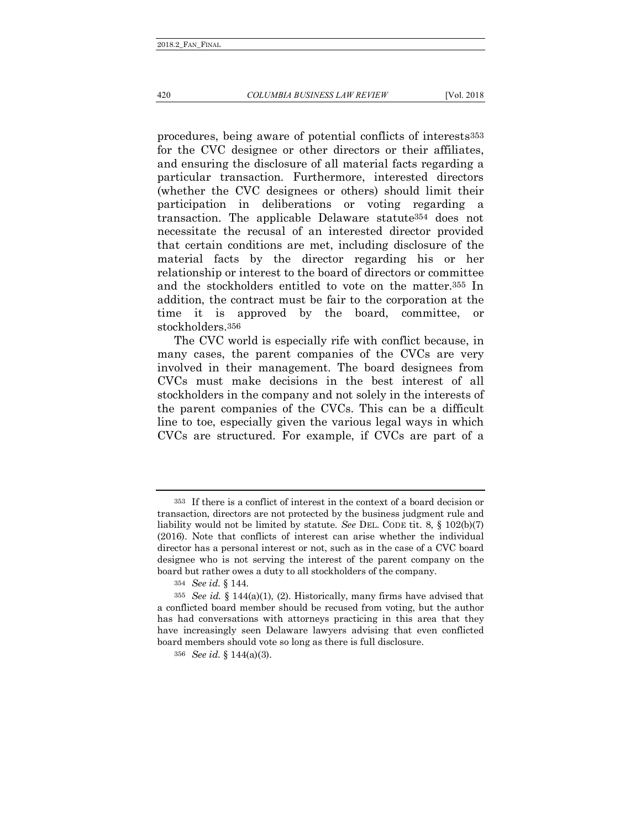420 *COLUMBIA BUSINESS LAW REVIEW* [Vol. 2018

procedures, being aware of potential conflicts of interests353 for the CVC designee or other directors or their affiliates, and ensuring the disclosure of all material facts regarding a particular transaction. Furthermore, interested directors (whether the CVC designees or others) should limit their participation in deliberations or voting regarding a transaction. The applicable Delaware statute354 does not necessitate the recusal of an interested director provided that certain conditions are met, including disclosure of the material facts by the director regarding his or her relationship or interest to the board of directors or committee and the stockholders entitled to vote on the matter.355 In addition, the contract must be fair to the corporation at the time it is approved by the board, committee, or stockholders.356

The CVC world is especially rife with conflict because, in many cases, the parent companies of the CVCs are very involved in their management. The board designees from CVCs must make decisions in the best interest of all stockholders in the company and not solely in the interests of the parent companies of the CVCs. This can be a difficult line to toe, especially given the various legal ways in which CVCs are structured. For example, if CVCs are part of a

<sup>353</sup> If there is a conflict of interest in the context of a board decision or transaction, directors are not protected by the business judgment rule and liability would not be limited by statute. *See* DEL. CODE tit. 8, § 102(b)(7) (2016). Note that conflicts of interest can arise whether the individual director has a personal interest or not, such as in the case of a CVC board designee who is not serving the interest of the parent company on the board but rather owes a duty to all stockholders of the company.

<sup>354</sup> *See id.* § 144.

<sup>355</sup> *See id.* § 144(a)(1), (2). Historically, many firms have advised that a conflicted board member should be recused from voting, but the author has had conversations with attorneys practicing in this area that they have increasingly seen Delaware lawyers advising that even conflicted board members should vote so long as there is full disclosure.

<sup>356</sup> *See id.* § 144(a)(3).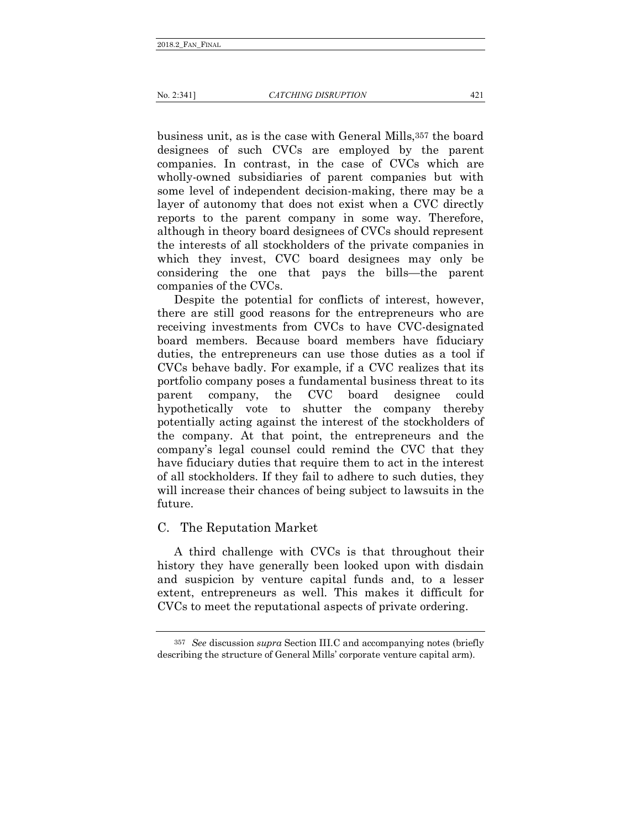business unit, as is the case with General Mills,357 the board designees of such CVCs are employed by the parent companies. In contrast, in the case of CVCs which are wholly-owned subsidiaries of parent companies but with some level of independent decision-making, there may be a layer of autonomy that does not exist when a CVC directly reports to the parent company in some way. Therefore, although in theory board designees of CVCs should represent the interests of all stockholders of the private companies in which they invest, CVC board designees may only be considering the one that pays the bills—the parent companies of the CVCs.

Despite the potential for conflicts of interest, however, there are still good reasons for the entrepreneurs who are receiving investments from CVCs to have CVC-designated board members. Because board members have fiduciary duties, the entrepreneurs can use those duties as a tool if CVCs behave badly. For example, if a CVC realizes that its portfolio company poses a fundamental business threat to its parent company, the CVC board designee could hypothetically vote to shutter the company thereby potentially acting against the interest of the stockholders of the company. At that point, the entrepreneurs and the company's legal counsel could remind the CVC that they have fiduciary duties that require them to act in the interest of all stockholders. If they fail to adhere to such duties, they will increase their chances of being subject to lawsuits in the future.

# C. The Reputation Market

A third challenge with CVCs is that throughout their history they have generally been looked upon with disdain and suspicion by venture capital funds and, to a lesser extent, entrepreneurs as well. This makes it difficult for CVCs to meet the reputational aspects of private ordering.

<sup>357</sup> *See* discussion *supra* Section III.C and accompanying notes (briefly describing the structure of General Mills' corporate venture capital arm).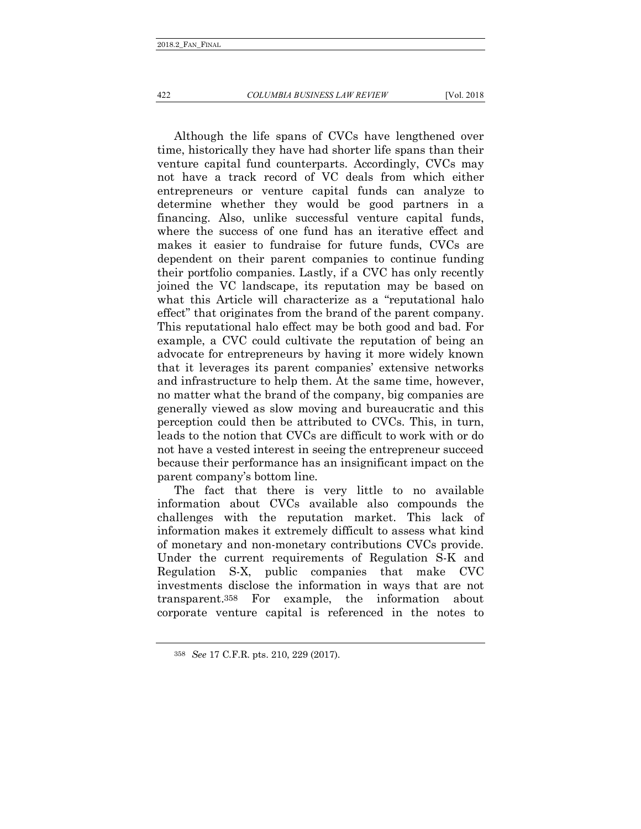#### 422 *COLUMBIA BUSINESS LAW REVIEW* [Vol. 2018

Although the life spans of CVCs have lengthened over time, historically they have had shorter life spans than their venture capital fund counterparts. Accordingly, CVCs may not have a track record of VC deals from which either entrepreneurs or venture capital funds can analyze to determine whether they would be good partners in a financing. Also, unlike successful venture capital funds, where the success of one fund has an iterative effect and makes it easier to fundraise for future funds, CVCs are dependent on their parent companies to continue funding their portfolio companies. Lastly, if a CVC has only recently joined the VC landscape, its reputation may be based on what this Article will characterize as a "reputational halo effect" that originates from the brand of the parent company. This reputational halo effect may be both good and bad. For example, a CVC could cultivate the reputation of being an advocate for entrepreneurs by having it more widely known that it leverages its parent companies' extensive networks and infrastructure to help them. At the same time, however, no matter what the brand of the company, big companies are generally viewed as slow moving and bureaucratic and this perception could then be attributed to CVCs. This, in turn, leads to the notion that CVCs are difficult to work with or do not have a vested interest in seeing the entrepreneur succeed because their performance has an insignificant impact on the parent company's bottom line.

The fact that there is very little to no available information about CVCs available also compounds the challenges with the reputation market. This lack of information makes it extremely difficult to assess what kind of monetary and non-monetary contributions CVCs provide. Under the current requirements of Regulation S-K and Regulation S-X, public companies that make CVC investments disclose the information in ways that are not transparent.358 For example, the information about corporate venture capital is referenced in the notes to

<sup>358</sup> *See* 17 C.F.R. pts. 210, 229 (2017).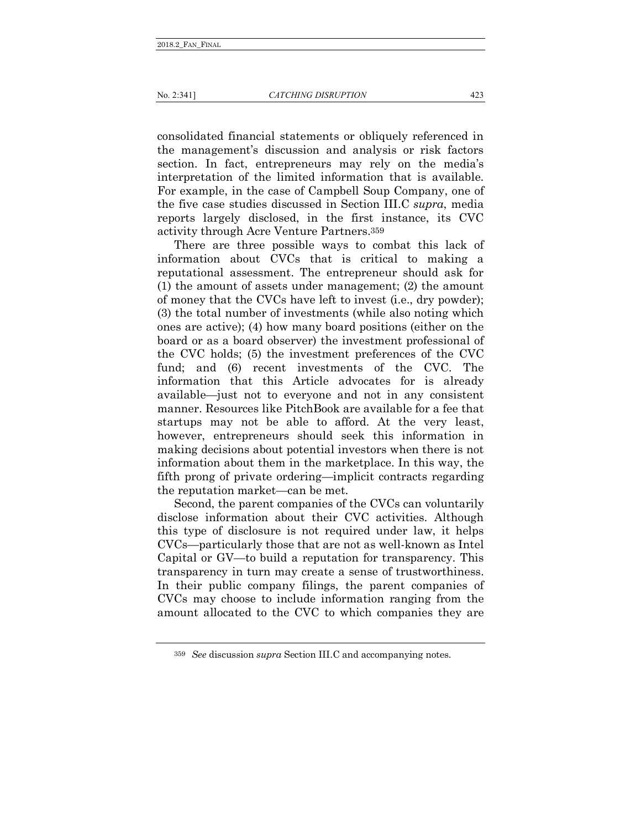consolidated financial statements or obliquely referenced in the management's discussion and analysis or risk factors section. In fact, entrepreneurs may rely on the media's interpretation of the limited information that is available. For example, in the case of Campbell Soup Company, one of the five case studies discussed in Section III.C *supra*, media reports largely disclosed, in the first instance, its CVC activity through Acre Venture Partners.359

There are three possible ways to combat this lack of information about CVCs that is critical to making a reputational assessment. The entrepreneur should ask for (1) the amount of assets under management; (2) the amount of money that the CVCs have left to invest (i.e., dry powder); (3) the total number of investments (while also noting which ones are active); (4) how many board positions (either on the board or as a board observer) the investment professional of the CVC holds; (5) the investment preferences of the CVC fund; and (6) recent investments of the CVC. The information that this Article advocates for is already available—just not to everyone and not in any consistent manner. Resources like PitchBook are available for a fee that startups may not be able to afford. At the very least, however, entrepreneurs should seek this information in making decisions about potential investors when there is not information about them in the marketplace. In this way, the fifth prong of private ordering—implicit contracts regarding the reputation market—can be met.

Second, the parent companies of the CVCs can voluntarily disclose information about their CVC activities. Although this type of disclosure is not required under law, it helps CVCs—particularly those that are not as well-known as Intel Capital or GV—to build a reputation for transparency. This transparency in turn may create a sense of trustworthiness. In their public company filings, the parent companies of CVCs may choose to include information ranging from the amount allocated to the CVC to which companies they are

<sup>359</sup> *See* discussion *supra* Section III.C and accompanying notes.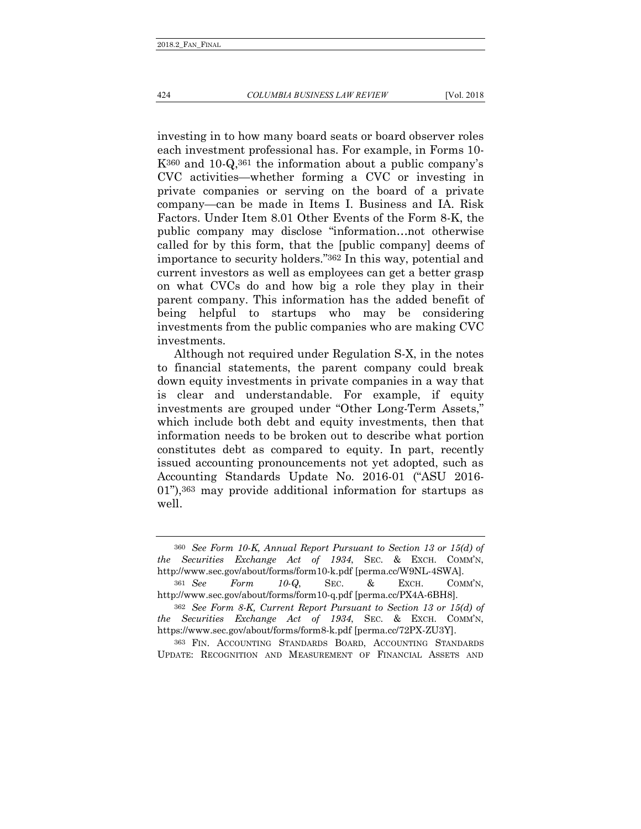investing in to how many board seats or board observer roles each investment professional has. For example, in Forms 10- K360 and 10-Q,361 the information about a public company's CVC activities—whether forming a CVC or investing in private companies or serving on the board of a private company—can be made in Items I. Business and IA. Risk Factors. Under Item 8.01 Other Events of the Form 8-K, the public company may disclose "information…not otherwise called for by this form, that the [public company] deems of importance to security holders."362 In this way, potential and current investors as well as employees can get a better grasp on what CVCs do and how big a role they play in their parent company. This information has the added benefit of being helpful to startups who may be considering investments from the public companies who are making CVC investments.

Although not required under Regulation S-X, in the notes to financial statements, the parent company could break down equity investments in private companies in a way that clear and understandable. For example, if equity investments are grouped under "Other Long-Term Assets," which include both debt and equity investments, then that information needs to be broken out to describe what portion constitutes debt as compared to equity. In part, recently issued accounting pronouncements not yet adopted, such as Accounting Standards Update No. 2016-01 ("ASU 2016- 01"),363 may provide additional information for startups as well.

<sup>360</sup> *See Form 10-K, Annual Report Pursuant to Section 13 or 15(d) of the Securities Exchange Act of 1934*, SEC. & EXCH. COMM'N, http://www.sec.gov/about/forms/form10-k.pdf [perma.cc/W9NL-4SWA].

<sup>361</sup> *See Form 10-Q*, SEC. & EXCH. COMM'N, http://www.sec.gov/about/forms/form10-q.pdf [perma.cc/PX4A-6BH8].

<sup>362</sup> *See Form 8-K, Current Report Pursuant to Section 13 or 15(d) of the Securities Exchange Act of 1934*, SEC. & EXCH. COMM'N, https://www.sec.gov/about/forms/form8-k.pdf [perma.cc/72PX-ZU3Y].

<sup>363</sup> FIN. ACCOUNTING STANDARDS BOARD, ACCOUNTING STANDARDS UPDATE: RECOGNITION AND MEASUREMENT OF FINANCIAL ASSETS AND